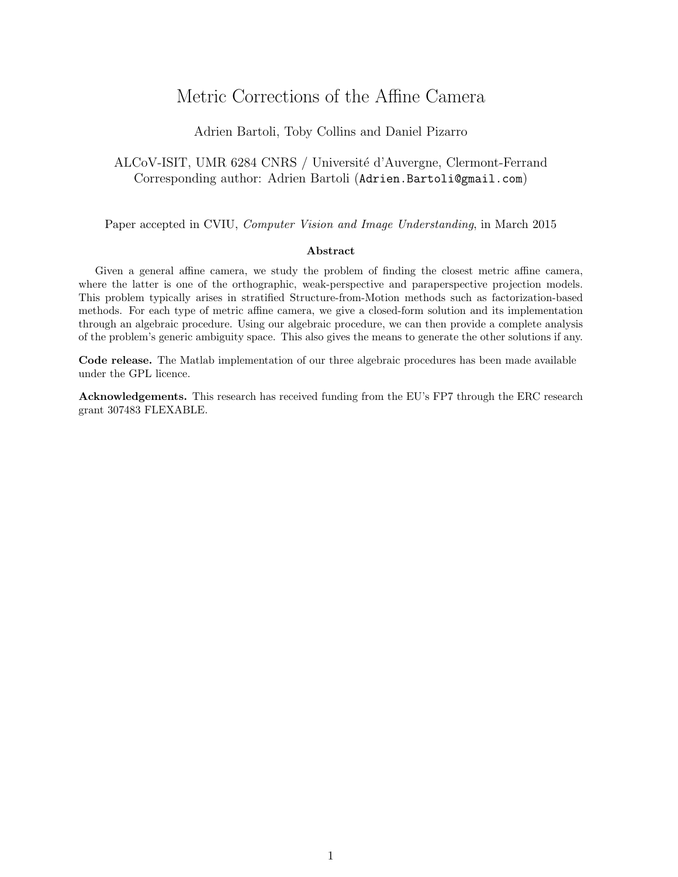# Metric Corrections of the Affine Camera

## Adrien Bartoli, Toby Collins and Daniel Pizarro

## ALCoV-ISIT, UMR 6284 CNRS / Université d'Auvergne, Clermont-Ferrand Corresponding author: Adrien Bartoli (Adrien.Bartoli@gmail.com)

Paper accepted in CVIU, Computer Vision and Image Understanding, in March 2015

#### Abstract

Given a general affine camera, we study the problem of finding the closest metric affine camera, where the latter is one of the orthographic, weak-perspective and paraperspective projection models. This problem typically arises in stratified Structure-from-Motion methods such as factorization-based methods. For each type of metric affine camera, we give a closed-form solution and its implementation through an algebraic procedure. Using our algebraic procedure, we can then provide a complete analysis of the problem's generic ambiguity space. This also gives the means to generate the other solutions if any.

Code release. The Matlab implementation of our three algebraic procedures has been made available under the GPL licence.

Acknowledgements. This research has received funding from the EU's FP7 through the ERC research grant 307483 FLEXABLE.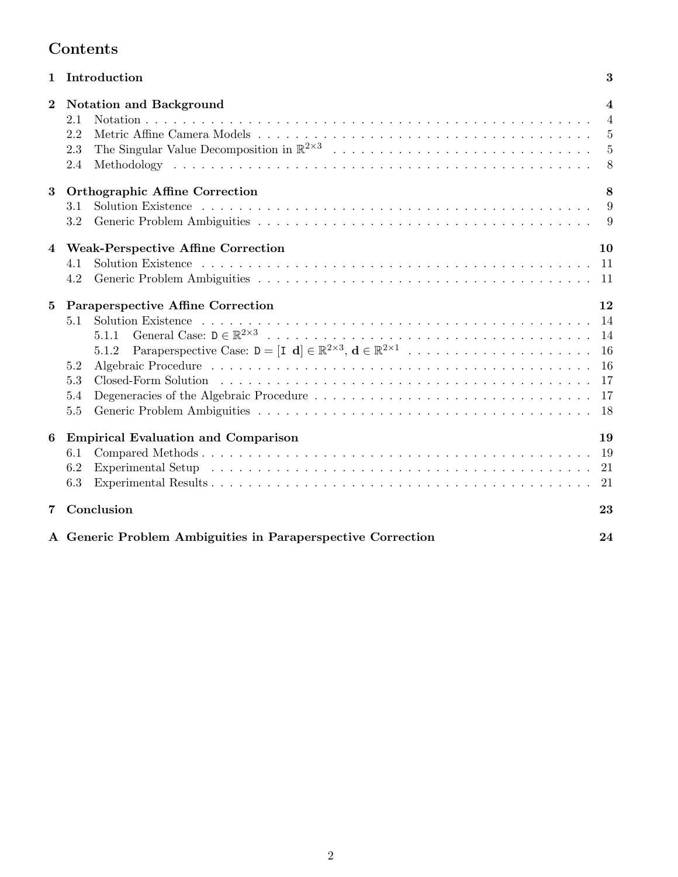# Contents

|                | 1 Introduction<br>3                                                                                                                                                                                                                                                                               |                                                              |  |  |  |  |  |
|----------------|---------------------------------------------------------------------------------------------------------------------------------------------------------------------------------------------------------------------------------------------------------------------------------------------------|--------------------------------------------------------------|--|--|--|--|--|
| $\overline{2}$ | <b>Notation and Background</b><br>2.1<br>2.2<br>2.3<br>2.4                                                                                                                                                                                                                                        | 4<br>$\overline{4}$<br>$\overline{5}$<br>$\overline{5}$<br>8 |  |  |  |  |  |
| $\bf{3}$       | <b>Orthographic Affine Correction</b><br>3.1<br>3.2                                                                                                                                                                                                                                               | 8<br>9<br>9                                                  |  |  |  |  |  |
| $\bf{4}$       | <b>Weak-Perspective Affine Correction</b><br>4.1<br>4.2                                                                                                                                                                                                                                           | 10<br>11<br>11                                               |  |  |  |  |  |
| 5              | Paraperspective Affine Correction<br>5.1<br>5.1.1<br>5.1.2<br>5.2<br>5.3<br>Degeneracies of the Algebraic Procedure<br>5.4<br>5.5                                                                                                                                                                 | 12<br>14<br>-14<br>16<br>16<br>17<br>-17                     |  |  |  |  |  |
| 6              | <b>Empirical Evaluation and Comparison</b><br>6.1<br>6.2<br>Experimental Setup (a) and a contract a contract of the contract of the contract of the contract of the contract of the contract of the contract of the contract of the contract of the contract of the contract of the contra<br>6.3 | 19<br>19<br>21<br>21                                         |  |  |  |  |  |
| 7              | Conclusion                                                                                                                                                                                                                                                                                        | 23                                                           |  |  |  |  |  |
|                | A Generic Problem Ambiguities in Paraperspective Correction<br>24                                                                                                                                                                                                                                 |                                                              |  |  |  |  |  |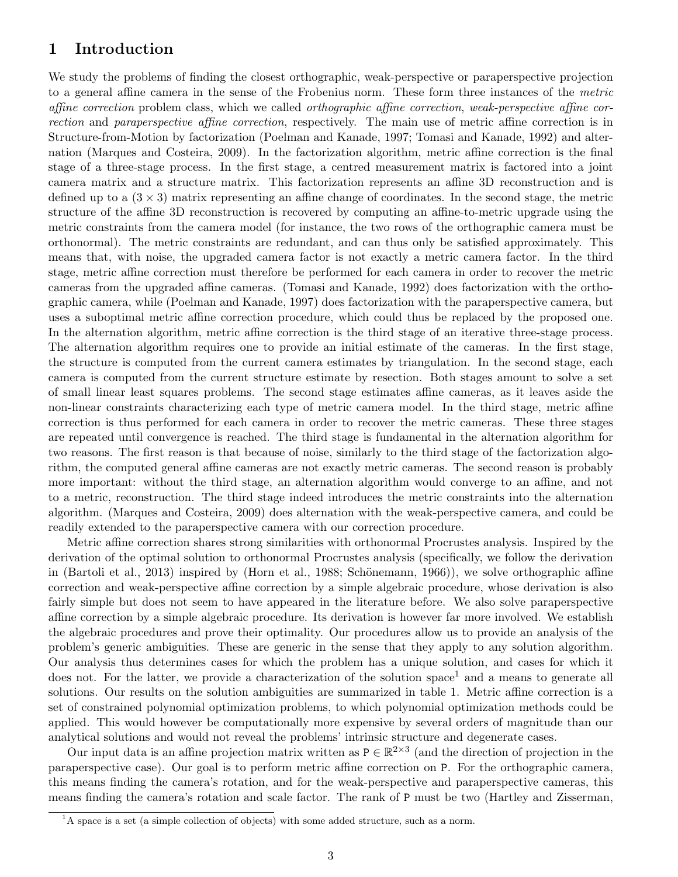## 1 Introduction

We study the problems of finding the closest orthographic, weak-perspective or paraperspective projection to a general affine camera in the sense of the Frobenius norm. These form three instances of the metric affine correction problem class, which we called orthographic affine correction, weak-perspective affine correction and paraperspective affine correction, respectively. The main use of metric affine correction is in Structure-from-Motion by factorization (Poelman and Kanade, 1997; Tomasi and Kanade, 1992) and alternation (Marques and Costeira, 2009). In the factorization algorithm, metric affine correction is the final stage of a three-stage process. In the first stage, a centred measurement matrix is factored into a joint camera matrix and a structure matrix. This factorization represents an affine 3D reconstruction and is defined up to a  $(3 \times 3)$  matrix representing an affine change of coordinates. In the second stage, the metric structure of the affine 3D reconstruction is recovered by computing an affine-to-metric upgrade using the metric constraints from the camera model (for instance, the two rows of the orthographic camera must be orthonormal). The metric constraints are redundant, and can thus only be satisfied approximately. This means that, with noise, the upgraded camera factor is not exactly a metric camera factor. In the third stage, metric affine correction must therefore be performed for each camera in order to recover the metric cameras from the upgraded affine cameras. (Tomasi and Kanade, 1992) does factorization with the orthographic camera, while (Poelman and Kanade, 1997) does factorization with the paraperspective camera, but uses a suboptimal metric affine correction procedure, which could thus be replaced by the proposed one. In the alternation algorithm, metric affine correction is the third stage of an iterative three-stage process. The alternation algorithm requires one to provide an initial estimate of the cameras. In the first stage, the structure is computed from the current camera estimates by triangulation. In the second stage, each camera is computed from the current structure estimate by resection. Both stages amount to solve a set of small linear least squares problems. The second stage estimates affine cameras, as it leaves aside the non-linear constraints characterizing each type of metric camera model. In the third stage, metric affine correction is thus performed for each camera in order to recover the metric cameras. These three stages are repeated until convergence is reached. The third stage is fundamental in the alternation algorithm for two reasons. The first reason is that because of noise, similarly to the third stage of the factorization algorithm, the computed general affine cameras are not exactly metric cameras. The second reason is probably more important: without the third stage, an alternation algorithm would converge to an affine, and not to a metric, reconstruction. The third stage indeed introduces the metric constraints into the alternation algorithm. (Marques and Costeira, 2009) does alternation with the weak-perspective camera, and could be readily extended to the paraperspective camera with our correction procedure.

Metric affine correction shares strong similarities with orthonormal Procrustes analysis. Inspired by the derivation of the optimal solution to orthonormal Procrustes analysis (specifically, we follow the derivation in (Bartoli et al., 2013) inspired by (Horn et al., 1988; Schönemann, 1966)), we solve orthographic affine correction and weak-perspective affine correction by a simple algebraic procedure, whose derivation is also fairly simple but does not seem to have appeared in the literature before. We also solve paraperspective affine correction by a simple algebraic procedure. Its derivation is however far more involved. We establish the algebraic procedures and prove their optimality. Our procedures allow us to provide an analysis of the problem's generic ambiguities. These are generic in the sense that they apply to any solution algorithm. Our analysis thus determines cases for which the problem has a unique solution, and cases for which it does not. For the latter, we provide a characterization of the solution space<sup>1</sup> and a means to generate all solutions. Our results on the solution ambiguities are summarized in table 1. Metric affine correction is a set of constrained polynomial optimization problems, to which polynomial optimization methods could be applied. This would however be computationally more expensive by several orders of magnitude than our analytical solutions and would not reveal the problems' intrinsic structure and degenerate cases.

Our input data is an affine projection matrix written as  $P \in \mathbb{R}^{2 \times 3}$  (and the direction of projection in the paraperspective case). Our goal is to perform metric affine correction on P. For the orthographic camera, this means finding the camera's rotation, and for the weak-perspective and paraperspective cameras, this means finding the camera's rotation and scale factor. The rank of P must be two (Hartley and Zisserman,

 ${}^{1}$ A space is a set (a simple collection of objects) with some added structure, such as a norm.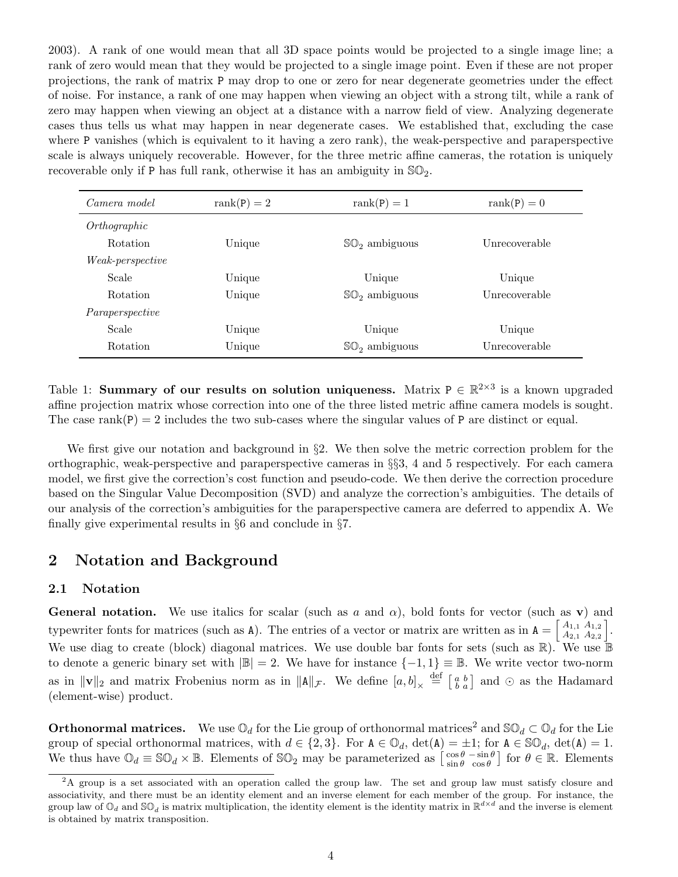2003). A rank of one would mean that all 3D space points would be projected to a single image line; a rank of zero would mean that they would be projected to a single image point. Even if these are not proper projections, the rank of matrix P may drop to one or zero for near degenerate geometries under the effect of noise. For instance, a rank of one may happen when viewing an object with a strong tilt, while a rank of zero may happen when viewing an object at a distance with a narrow field of view. Analyzing degenerate cases thus tells us what may happen in near degenerate cases. We established that, excluding the case where P vanishes (which is equivalent to it having a zero rank), the weak-perspective and paraperspective scale is always uniquely recoverable. However, for the three metric affine cameras, the rotation is uniquely recoverable only if P has full rank, otherwise it has an ambiguity in  $\mathbb{SO}_2$ .

| Camera model            | $rank(P) = 2$ | $rank(P) = 1$             | $rank(P) = 0$ |
|-------------------------|---------------|---------------------------|---------------|
| Orthographic            |               |                           |               |
| <b>Rotation</b>         | Unique        | $\mathbb{SO}_2$ ambiguous | Unrecoverable |
| <i>Weak-perspective</i> |               |                           |               |
| Scale                   | Unique        | Unique                    | Unique        |
| <b>Rotation</b>         | Unique        | $\mathbb{SO}_2$ ambiguous | Unrecoverable |
| Paraperspective         |               |                           |               |
| Scale                   | Unique        | Unique                    | Unique        |
| <b>Rotation</b>         | Unique        | $\mathbb{SO}_2$ ambiguous | Unrecoverable |

Table 1: Summary of our results on solution uniqueness. Matrix  $P \in \mathbb{R}^{2 \times 3}$  is a known upgraded affine projection matrix whose correction into one of the three listed metric affine camera models is sought. The case  $rank(P) = 2$  includes the two sub-cases where the singular values of P are distinct or equal.

We first give our notation and background in §2. We then solve the metric correction problem for the orthographic, weak-perspective and paraperspective cameras in  $\S$ 3, 4 and 5 respectively. For each camera model, we first give the correction's cost function and pseudo-code. We then derive the correction procedure based on the Singular Value Decomposition (SVD) and analyze the correction's ambiguities. The details of our analysis of the correction's ambiguities for the paraperspective camera are deferred to appendix A. We finally give experimental results in §6 and conclude in §7.

# 2 Notation and Background

## 2.1 Notation

General notation. We use italics for scalar (such as a and  $\alpha$ ), bold fonts for vector (such as v) and typewriter fonts for matrices (such as A). The entries of a vector or matrix are written as in  $A = \begin{bmatrix} A_{1,1} & A_{1,2} \\ A_{2,1} & A_{2,2} \end{bmatrix}$  $A_{1,1} A_{1,2} \ A_{2,1} A_{2,2}$ . We use diag to create (block) diagonal matrices. We use double bar fonts for sets (such as  $\mathbb{R}$ ). We use  $\mathbb{B}$ to denote a generic binary set with  $|\mathbb{B}| = 2$ . We have for instance  $\{-1,1\} \equiv \mathbb{B}$ . We write vector two-norm as in  $\|\mathbf{v}\|_2$  and matrix Frobenius norm as in  $\|\mathbf{A}\|_{\mathcal{F}}$ . We define  $[a, b]_{\times} \stackrel{\text{def}}{=} \begin{bmatrix} a & b \\ b & a \end{bmatrix}$  and  $\odot$  as the Hadamard (element-wise) product.

**Orthonormal matrices.** We use  $\mathbb{O}_d$  for the Lie group of orthonormal matrices<sup>2</sup> and  $\mathbb{SO}_d \subset \mathbb{O}_d$  for the Lie group of special orthonormal matrices, with  $d \in \{2,3\}$ . For  $A \in \mathbb{O}_d$ ,  $\det(A) = \pm 1$ ; for  $A \in \mathbb{SO}_d$ ,  $\det(A) = 1$ . We thus have  $\mathbb{O}_d \equiv \mathbb{SO}_d \times \mathbb{B}$ . Elements of  $\mathbb{SO}_2$  may be parameterized as  $\begin{bmatrix} \cos \theta & -\sin \theta \\ \sin \theta & \cos \theta \end{bmatrix}$  for  $\theta \in \mathbb{R}$ . Elements

<sup>&</sup>lt;sup>2</sup>A group is a set associated with an operation called the group law. The set and group law must satisfy closure and associativity, and there must be an identity element and an inverse element for each member of the group. For instance, the group law of  $\mathbb{O}_d$  and  $\mathbb{SO}_d$  is matrix multiplication, the identity element is the identity matrix in  $\mathbb{R}^{d \times d}$  and the inverse is element is obtained by matrix transposition.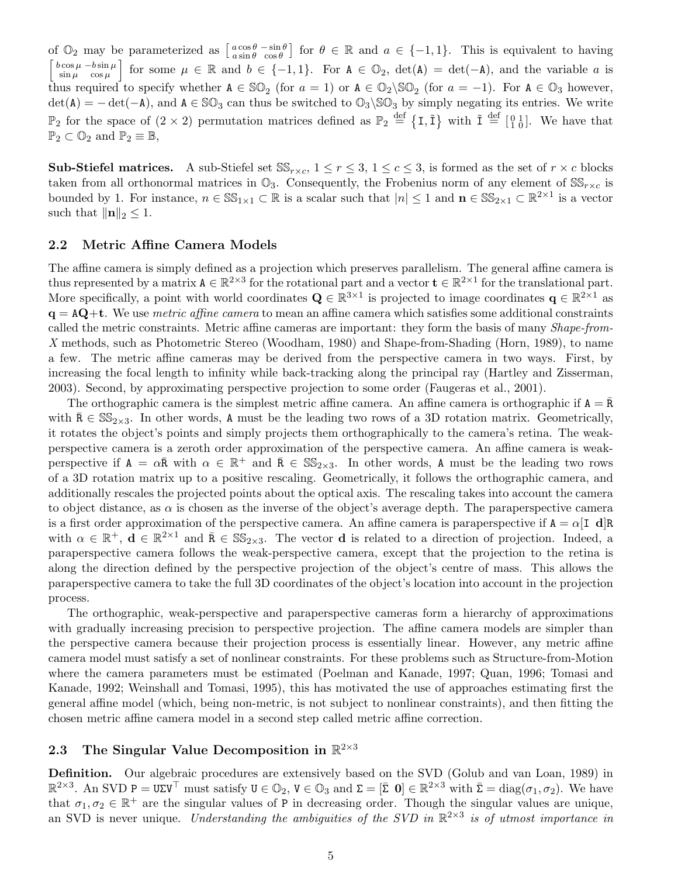of  $\mathbb{O}_2$  may be parameterized as  $\begin{bmatrix} a \cos \theta & -\sin \theta \\ a \sin \theta & \cos \theta \end{bmatrix}$  for  $\theta \in \mathbb{R}$  and  $a \in \{-1,1\}$ . This is equivalent to having  $\sqrt{ }$  $b \cos \mu - b \sin \mu$  $\begin{bmatrix} \cos \mu & -b \sin \mu \\ \sin \mu & \cos \mu \end{bmatrix}$  for some  $\mu \in \mathbb{R}$  and  $b \in \{-1,1\}$ . For  $A \in \mathbb{O}_2$ ,  $\det(A) = \det(-A)$ , and the variable a is thus required to specify whether  $A \in \mathbb{SO}_2$  (for  $a = 1$ ) or  $A \in \mathbb{O}_2 \setminus \mathbb{SO}_2$  (for  $a = -1$ ). For  $A \in \mathbb{O}_3$  however,  $\det(A) = -\det(-A)$ , and  $A \in \mathbb{SO}_3$  can thus be switched to  $\mathbb{O}_3 \setminus \mathbb{SO}_3$  by simply negating its entries. We write  $\mathbb{P}_2$  for the space of  $(2 \times 2)$  permutation matrices defined as  $\mathbb{P}_2 \stackrel{\text{def}}{=} \{I, \tilde{I}\}$  with  $\tilde{I} \stackrel{\text{def}}{=} \left[\begin{smallmatrix} 0 & 1 \\ 1 & 0 \end{smallmatrix}\right]$ . We have that  $\mathbb{P}_2 \subset \mathbb{O}_2$  and  $\mathbb{P}_2 \equiv \mathbb{B}$ ,

**Sub-Stiefel matrices.** A sub-Stiefel set  $SS_{r \times c}$ ,  $1 \leq r \leq 3$ ,  $1 \leq c \leq 3$ , is formed as the set of  $r \times c$  blocks taken from all orthonormal matrices in  $\mathbb{O}_3$ . Consequently, the Frobenius norm of any element of  $\mathbb{SS}_{r \times c}$  is bounded by 1. For instance,  $n \in \mathbb{SS}_{1\times 1} \subset \mathbb{R}$  is a scalar such that  $|n| \leq 1$  and  $n \in \mathbb{SS}_{2\times 1} \subset \mathbb{R}^{2\times 1}$  is a vector such that  $\|\mathbf{n}\|_2 \leq 1$ .

#### 2.2 Metric Affine Camera Models

The affine camera is simply defined as a projection which preserves parallelism. The general affine camera is thus represented by a matrix  $A \in \mathbb{R}^{2\times3}$  for the rotational part and a vector  $\mathbf{t} \in \mathbb{R}^{2\times1}$  for the translational part. More specifically, a point with world coordinates  $\mathbf{Q} \in \mathbb{R}^{3 \times 1}$  is projected to image coordinates  $\mathbf{q} \in \mathbb{R}^{2 \times 1}$  as  $q = AQ+t$ . We use *metric affine camera* to mean an affine camera which satisfies some additional constraints called the metric constraints. Metric affine cameras are important: they form the basis of many Shape-from-X methods, such as Photometric Stereo (Woodham, 1980) and Shape-from-Shading (Horn, 1989), to name a few. The metric affine cameras may be derived from the perspective camera in two ways. First, by increasing the focal length to infinity while back-tracking along the principal ray (Hartley and Zisserman, 2003). Second, by approximating perspective projection to some order (Faugeras et al., 2001).

The orthographic camera is the simplest metric affine camera. An affine camera is orthographic if  $A = \overline{R}$ with  $\bar{R} \in \mathbb{SS}_{2\times 3}$ . In other words, A must be the leading two rows of a 3D rotation matrix. Geometrically, it rotates the object's points and simply projects them orthographically to the camera's retina. The weakperspective camera is a zeroth order approximation of the perspective camera. An affine camera is weakperspective if  $A = \alpha \bar{R}$  with  $\alpha \in \mathbb{R}^+$  and  $\bar{R} \in \mathbb{SS}_{2\times 3}$ . In other words, A must be the leading two rows of a 3D rotation matrix up to a positive rescaling. Geometrically, it follows the orthographic camera, and additionally rescales the projected points about the optical axis. The rescaling takes into account the camera to object distance, as  $\alpha$  is chosen as the inverse of the object's average depth. The paraperspective camera is a first order approximation of the perspective camera. An affine camera is paraperspective if  $A = \alpha[I \ d]R$ with  $\alpha \in \mathbb{R}^+$ ,  $\mathbf{d} \in \mathbb{R}^{2\times 1}$  and  $\bar{\mathbf{R}} \in \mathbb{SS}_{2\times 3}$ . The vector **d** is related to a direction of projection. Indeed, a paraperspective camera follows the weak-perspective camera, except that the projection to the retina is along the direction defined by the perspective projection of the object's centre of mass. This allows the paraperspective camera to take the full 3D coordinates of the object's location into account in the projection process.

The orthographic, weak-perspective and paraperspective cameras form a hierarchy of approximations with gradually increasing precision to perspective projection. The affine camera models are simpler than the perspective camera because their projection process is essentially linear. However, any metric affine camera model must satisfy a set of nonlinear constraints. For these problems such as Structure-from-Motion where the camera parameters must be estimated (Poelman and Kanade, 1997; Quan, 1996; Tomasi and Kanade, 1992; Weinshall and Tomasi, 1995), this has motivated the use of approaches estimating first the general affine model (which, being non-metric, is not subject to nonlinear constraints), and then fitting the chosen metric affine camera model in a second step called metric affine correction.

# 2.3 The Singular Value Decomposition in  $\mathbb{R}^{2\times3}$

Definition. Our algebraic procedures are extensively based on the SVD (Golub and van Loan, 1989) in  $\mathbb{R}^{2\times3}$ . An SVD P = UZV<sup>T</sup> must satisfy  $U \in \mathbb{O}_2$ ,  $V \in \mathbb{O}_3$  and  $\Sigma = [\bar{\Sigma} \ 0] \in \mathbb{R}^{2\times3}$  with  $\bar{\Sigma} = \text{diag}(\sigma_1, \sigma_2)$ . We have that  $\sigma_1, \sigma_2 \in \mathbb{R}^+$  are the singular values of P in decreasing order. Though the singular values are unique, an SVD is never unique. Understanding the ambiguities of the SVD in  $\mathbb{R}^{2\times3}$  is of utmost importance in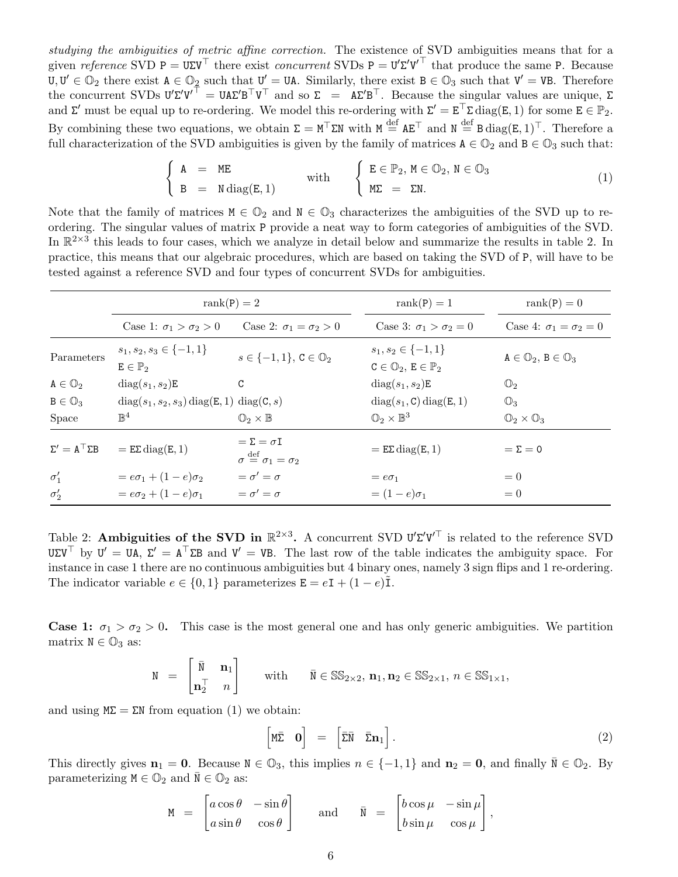studying the ambiguities of metric affine correction. The existence of SVD ambiguities means that for a given reference SVD  $P = U\Sigma V^{\top}$  there exist concurrent SVDs  $P = U'\Sigma'U'^{\top}$  that produce the same P. Because  $U, U' \in \mathbb{O}_2$  there exist  $A \in \mathbb{O}_2$  such that  $U' = UA$ . Similarly, there exist  $B \in \mathbb{O}_3$  such that  $V' = VB$ . Therefore the concurrent SVDs  $U'\Sigma'U'^{\top} = U\Lambda\Sigma' B^{\top}U^{\top}$  and so  $\Sigma = \Lambda\Sigma' B^{\top}$ . Because the singular values are unique,  $\Sigma$ and  $\Sigma'$  must be equal up to re-ordering. We model this re-ordering with  $\Sigma' = E^{\top} \Sigma \text{ diag}(E, 1)$  for some  $E \in \mathbb{P}_2$ . By combining these two equations, we obtain  $\Sigma = M^{\top} \Sigma N$  with  $M \stackrel{\text{def}}{=} A E^{\top}$  and  $N \stackrel{\text{def}}{=} B \operatorname{diag}(E, 1)^{\top}$ . Therefore a full characterization of the SVD ambiguities is given by the family of matrices  $A \in \mathbb{O}_2$  and  $B \in \mathbb{O}_3$  such that:

$$
\begin{cases}\nA = ME \\
B = N \operatorname{diag}(E, 1) \n\end{cases}\n\text{ with }\n\begin{cases}\nE \in \mathbb{P}_2, M \in \mathbb{O}_2, N \in \mathbb{O}_3 \\
M\Sigma = \Sigma N.\n\end{cases}\n\tag{1}
$$

Note that the family of matrices  $M \in \mathbb{O}_3$  characterizes the ambiguities of the SVD up to reordering. The singular values of matrix P provide a neat way to form categories of ambiguities of the SVD. In  $\mathbb{R}^{2\times3}$  this leads to four cases, which we analyze in detail below and summarize the results in table 2. In practice, this means that our algebraic procedures, which are based on taking the SVD of P, will have to be tested against a reference SVD and four types of concurrent SVDs for ambiguities.

|                               | $rank(P) = 2$                                         |                                                                               | $rank(P) = 1$                                                           | $rank(P) = 0$                               |
|-------------------------------|-------------------------------------------------------|-------------------------------------------------------------------------------|-------------------------------------------------------------------------|---------------------------------------------|
|                               | Case 1: $\sigma_1 > \sigma_2 > 0$                     | Case 2: $\sigma_1 = \sigma_2 > 0$                                             | Case 3: $\sigma_1 > \sigma_2 = 0$                                       | Case 4: $\sigma_1 = \sigma_2 = 0$           |
| Parameters                    | $s_1, s_2, s_3 \in \{-1, 1\}$<br>$E \in \mathbb{P}_2$ | $s \in \{-1,1\}, \, \mathsf{C} \in \mathbb{O}_2$                              | $s_1, s_2 \in \{-1, 1\}$<br>$C \in \mathbb{O}_2$ , $E \in \mathbb{P}_2$ | $A \in \mathbb{O}_2$ , $B \in \mathbb{O}_3$ |
| $A \in \mathbb{O}_2$          | $diag(s_1, s_2)E$                                     | C                                                                             | $diag(s_1, s_2)E$                                                       | $\mathbb{O}_2$                              |
| $B \in \mathbb{O}_3$          | $diag(s_1, s_2, s_3) diag(E, 1) diag(C, s)$           |                                                                               | $diag(s_1, C) diag(E, 1)$                                               | $\mathbb{O}_3$                              |
| Space                         | $\mathbb{B}^4$                                        | $\mathbb{O}_2\times\mathbb{B}$                                                | $\mathbb{O}_2\times\mathbb{B}^3$                                        | $\mathbb{O}_2\times\mathbb{O}_3$            |
| $\Sigma' = A^{\top} \Sigma B$ | $=$ EZ diag(E, 1)                                     | $=\Sigma = \sigma I$<br>$\sigma \stackrel{\text{def}}{=} \sigma_1 = \sigma_2$ | $=$ E $\Sigma$ diag(E, 1)                                               | $=\Sigma=0$                                 |
| $\sigma'_1$                   | $= e\sigma_1 + (1-e)\sigma_2$                         | $=\sigma'=\sigma$                                                             | $=$ $e\sigma_1$                                                         | $= 0$                                       |
| $\sigma_2'$                   | $= e\sigma_2 + (1-e)\sigma_1$                         | $=\sigma'=\sigma$                                                             | $=(1-e)\sigma_1$                                                        | $= 0$                                       |

Table 2: Ambiguities of the SVD in  $\mathbb{R}^{2\times3}$ . A concurrent SVD U' $\Sigma' V'^{\top}$  is related to the reference SVD UΣV<sup>T</sup> by U' = UA, Σ' = A<sup>T</sup>ΣB and V' = VB. The last row of the table indicates the ambiguity space. For instance in case 1 there are no continuous ambiguities but 4 binary ones, namely 3 sign flips and 1 re-ordering. The indicator variable  $e \in \{0, 1\}$  parameterizes  $\mathbf{E} = e\mathbf{I} + (1 - e)\tilde{\mathbf{I}}$ .

**Case 1:**  $\sigma_1 > \sigma_2 > 0$ . This case is the most general one and has only generic ambiguities. We partition matrix  $N \in \mathbb{O}_3$  as:

$$
\mathtt{N} \ = \ \begin{bmatrix} \bar{\mathtt{N}} & \mathbf{n}_1 \\ \mathbf{n}_2^{\top} & n \end{bmatrix} \qquad \text{with} \qquad \bar{\mathtt{N}} \in \mathbb{SS}_{2 \times 2}, \, \mathbf{n}_1, \mathbf{n}_2 \in \mathbb{SS}_{2 \times 1}, \, n \in \mathbb{SS}_{1 \times 1},
$$

and using  $M\Sigma = \Sigma N$  from equation (1) we obtain:

$$
\begin{bmatrix} M\bar{\Sigma} & \mathbf{0} \end{bmatrix} = \begin{bmatrix} \bar{\Sigma}\bar{N} & \bar{\Sigma}\mathbf{n}_1 \end{bmatrix}.
$$
 (2)

This directly gives  $n_1 = 0$ . Because  $N \in \mathbb{O}_3$ , this implies  $n \in \{-1,1\}$  and  $n_2 = 0$ , and finally  $\overline{N} \in \mathbb{O}_2$ . By parameterizing  $M \in \mathbb{O}_2$  and  $\overline{N} \in \mathbb{O}_2$  as:

$$
M = \begin{bmatrix} a\cos\theta & -\sin\theta \\ a\sin\theta & \cos\theta \end{bmatrix} \quad \text{and} \quad \bar{N} = \begin{bmatrix} b\cos\mu & -\sin\mu \\ b\sin\mu & \cos\mu \end{bmatrix},
$$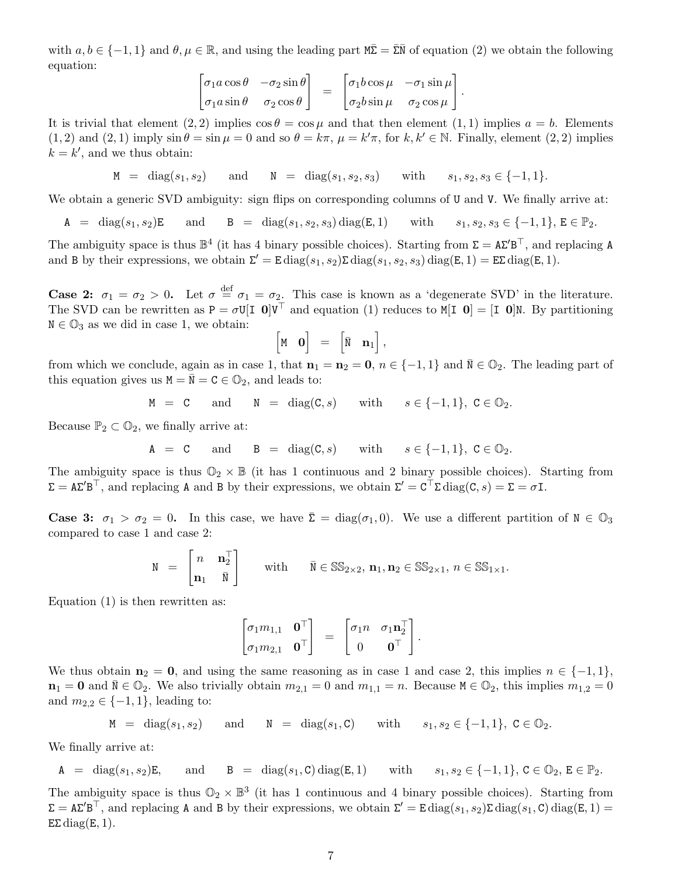with  $a, b \in \{-1, 1\}$  and  $\theta, \mu \in \mathbb{R}$ , and using the leading part  $M\bar{\Sigma} = \bar{\Sigma}\bar{N}$  of equation (2) we obtain the following equation:

$$
\begin{bmatrix}\n\sigma_1 a \cos \theta & -\sigma_2 \sin \theta \\
\sigma_1 a \sin \theta & \sigma_2 \cos \theta\n\end{bmatrix} = \begin{bmatrix}\n\sigma_1 b \cos \mu & -\sigma_1 \sin \mu \\
\sigma_2 b \sin \mu & \sigma_2 \cos \mu\n\end{bmatrix}.
$$

It is trivial that element  $(2, 2)$  implies  $\cos \theta = \cos \mu$  and that then element  $(1, 1)$  implies  $a = b$ . Elements  $(1, 2)$  and  $(2, 1)$  imply  $\sin \theta = \sin \mu = 0$  and so  $\theta = k\pi$ ,  $\mu = k'\pi$ , for  $k, k' \in \mathbb{N}$ . Finally, element  $(2, 2)$  implies  $k = k'$ , and we thus obtain:

 $M = \text{diag}(s_1, s_2)$  and  $N = \text{diag}(s_1, s_2, s_3)$  with  $s_1, s_2, s_3 \in \{-1, 1\}.$ 

We obtain a generic SVD ambiguity: sign flips on corresponding columns of U and V. We finally arrive at:

A = diag(s<sub>1</sub>, s<sub>2</sub>)E and B = diag(s<sub>1</sub>, s<sub>2</sub>, s<sub>3</sub>) diag(E, 1) with  $s_1, s_2, s_3 \in \{-1, 1\}$ , E  $\in \mathbb{P}_2$ .

The ambiguity space is thus  $\mathbb{B}^4$  (it has 4 binary possible choices). Starting from  $\Sigma = A\Sigma' B^{\top}$ , and replacing A and B by their expressions, we obtain  $\Sigma' = \text{E} \text{diag}(s_1, s_2) \Sigma \text{diag}(s_1, s_2, s_3) \text{diag}(E, 1) = \text{E}\Sigma \text{diag}(E, 1)$ .

**Case 2:**  $\sigma_1 = \sigma_2 > 0$ . Let  $\sigma \stackrel{\text{def}}{=} \sigma_1 = \sigma_2$ . This case is known as a 'degenerate SVD' in the literature. The SVD can be rewritten as  $P = \sigma U[I \ 0]V^{\top}$  and equation (1) reduces to  $M[I \ 0] = [I \ 0]N$ . By partitioning  $N \in \mathbb{O}_3$  as we did in case 1, we obtain:

$$
\left[\begin{matrix} \mathbf{M} & \mathbf{0} \end{matrix} \right] = \left[\begin{matrix} \bar{\mathbf{N}} & \mathbf{n}_1 \end{matrix} \right],
$$

from which we conclude, again as in case 1, that  $n_1 = n_2 = 0$ ,  $n \in \{-1,1\}$  and  $\overline{N} \in \mathbb{O}_2$ . The leading part of this equation gives us  $M = \overline{N} = C \in \mathbb{O}_2$ , and leads to:

$$
M = C \quad \text{and} \quad N = \text{diag}(C, s) \quad \text{with} \quad s \in \{-1, 1\}, C \in \mathbb{O}_2.
$$

Because  $\mathbb{P}_2 \subset \mathbb{O}_2$ , we finally arrive at:

$$
A = C \quad \text{and} \quad B = \text{diag}(C, s) \quad \text{with} \quad s \in \{-1, 1\}, C \in \mathbb{O}_2.
$$

The ambiguity space is thus  $\mathbb{O}_2 \times \mathbb{B}$  (it has 1 continuous and 2 binary possible choices). Starting from  $\Sigma = A\Sigma' B^{\top}$ , and replacing A and B by their expressions, we obtain  $\Sigma' = C^{\top} \Sigma \text{ diag}(C, s) = \Sigma = \sigma I$ .

**Case 3:**  $\sigma_1 > \sigma_2 = 0$ . In this case, we have  $\bar{\Sigma} = \text{diag}(\sigma_1, 0)$ . We use a different partition of  $N \in \mathbb{O}_3$ compared to case 1 and case 2:

$$
\mathbf{N} = \begin{bmatrix} n & \mathbf{n}_2^{\top} \\ \mathbf{n}_1 & \bar{\mathbf{N}} \end{bmatrix} \quad \text{with} \quad \bar{\mathbf{N}} \in \mathbb{SS}_{2 \times 2}, \, \mathbf{n}_1, \mathbf{n}_2 \in \mathbb{SS}_{2 \times 1}, \, n \in \mathbb{SS}_{1 \times 1}.
$$

Equation (1) is then rewritten as:

$$
\begin{bmatrix} \sigma_1 m_{1,1} & \mathbf{0}^\top \\ \sigma_1 m_{2,1} & \mathbf{0}^\top \end{bmatrix} = \begin{bmatrix} \sigma_1 n & \sigma_1 \mathbf{n}_2^\top \\ 0 & \mathbf{0}^\top \end{bmatrix}.
$$

We thus obtain  $n_2 = 0$ , and using the same reasoning as in case 1 and case 2, this implies  $n \in \{-1,1\}$ ,  $n_1 = 0$  and  $N \in \mathbb{Q}_2$ . We also trivially obtain  $m_{2,1} = 0$  and  $m_{1,1} = n$ . Because  $M \in \mathbb{Q}_2$ , this implies  $m_{1,2} = 0$ and  $m_{2,2} \in \{-1,1\}$ , leading to:

$$
M = diag(s_1, s_2) \quad \text{and} \quad N = diag(s_1, C) \quad \text{with} \quad s_1, s_2 \in \{-1, 1\}, C \in \mathbb{O}_2.
$$

We finally arrive at:

$$
\mathtt{A} \hspace{0.2cm} = \hspace{0.2cm} \mathrm{diag}(s_1,s_2) \mathtt{E}, \hspace{0.8cm} \text{and} \hspace{0.8cm} \mathtt{B} \hspace{0.2cm} = \hspace{0.2cm} \mathrm{diag}(s_1,\mathtt{C}) \hspace{0.2cm} \mathrm{diag}(\mathtt{E},1) \hspace{0.8cm} \text{with} \hspace{0.8cm} s_1,s_2 \in \{-1,1\}, \, \mathtt{C} \in \mathbb{D}_2, \, \mathtt{E} \in \mathbb{P}_2.
$$

The ambiguity space is thus  $\mathbb{O}_2 \times \mathbb{B}^3$  (it has 1 continuous and 4 binary possible choices). Starting from  $\Sigma = A\Sigma' B^{\top}$ , and replacing A and B by their expressions, we obtain  $\Sigma' = E \text{diag}(s_1, s_2) \Sigma \text{diag}(s_1, C) \text{diag}(E, 1) =$ EΣ diag(E, 1).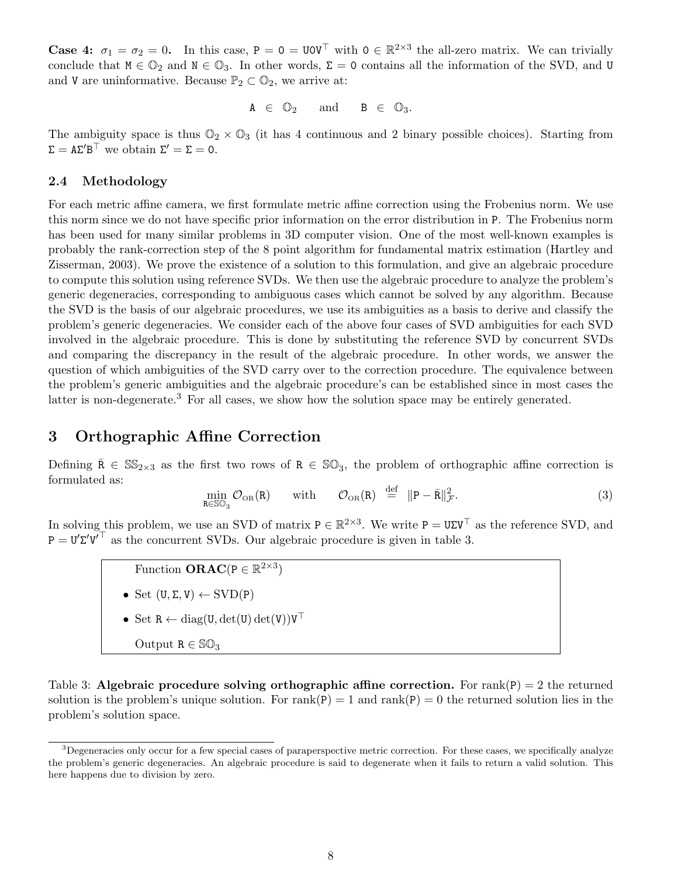**Case 4:**  $\sigma_1 = \sigma_2 = 0$ . In this case,  $P = 0 = U0V^{\top}$  with  $0 \in \mathbb{R}^{2 \times 3}$  the all-zero matrix. We can trivially conclude that  $M \in \mathbb{O}_2$  and  $N \in \mathbb{O}_3$ . In other words,  $\Sigma = 0$  contains all the information of the SVD, and U and V are uninformative. Because  $\mathbb{P}_2 \subset \mathbb{O}_2$ , we arrive at:

$$
A\ \in\ \mathbb{O}_2\qquad\text{and}\qquad B\ \in\ \mathbb{O}_3.
$$

The ambiguity space is thus  $\mathbb{O}_2 \times \mathbb{O}_3$  (it has 4 continuous and 2 binary possible choices). Starting from  $\Sigma = A\Sigma' B^{\top}$  we obtain  $\Sigma' = \Sigma = 0$ .

## 2.4 Methodology

For each metric affine camera, we first formulate metric affine correction using the Frobenius norm. We use this norm since we do not have specific prior information on the error distribution in P. The Frobenius norm has been used for many similar problems in 3D computer vision. One of the most well-known examples is probably the rank-correction step of the 8 point algorithm for fundamental matrix estimation (Hartley and Zisserman, 2003). We prove the existence of a solution to this formulation, and give an algebraic procedure to compute this solution using reference SVDs. We then use the algebraic procedure to analyze the problem's generic degeneracies, corresponding to ambiguous cases which cannot be solved by any algorithm. Because the SVD is the basis of our algebraic procedures, we use its ambiguities as a basis to derive and classify the problem's generic degeneracies. We consider each of the above four cases of SVD ambiguities for each SVD involved in the algebraic procedure. This is done by substituting the reference SVD by concurrent SVDs and comparing the discrepancy in the result of the algebraic procedure. In other words, we answer the question of which ambiguities of the SVD carry over to the correction procedure. The equivalence between the problem's generic ambiguities and the algebraic procedure's can be established since in most cases the latter is non-degenerate.<sup>3</sup> For all cases, we show how the solution space may be entirely generated.

## 3 Orthographic Affine Correction

Defining  $\bar{R} \in \mathbb{SS}_{2\times 3}$  as the first two rows of  $R \in \mathbb{SO}_3$ , the problem of orthographic affine correction is formulated as:

$$
\min_{\mathbf{R}\in\mathbb{SO}_3}\mathcal{O}_{\text{OR}}(\mathbf{R})\qquad\text{with}\qquad\mathcal{O}_{\text{OR}}(\mathbf{R})\stackrel{\text{def}}{=}\|\mathbf{P}-\bar{\mathbf{R}}\|_{\mathcal{F}}^2.
$$
\n(3)

In solving this problem, we use an SVD of matrix  $P \in \mathbb{R}^{2\times3}$ . We write  $P = U\Sigma V^{\top}$  as the reference SVD, and  $P = U' \Sigma' V^{\top}$  as the concurrent SVDs. Our algebraic procedure is given in table 3.

Function 
$$
\mathbf{ORAC}(P \in \mathbb{R}^{2 \times 3})
$$

- Set  $(U, \Sigma, V) \leftarrow \text{SVD}(P)$
- Set  $R \leftarrow diag(U, det(U) det(V))V^{\top}$

$$
\text{Output } R \in \mathbb{SO}_3
$$

Table 3: Algebraic procedure solving orthographic affine correction. For  $rank(P) = 2$  the returned solution is the problem's unique solution. For rank(P) = 1 and rank(P) = 0 the returned solution lies in the problem's solution space.

 $3$ Degeneracies only occur for a few special cases of paraperspective metric correction. For these cases, we specifically analyze the problem's generic degeneracies. An algebraic procedure is said to degenerate when it fails to return a valid solution. This here happens due to division by zero.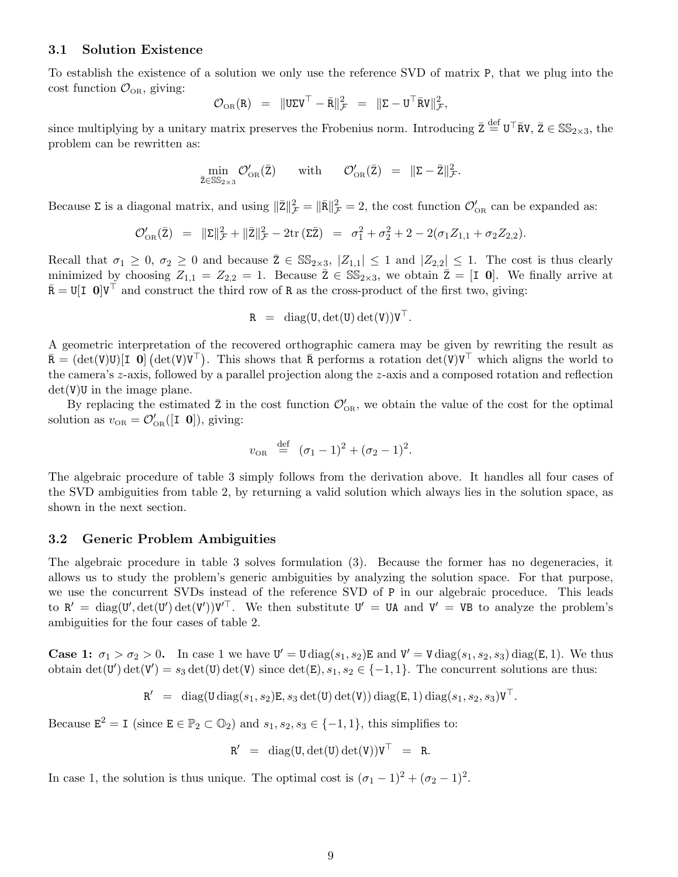#### 3.1 Solution Existence

To establish the existence of a solution we only use the reference SVD of matrix P, that we plug into the cost function  $\mathcal{O}_{OR}$ , giving:

$$
\mathcal{O}_{\scriptscriptstyle \mathrm{OR}}(\mathtt{R}) \;\; = \;\; \| \mathtt{U} \mathtt{\Sigma} \mathtt{V}^\top - \bar{\mathtt{R}} \|_{\mathcal{F}}^2 \;\; = \;\; \| \mathtt{\Sigma} - \mathtt{U}^\top \bar{\mathtt{R}} \mathtt{V} \|_{\mathcal{F}}^2,
$$

since multiplying by a unitary matrix preserves the Frobenius norm. Introducing  $\bar{z} \stackrel{\text{def}}{=} U^{\top} \bar{R} V$ ,  $\bar{Z} \in \mathbb{SS}_{2\times 3}$ , the problem can be rewritten as:

$$
\min_{\bar{z}\in\mathbb{SS}_{2\times 3}}\mathcal{O}'_{\text{OR}}(\bar{z}) \quad \text{ with }\quad \mathcal{O}'_{\text{OR}}(\bar{z}) = \|\bar{z} - \bar{z}\|_{\mathcal{F}}^2.
$$

Because  $\Sigma$  is a diagonal matrix, and using  $\|\bar{\mathbf{Z}}\|_{\mathcal{F}}^2 = \|\bar{\mathbf{R}}\|_{\mathcal{F}}^2 = 2$ , the cost function  $\mathcal{O}'_{\text{OR}}$  can be expanded as:

$$
\mathcal{O}'_{\text{OR}}(\bar{z}) = \|\Sigma\|_{\mathcal{F}}^2 + \|\bar{z}\|_{\mathcal{F}}^2 - 2\text{tr}(\Sigma\bar{z}) = \sigma_1^2 + \sigma_2^2 + 2 - 2(\sigma_1 Z_{1,1} + \sigma_2 Z_{2,2}).
$$

Recall that  $\sigma_1 \geq 0$ ,  $\sigma_2 \geq 0$  and because  $\overline{Z} \in \mathbb{SS}_{2\times 3}$ ,  $|Z_{1,1}| \leq 1$  and  $|Z_{2,2}| \leq 1$ . The cost is thus clearly minimized by choosing  $Z_{1,1} = Z_{2,2} = 1$ . Because  $\bar{Z} \in \mathbb{SS}_{2\times 3}$ , we obtain  $\bar{Z} = [I \ 0]$ . We finally arrive at  $\bar{\mathbf{R}} = \mathbf{U}[\mathbf{I} \ \mathbf{0}] \mathbf{V}^{\top}$  and construct the third row of R as the cross-product of the first two, giving:

$$
R = diag(U, det(U) det(V))VT.
$$

A geometric interpretation of the recovered orthographic camera may be given by rewriting the result as  $\bar{\mathbf{R}} = (\det(\mathbf{V})\mathbf{U})[\mathbf{I} \; \mathbf{0}] (\det(\mathbf{V})\mathbf{V}^{\top})$ . This shows that  $\bar{\mathbf{R}}$  performs a rotation  $\det(\mathbf{V})\mathbf{V}^{\top}$  which aligns the world to the camera's z-axis, followed by a parallel projection along the z-axis and a composed rotation and reflection  $det(V)U$  in the image plane.

By replacing the estimated  $\bar{z}$  in the cost function  $\mathcal{O}'_{\text{OR}}$ , we obtain the value of the cost for the optimal solution as  $v_{OR} = \mathcal{O}'_{OR}([I \ 0]),$  giving:

$$
v_{\text{OR}} \stackrel{\text{def}}{=} (\sigma_1 - 1)^2 + (\sigma_2 - 1)^2.
$$

The algebraic procedure of table 3 simply follows from the derivation above. It handles all four cases of the SVD ambiguities from table 2, by returning a valid solution which always lies in the solution space, as shown in the next section.

#### 3.2 Generic Problem Ambiguities

The algebraic procedure in table 3 solves formulation (3). Because the former has no degeneracies, it allows us to study the problem's generic ambiguities by analyzing the solution space. For that purpose, we use the concurrent SVDs instead of the reference SVD of P in our algebraic proceduce. This leads to  $R' = \text{diag}(U', \text{det}(U')) \text{det}(V'))V'^{\top}$ . We then substitute  $U' = UA$  and  $V' = VB$  to analyze the problem's ambiguities for the four cases of table 2.

**Case 1:**  $\sigma_1 > \sigma_2 > 0$ . In case 1 we have  $\mathbf{U}' = \mathbf{U} \text{diag}(s_1, s_2) \mathbf{E}$  and  $\mathbf{V}' = \mathbf{V} \text{diag}(s_1, s_2, s_3) \text{diag}(E, 1)$ . We thus obtain  $\det(\mathbf{U}') \det(\mathbf{V}') = s_3 \det(\mathbf{U}) \det(\mathbf{V})$  since  $\det(\mathbf{E}), s_1, s_2 \in \{-1, 1\}$ . The concurrent solutions are thus:

$$
\mathtt{R}' \ \ = \ \ \operatorname{diag}(\mathtt{U}\operatorname{diag}(s_1,s_2)\mathtt{E}, s_3\operatorname{det}(\mathtt{U})\operatorname{det}(\mathtt{V}))\operatorname{diag}(\mathtt{E},1)\operatorname{diag}(s_1,s_2,s_3)\mathtt{V}^\top.
$$

Because  $\mathbb{E}^2 = I$  (since  $\mathbb{E} \in \mathbb{P}_2 \subset \mathbb{Q}_2$ ) and  $s_1, s_2, s_3 \in \{-1, 1\}$ , this simplifies to:

$$
R' = diag(U, det(U) det(V))V^{\top} = R.
$$

In case 1, the solution is thus unique. The optimal cost is  $(\sigma_1 - 1)^2 + (\sigma_2 - 1)^2$ .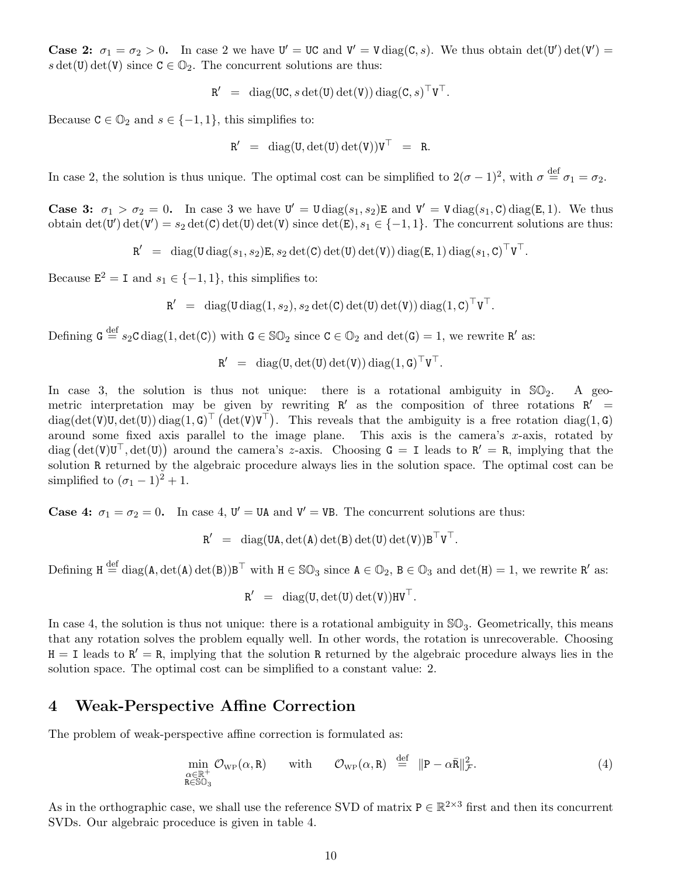**Case 2:**  $\sigma_1 = \sigma_2 > 0$ . In case 2 we have  $U' = UC$  and  $V' = V \text{diag}(C, s)$ . We thus obtain  $\det(U') \det(V') =$ s det(U) det(V) since  $C \in \mathbb{O}_2$ . The concurrent solutions are thus:

$$
R' = diag(UC, s det(U) det(V)) diag(C, s)TVT.
$$

Because  $C \in \mathbb{O}_2$  and  $s \in \{-1,1\}$ , this simplifies to:

$$
R' \ = \ \mathrm{diag}(U, \det(U) \det(V)) V^\top \ = \ R.
$$

In case 2, the solution is thus unique. The optimal cost can be simplified to  $2(\sigma-1)^2$ , with  $\sigma \stackrel{\text{def}}{=} \sigma_1 = \sigma_2$ .

**Case 3:**  $\sigma_1 > \sigma_2 = 0$ . In case 3 we have  $U' = U \text{diag}(s_1, s_2)E$  and  $V' = V \text{diag}(s_1, C) \text{diag}(E, 1)$ . We thus obtain  $\det(\mathbf{U}') \det(\mathbf{V}') = s_2 \det(\mathbf{C}) \det(\mathbf{U}) \det(\mathbf{V})$  since  $\det(\mathbf{E}), s_1 \in \{-1, 1\}$ . The concurrent solutions are thus:

 ${\tt R}' \;\; = \;\; {\rm diag}({\tt U}\, {\rm diag}(s_1,s_2) {\tt E}, s_2 \, {\rm det}({\tt C}) \, {\rm det}({\tt U}) \, {\rm det}({\tt V})) \, {\rm diag}({\tt E},1) \, {\rm diag}(s_1,{\tt C})^\top {\tt V}^\top.$ 

Because  $\mathbf{E}^2 = \mathbf{I}$  and  $s_1 \in \{-1, 1\}$ , this simplifies to:

$$
\mathtt{R}' \ \ = \ \ \operatorname{diag}(\mathtt{U}\operatorname{diag}(1,s_2), s_2\operatorname{det}(\mathtt{C})\operatorname{det}(\mathtt{U})\operatorname{det}(\mathtt{V}))\operatorname{diag}(1,\mathtt{C})^{\top}\mathtt{V}^{\top}.
$$

Defining  $G \stackrel{\text{def}}{=} s_2C \operatorname{diag}(1, \det(C))$  with  $G \in \mathbb{SO}_2$  since  $C \in \mathbb{O}_2$  and  $\det(G) = 1$ , we rewrite R' as:

$$
R' \ = \ \operatorname{diag}(U,\det(U)\det(V))\operatorname{diag}(1,G)^\top V^\top.
$$

In case 3, the solution is thus not unique: there is a rotational ambiguity in  $\mathbb{SO}_2$ . A geometric interpretation may be given by rewriting  $R'$  as the composition of three rotations  $R'$  =  $diag(det(V)U, det(U)) diag(1, G)^{\top} (det(V)V^{\top}).$  This reveals that the ambiguity is a free rotation diag(1, G) around some fixed axis parallel to the image plane. This axis is the camera's x-axis, rotated by  $diag\left(\det(V)U^{\top}, \det(U)\right)$  around the camera's z-axis. Choosing  $G = I$  leads to  $R' = R$ , implying that the solution R returned by the algebraic procedure always lies in the solution space. The optimal cost can be simplified to  $({\sigma_1} - 1)^2 + 1$ .

**Case 4:**  $\sigma_1 = \sigma_2 = 0$ . In case 4,  $\mathbf{U}' = \mathbf{UA}$  and  $\mathbf{V}' = \mathbf{VB}$ . The concurrent solutions are thus:

$$
R' \ = \ \operatorname{diag}(UA, \det(A) \det(B) \det(U) \det(V)) B^{\top} V^{\top}.
$$

Defining  $H \stackrel{\text{def}}{=} \text{diag}(A, \text{det}(A) \text{det}(B))B^{\top}$  with  $H \in \mathbb{SO}_3$  since  $A \in \mathbb{O}_2$ ,  $B \in \mathbb{O}_3$  and  $\text{det}(H) = 1$ , we rewrite R' as:

 $R' = diag(U, det(U) det(V))$ HV<sup>T</sup>.

In case 4, the solution is thus not unique: there is a rotational ambiguity in  $\mathbb{SO}_3$ . Geometrically, this means that any rotation solves the problem equally well. In other words, the rotation is unrecoverable. Choosing  $H = I$  leads to  $R' = R$ , implying that the solution R returned by the algebraic procedure always lies in the solution space. The optimal cost can be simplified to a constant value: 2.

## 4 Weak-Perspective Affine Correction

The problem of weak-perspective affine correction is formulated as:

$$
\min_{\substack{\alpha \in \mathbb{R}^+\\ \mathbf{R} \in \mathbb{SO}_3}} \mathcal{O}_{\text{WP}}(\alpha, \mathbf{R}) \quad \text{with} \quad \mathcal{O}_{\text{WP}}(\alpha, \mathbf{R}) \stackrel{\text{def}}{=} \|P - \alpha \bar{\mathbf{R}}\|_{\mathcal{F}}^2. \tag{4}
$$

As in the orthographic case, we shall use the reference SVD of matrix  $P \in \mathbb{R}^{2 \times 3}$  first and then its concurrent SVDs. Our algebraic proceduce is given in table 4.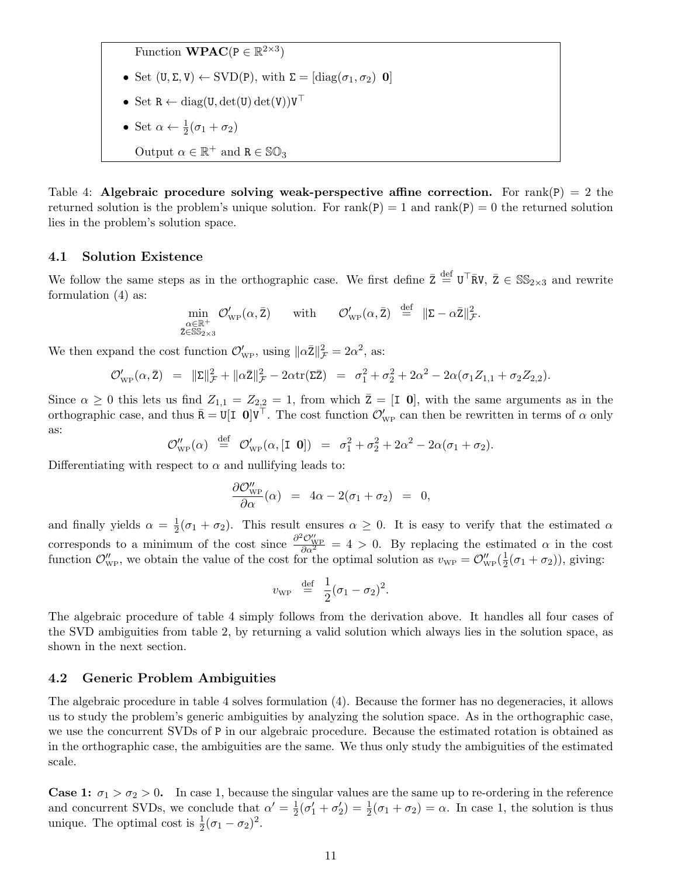Function **WPAC**( $P \in \mathbb{R}^{2 \times 3}$ )

- Set  $(U, \Sigma, V) \leftarrow \text{SVD}(P)$ , with  $\Sigma = [\text{diag}(\sigma_1, \sigma_2) \ \mathbf{0}]$
- Set  $R \leftarrow diag(U, det(U) det(V))V^{\top}$
- Set  $\alpha \leftarrow \frac{1}{2}(\sigma_1 + \sigma_2)$
- Output  $\alpha \in \mathbb{R}^+$  and  $R \in \mathbb{SO}_3$

Table 4: Algebraic procedure solving weak-perspective affine correction. For rank(P) = 2 the returned solution is the problem's unique solution. For  $rank(P) = 1$  and  $rank(P) = 0$  the returned solution lies in the problem's solution space.

### 4.1 Solution Existence

We follow the same steps as in the orthographic case. We first define  $\bar{z} \stackrel{\text{def}}{=} U^{\top} \bar{R}V$ ,  $\bar{Z} \in \mathbb{SS}_{2\times 3}$  and rewrite formulation (4) as:

$$
\min_{\substack{\alpha \in \mathbb{R}^+\\ \overline{z} \in \text{SS}_{2\times 3}}} \mathcal{O}_{\text{WP}}'(\alpha, \bar{z}) \quad \text{ with } \quad \mathcal{O}_{\text{WP}}'(\alpha, \bar{z}) \stackrel{\text{def}}{=} \| \overline{z} - \alpha \bar{z} \|_{\mathcal{F}}^2.
$$

We then expand the cost function  $\mathcal{O}'_{\text{WP}}$ , using  $\|\alpha \bar{\mathbf{Z}}\|_{\mathcal{F}}^2 = 2\alpha^2$ , as:

$$
\mathcal{O}'_{\text{WP}}(\alpha, \bar{Z}) = \|\Sigma\|_{\mathcal{F}}^2 + \|\alpha \bar{Z}\|_{\mathcal{F}}^2 - 2\alpha \text{tr}(\Sigma \bar{Z}) = \sigma_1^2 + \sigma_2^2 + 2\alpha^2 - 2\alpha(\sigma_1 Z_{1,1} + \sigma_2 Z_{2,2}).
$$

Since  $\alpha \geq 0$  this lets us find  $Z_{1,1} = Z_{2,2} = 1$ , from which  $\overline{Z} = [I \ 0]$ , with the same arguments as in the orthographic case, and thus  $\bar{\mathbf{R}} = \mathbf{U}[\mathbf{I} \ \mathbf{0}] \mathbf{V}^{\top}$ . The cost function  $\mathcal{O}'_{\text{WP}}$  can then be rewritten in terms of  $\alpha$  only as:

$$
\mathcal{O}_{\rm WP}''(\alpha) \stackrel{\text{def}}{=} \mathcal{O}_{\rm WP}'(\alpha,[\mathbf{I} \ \mathbf{0}]) = \sigma_1^2 + \sigma_2^2 + 2\alpha^2 - 2\alpha(\sigma_1 + \sigma_2).
$$

Differentiating with respect to  $\alpha$  and nullifying leads to:

$$
\frac{\partial \mathcal{O}''_{\text{WP}}}{\partial \alpha}(\alpha) = 4\alpha - 2(\sigma_1 + \sigma_2) = 0,
$$

and finally yields  $\alpha = \frac{1}{2}$  $\frac{1}{2}(\sigma_1 + \sigma_2)$ . This result ensures  $\alpha \geq 0$ . It is easy to verify that the estimated  $\alpha$ corresponds to a minimum of the cost since  $\frac{\partial^2 \mathcal{O}_{WP}^{\prime\prime}}{\partial \alpha^2} = 4 > 0$ . By replacing the estimated  $\alpha$  in the cost function  $\mathcal{O}''_{WP}$ , we obtain the value of the cost for the optimal solution as  $v_{WP} = \mathcal{O}''_{WP}(\frac{1}{2})$  $\frac{1}{2}(\sigma_1+\sigma_2)$ ), giving:

$$
v_{\rm WP} \stackrel{\rm def}{=} \frac{1}{2}(\sigma_1 - \sigma_2)^2.
$$

The algebraic procedure of table 4 simply follows from the derivation above. It handles all four cases of the SVD ambiguities from table 2, by returning a valid solution which always lies in the solution space, as shown in the next section.

### 4.2 Generic Problem Ambiguities

The algebraic procedure in table 4 solves formulation (4). Because the former has no degeneracies, it allows us to study the problem's generic ambiguities by analyzing the solution space. As in the orthographic case, we use the concurrent SVDs of P in our algebraic procedure. Because the estimated rotation is obtained as in the orthographic case, the ambiguities are the same. We thus only study the ambiguities of the estimated scale.

**Case 1:**  $\sigma_1 > \sigma_2 > 0$ . In case 1, because the singular values are the same up to re-ordering in the reference and concurrent SVDs, we conclude that  $\alpha' = \frac{1}{2}$  $\frac{1}{2}(\sigma'_1 + \sigma'_2) = \frac{1}{2}(\sigma_1 + \sigma_2) = \alpha$ . In case 1, the solution is thus unique. The optimal cost is  $\frac{1}{2}(\sigma_1 - \sigma_2)^2$ .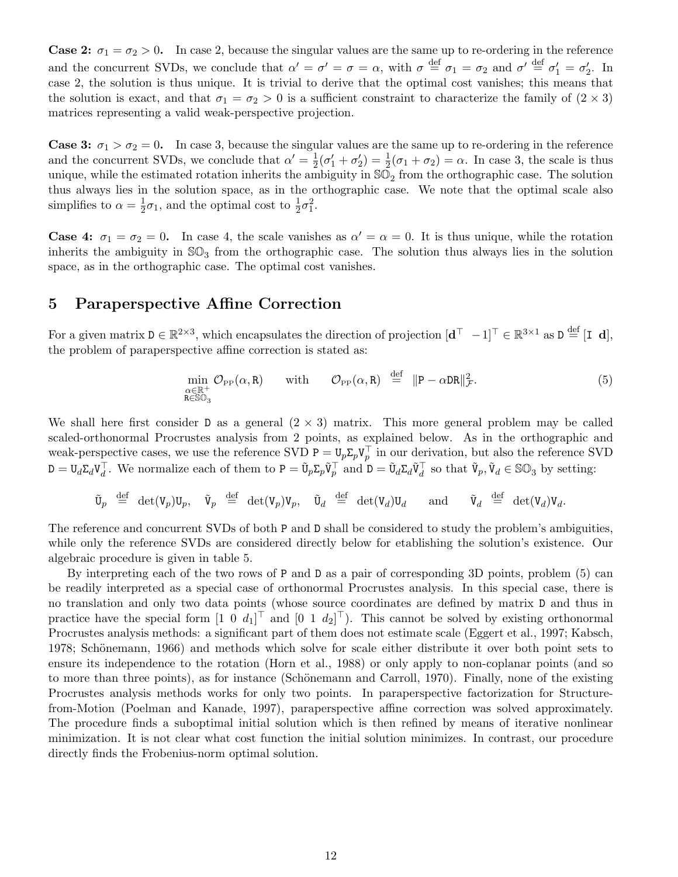**Case 2:**  $\sigma_1 = \sigma_2 > 0$ . In case 2, because the singular values are the same up to re-ordering in the reference and the concurrent SVDs, we conclude that  $\alpha' = \sigma' = \sigma = \alpha$ , with  $\sigma \stackrel{\text{def}}{=} \sigma_1 = \sigma_2$  and  $\sigma' \stackrel{\text{def}}{=} \sigma'_1 = \sigma'_2$ . In case 2, the solution is thus unique. It is trivial to derive that the optimal cost vanishes; this means that the solution is exact, and that  $\sigma_1 = \sigma_2 > 0$  is a sufficient constraint to characterize the family of  $(2 \times 3)$ matrices representing a valid weak-perspective projection.

**Case 3:**  $\sigma_1 > \sigma_2 = 0$ . In case 3, because the singular values are the same up to re-ordering in the reference and the concurrent SVDs, we conclude that  $\alpha' = \frac{1}{2}$  $\frac{1}{2}(\sigma'_1 + \sigma'_2) = \frac{1}{2}(\sigma_1 + \sigma_2) = \alpha$ . In case 3, the scale is thus unique, while the estimated rotation inherits the ambiguity in  $\mathbb{SO}_2$  from the orthographic case. The solution thus always lies in the solution space, as in the orthographic case. We note that the optimal scale also simplifies to  $\alpha = \frac{1}{2}$  $\frac{1}{2}\sigma_1$ , and the optimal cost to  $\frac{1}{2}\sigma_1^2$ .

**Case 4:**  $\sigma_1 = \sigma_2 = 0$ . In case 4, the scale vanishes as  $\alpha' = \alpha = 0$ . It is thus unique, while the rotation inherits the ambiguity in  $\mathbb{SO}_3$  from the orthographic case. The solution thus always lies in the solution space, as in the orthographic case. The optimal cost vanishes.

## 5 Paraperspective Affine Correction

For a given matrix  $D \in \mathbb{R}^{2\times3}$ , which encapsulates the direction of projection  $[\mathbf{d}^{\top}$   $-1]^{\top} \in \mathbb{R}^{3\times1}$  as  $D \stackrel{\text{def}}{=} [\mathbf{I} \ \mathbf{d}],$ the problem of paraperspective affine correction is stated as:

$$
\min_{\substack{\alpha \in \mathbb{R}^+\\ \mathbf{R} \in \mathbb{S}\mathbb{O}_3}} \mathcal{O}_{\mathbf{P}^{\mathbf{P}}}(\alpha, \mathbf{R}) \quad \text{with} \quad \mathcal{O}_{\mathbf{P}^{\mathbf{P}}}(\alpha, \mathbf{R}) \stackrel{\text{def}}{=} \| \mathbf{P} - \alpha \mathbf{D} \mathbf{R} \|_{\mathcal{F}}^2. \tag{5}
$$

We shall here first consider D as a general  $(2 \times 3)$  matrix. This more general problem may be called scaled-orthonormal Procrustes analysis from 2 points, as explained below. As in the orthographic and weak-perspective cases, we use the reference SVD  $P = U_p \Sigma_p V_p^{\top}$  in our derivation, but also the reference SVD  $D = U_d \Sigma_d V_d^{\top}$ . We normalize each of them to  $P = \tilde{U}_p \Sigma_p \tilde{V}_p^{\top}$  and  $D = \tilde{U}_d \Sigma_d \tilde{V}_d^{\top}$  so that  $\tilde{V}_p, \tilde{V}_d \in \mathbb{SO}_3$  by setting:

 $\tilde{\mathtt{U}}_p \stackrel{\text{def}}{=} \det(\mathtt{V}_p) \mathtt{U}_p, \quad \tilde{\mathtt{U}}_q \stackrel{\text{def}}{=} \det(\mathtt{V}_d) \mathtt{U}_d \quad \text{and} \quad \tilde{\mathtt{V}}_d \stackrel{\text{def}}{=} \det(\mathtt{V}_d) \mathtt{V}_d.$ 

The reference and concurrent SVDs of both P and D shall be considered to study the problem's ambiguities, while only the reference SVDs are considered directly below for etablishing the solution's existence. Our algebraic procedure is given in table 5.

By interpreting each of the two rows of P and D as a pair of corresponding 3D points, problem (5) can be readily interpreted as a special case of orthonormal Procrustes analysis. In this special case, there is no translation and only two data points (whose source coordinates are defined by matrix D and thus in practice have the special form  $[1 \ 0 \ d_1]^T$  and  $[0 \ 1 \ d_2]^T$ ). This cannot be solved by existing orthonormal Procrustes analysis methods: a significant part of them does not estimate scale (Eggert et al., 1997; Kabsch, 1978; Schönemann, 1966) and methods which solve for scale either distribute it over both point sets to ensure its independence to the rotation (Horn et al., 1988) or only apply to non-coplanar points (and so to more than three points), as for instance (Schönemann and Carroll, 1970). Finally, none of the existing Procrustes analysis methods works for only two points. In paraperspective factorization for Structurefrom-Motion (Poelman and Kanade, 1997), paraperspective affine correction was solved approximately. The procedure finds a suboptimal initial solution which is then refined by means of iterative nonlinear minimization. It is not clear what cost function the initial solution minimizes. In contrast, our procedure directly finds the Frobenius-norm optimal solution.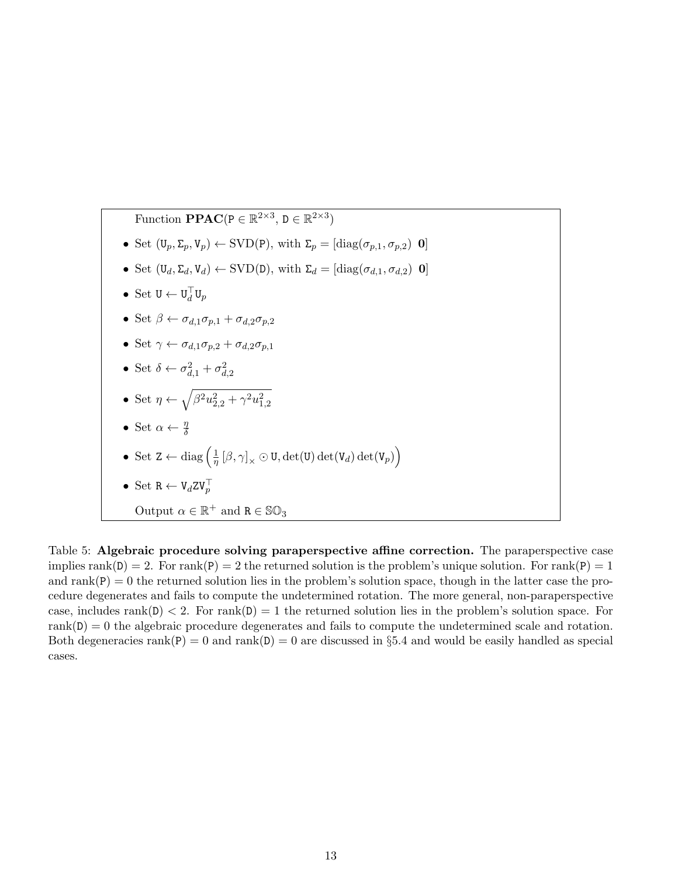Function **PPAC**(
$$
P \in \mathbb{R}^{2\times 3}
$$
,  $D \in \mathbb{R}^{2\times 3}$ )  
\n• Set  $(U_p, \Sigma_p, V_p) \leftarrow$  SVD(P), with  $\Sigma_p = [\text{diag}(\sigma_{p,1}, \sigma_{p,2}) \text{ 0}]$   
\n• Set  $(U_d, \Sigma_d, V_d) \leftarrow$  SVD(D), with  $\Sigma_d = [\text{diag}(\sigma_{d,1}, \sigma_{d,2}) \text{ 0}]$   
\n• Set  $U \leftarrow U_d^{\top} U_p$   
\n• Set  $\beta \leftarrow \sigma_{d,1} \sigma_{p,1} + \sigma_{d,2} \sigma_{p,2}$   
\n• Set  $\gamma \leftarrow \sigma_{d,1} \sigma_{p,2} + \sigma_{d,2} \sigma_{p,1}$   
\n• Set  $\delta \leftarrow \sigma_{d,1}^2 + \sigma_{d,2}^2$   
\n• Set  $\eta \leftarrow \sqrt{\beta^2 u_{2,2}^2 + \gamma^2 u_{1,2}^2}$   
\n• Set  $\alpha \leftarrow \frac{\eta}{\delta}$   
\n• Set  $\alpha \leftarrow \frac{\eta}{\delta}$   
\n• Set  $\alpha \leftarrow \frac{\eta}{\delta}$   
\n• Set  $K \leftarrow V_d Z V_p^{\top}$   
\nOutput  $\alpha \in \mathbb{R}^+$  and  $R \in \mathbb{SO}_3$ 

Table 5: Algebraic procedure solving paraperspective affine correction. The paraperspective case implies rank(D) = 2. For rank(P) = 2 the returned solution is the problem's unique solution. For rank(P) = 1 and  $rank(P) = 0$  the returned solution lies in the problem's solution space, though in the latter case the procedure degenerates and fails to compute the undetermined rotation. The more general, non-paraperspective case, includes rank(D)  $\lt 2$ . For rank(D)  $= 1$  the returned solution lies in the problem's solution space. For  $rank(D) = 0$  the algebraic procedure degenerates and fails to compute the undetermined scale and rotation. Both degeneracies  $rank(P) = 0$  and  $rank(D) = 0$  are discussed in §5.4 and would be easily handled as special cases.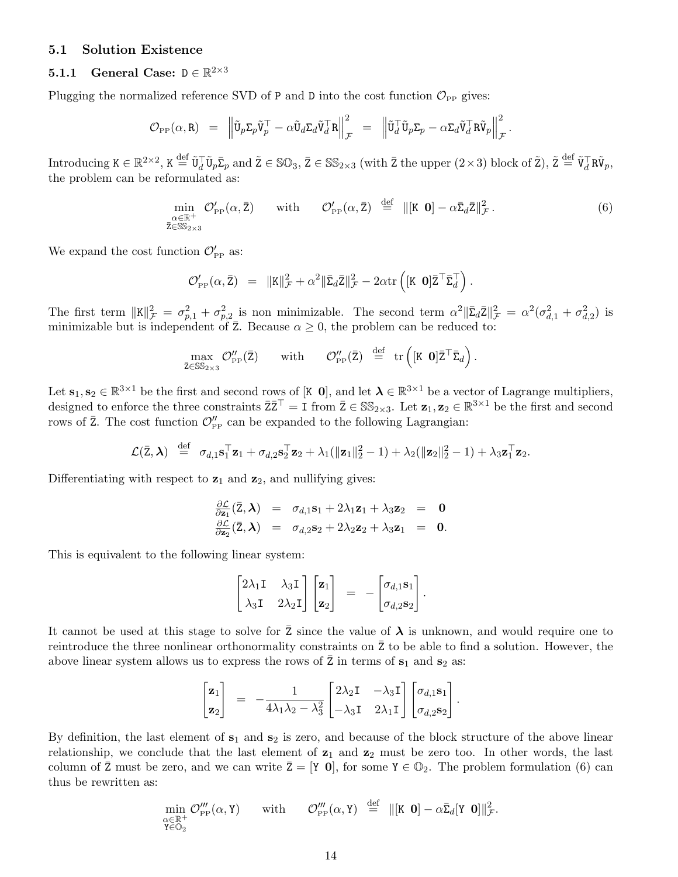## 5.1 Solution Existence

# **5.1.1** General Case:  $D \in \mathbb{R}^{2 \times 3}$

Plugging the normalized reference SVD of P and D into the cost function  $\mathcal{O}_{\text{PP}}$  gives:

$$
\mathcal{O}_{\mathrm{PP}}(\alpha, \mathtt{R}) = \left\| \tilde{\mathtt{U}}_p \mathtt{\Sigma}_p \tilde{\mathtt{V}}_p^\top - \alpha \tilde{\mathtt{U}}_d \mathtt{\Sigma}_d \tilde{\mathtt{V}}_d^\top \mathtt{R} \right\|_\mathcal{F}^2 = \left\| \tilde{\mathtt{U}}_d^\top \tilde{\mathtt{U}}_p \mathtt{\Sigma}_p - \alpha \mathtt{\Sigma}_d \tilde{\mathtt{V}}_d^\top \mathtt{R} \tilde{\mathtt{V}}_p \right\|_\mathcal{F}^2.
$$

 $\text{Introducing } K \in \mathbb{R}^{2 \times 2}, K \stackrel{\text{def}}{=} \tilde{U}_{d}^{\top} \tilde{U}_{p} \bar{\Sigma}_{p} \text{ and } \tilde{Z} \in \mathbb{SO}_{3}, \bar{Z} \in \mathbb{SS}_{2 \times 3} \text{ (with } \bar{Z} \text{ the upper } (2 \times 3) \text{ block of } \tilde{Z}), \tilde{Z} \stackrel{\text{def}}{=} \tilde{V}_{d}^{\top} R \tilde{V}_{p},$ the problem can be reformulated as:

$$
\min_{\substack{\alpha \in \mathbb{R}^+\\ \overline{z}\in \mathbb{SS}_{2\times 3}}} \mathcal{O}'_{\mathsf{PP}}(\alpha, \overline{z}) \quad \text{with} \quad \mathcal{O}'_{\mathsf{PP}}(\alpha, \overline{z}) \stackrel{\text{def}}{=} ||[K \; \mathbf{0}] - \alpha \overline{\Sigma}_d \overline{z}||^2_{\mathcal{F}}.
$$
\n(6)

We expand the cost function  $\mathcal{O}'_{\text{PP}}$  as:

$$
\mathcal{O}'_{\mathrm{PP}}(\alpha, \bar{\mathbf{Z}}) = \|\mathbf{K}\|_{\mathcal{F}}^2 + \alpha^2 \|\bar{\Sigma}_d \bar{\mathbf{Z}}\|_{\mathcal{F}}^2 - 2\alpha \mathrm{tr}\left( [\mathbf{K} \ \mathbf{0}] \bar{\mathbf{Z}}^{\top} \bar{\Sigma}_d^{\top} \right).
$$

The first term  $||\mathbf{K}||^2_{\mathcal{F}} = \sigma_{p,1}^2 + \sigma_{p,2}^2$  is non minimizable. The second term  $\alpha^2 ||\bar{\Sigma}_d \bar{\mathbf{Z}}||^2_{\mathcal{F}} = \alpha^2(\sigma_{d,1}^2 + \sigma_{d,2}^2)$  is minimizable but is independent of  $\overline{z}$ . Because  $\alpha \geq 0$ , the problem can be reduced to:

$$
\max_{\bar{z}\in \mathbb{SS}_{2\times 3}}\mathcal{O}''_{\mathrm{PP}}(\bar{z})\qquad\textrm{with}\qquad \mathcal{O}''_{\mathrm{PP}}(\bar{z})\;\;\stackrel{\mathrm{def}}{=}\;\;\mathrm{tr}\left([\mathtt{K}\;\;\mathbf{0}]\bar{z}^{\top}\bar{\Sigma}_{d}\right).
$$

Let  $\mathbf{s}_1, \mathbf{s}_2 \in \mathbb{R}^{3 \times 1}$  be the first and second rows of [K  $\mathbf{0}$ ], and let  $\boldsymbol{\lambda} \in \mathbb{R}^{3 \times 1}$  be a vector of Lagrange multipliers, designed to enforce the three constraints  $\overline{Z} \overline{Z}^{\top} = I$  from  $\overline{Z} \in \mathbb{SS}_{2\times 3}$ . Let  $\mathbf{z}_1, \mathbf{z}_2 \in \mathbb{R}^{3\times 1}$  be the first and second rows of  $\bar{z}$ . The cost function  $\mathcal{O}''_{\text{PP}}$  can be expanded to the following Lagrangian:

$$
\mathcal{L}(\bar{\mathbf{z}}, \boldsymbol{\lambda}) \stackrel{\text{def}}{=} \sigma_{d,1} \mathbf{s}_1^{\top} \mathbf{z}_1 + \sigma_{d,2} \mathbf{s}_2^{\top} \mathbf{z}_2 + \lambda_1 (\|\mathbf{z}_1\|_2^2 - 1) + \lambda_2 (\|\mathbf{z}_2\|_2^2 - 1) + \lambda_3 \mathbf{z}_1^{\top} \mathbf{z}_2.
$$

Differentiating with respect to  $z_1$  and  $z_2$ , and nullifying gives:

$$
\frac{\partial \mathcal{L}}{\partial \mathbf{z}_1}(\bar{Z}, \boldsymbol{\lambda}) = \sigma_{d,1} \mathbf{s}_1 + 2\lambda_1 \mathbf{z}_1 + \lambda_3 \mathbf{z}_2 = \mathbf{0}
$$
  

$$
\frac{\partial \mathcal{L}}{\partial \mathbf{z}_2}(\bar{Z}, \boldsymbol{\lambda}) = \sigma_{d,2} \mathbf{s}_2 + 2\lambda_2 \mathbf{z}_2 + \lambda_3 \mathbf{z}_1 = \mathbf{0}.
$$

This is equivalent to the following linear system:

$$
\begin{bmatrix} 2\lambda_1 \mathbf{I} & \lambda_3 \mathbf{I} \\ \lambda_3 \mathbf{I} & 2\lambda_2 \mathbf{I} \end{bmatrix} \begin{bmatrix} \mathbf{z}_1 \\ \mathbf{z}_2 \end{bmatrix} = - \begin{bmatrix} \sigma_{d,1} \mathbf{s}_1 \\ \sigma_{d,2} \mathbf{s}_2 \end{bmatrix}.
$$

It cannot be used at this stage to solve for Z since the value of  $\lambda$  is unknown, and would require one to reintroduce the three nonlinear orthonormality constraints on  $\bar{z}$  to be able to find a solution. However, the above linear system allows us to express the rows of  $\bar{z}$  in terms of  $s_1$  and  $s_2$  as:

$$
\begin{bmatrix} \mathbf{z}_1 \\ \mathbf{z}_2 \end{bmatrix} = -\frac{1}{4\lambda_1\lambda_2 - \lambda_3^2} \begin{bmatrix} 2\lambda_2 \mathbf{I} & -\lambda_3 \mathbf{I} \\ -\lambda_3 \mathbf{I} & 2\lambda_1 \mathbf{I} \end{bmatrix} \begin{bmatrix} \sigma_{d,1} \mathbf{s}_1 \\ \sigma_{d,2} \mathbf{s}_2 \end{bmatrix}.
$$

By definition, the last element of  $s_1$  and  $s_2$  is zero, and because of the block structure of the above linear relationship, we conclude that the last element of  $z_1$  and  $z_2$  must be zero too. In other words, the last column of  $\bar{z}$  must be zero, and we can write  $\bar{z} = [Y \ 0]$ , for some  $Y \in \mathbb{O}_2$ . The problem formulation (6) can thus be rewritten as:

$$
\min_{\substack{\alpha \in \mathbb{R}^+\\ \mathbf{Y} \in \mathbb{O}_2}} \mathcal{O}'''_{\mathrm{PP}}(\alpha, \mathbf{Y}) \qquad \text{with} \qquad \mathcal{O}'''_{\mathrm{PP}}(\alpha, \mathbf{Y}) \stackrel{\text{def}}{=} ||[\mathbf{K} \ \mathbf{0}] - \alpha \bar{\mathbf{\Sigma}}_d [\mathbf{Y} \ \mathbf{0}]||^2_{\mathcal{F}}.
$$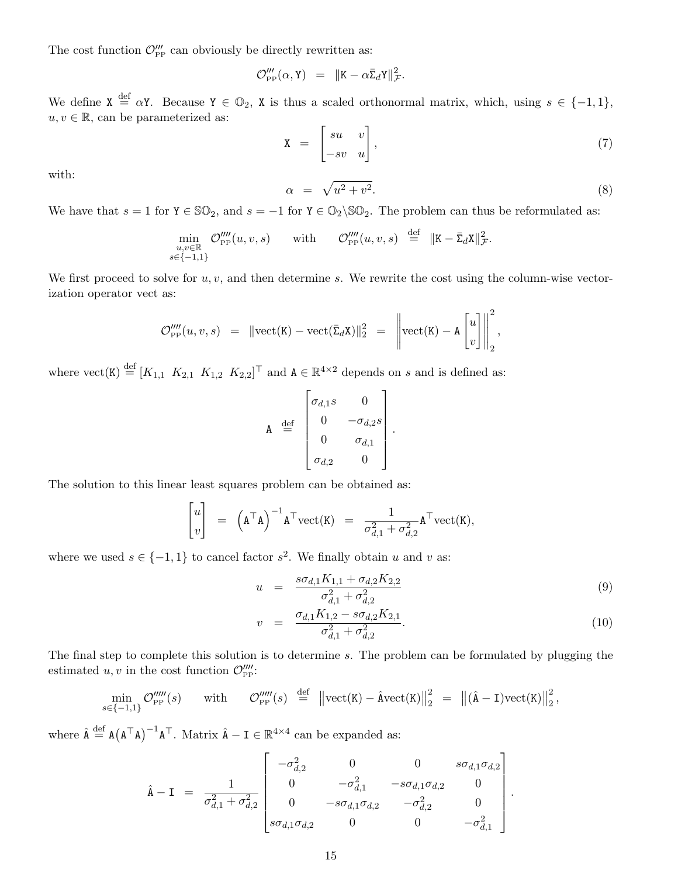The cost function  $\mathcal{O}'''_{\text{PP}}$  can obviously be directly rewritten as:

$$
\mathcal{O}'''_{\mathrm{PP}}(\alpha, \mathbf{Y}) = ||\mathbf{K} - \alpha \bar{\Sigma}_d \mathbf{Y}||^2_{\mathcal{F}}.
$$

We define  $X \stackrel{\text{def}}{=} \alpha Y$ . Because  $Y \in \mathbb{O}_2$ , X is thus a scaled orthonormal matrix, which, using  $s \in \{-1,1\}$ ,  $u, v \in \mathbb{R}$ , can be parameterized as:

$$
\mathbf{X} = \begin{bmatrix} su & v \\ -sv & u \end{bmatrix},\tag{7}
$$

with:

$$
\alpha = \sqrt{u^2 + v^2}.\tag{8}
$$

We have that  $s = 1$  for  $Y \in \mathbb{SO}_2$ , and  $s = -1$  for  $Y \in \mathbb{O}_2 \backslash \mathbb{SO}_2$ . The problem can thus be reformulated as:

$$
\min_{\substack{u,v \in \mathbb{R} \\ s \in \{-1,1\}}} \mathcal{O}'''_{\text{PP}}(u,v,s) \qquad \text{with} \qquad \mathcal{O}'''_{\text{PP}}(u,v,s) \stackrel{\text{def}}{=} \|K - \bar{\Sigma}_d X\|_{\mathcal{F}}^2.
$$

We first proceed to solve for  $u, v$ , and then determine s. We rewrite the cost using the column-wise vectorization operator vect as:

$$
\mathcal{O}'''_{\text{PP}}(u,v,s) \;\; = \;\; \lVert \text{vect}(\texttt{K}) - \text{vect}(\bar{\Sigma}_d \texttt{X}) \rVert_2^2 \;\; = \;\; \left\lVert \text{vect}(\texttt{K}) - \texttt{A} \begin{bmatrix} u \\ v \end{bmatrix} \right\rVert_2^2,
$$

where  $\text{vect}(K) \stackrel{\text{def}}{=} [K_{1,1} \ K_{2,1} \ K_{1,2} \ K_{2,2}]^\top$  and  $A \in \mathbb{R}^{4 \times 2}$  depends on s and is defined as:

$$
\mathbf{A} \stackrel{\text{def}}{=} \begin{bmatrix} \sigma_{d,1}s & 0 \\ 0 & -\sigma_{d,2}s \\ 0 & \sigma_{d,1} \\ \sigma_{d,2} & 0 \end{bmatrix}.
$$

The solution to this linear least squares problem can be obtained as:

$$
\begin{bmatrix} u \\ v \end{bmatrix} = \left( \mathbf{A}^\top \mathbf{A} \right)^{-1} \mathbf{A}^\top \text{vect}(\mathbf{K}) = \frac{1}{\sigma_{d,1}^2 + \sigma_{d,2}^2} \mathbf{A}^\top \text{vect}(\mathbf{K}),
$$

where we used  $s \in \{-1,1\}$  to cancel factor  $s^2$ . We finally obtain u and v as:

$$
u = \frac{s\sigma_{d,1}K_{1,1} + \sigma_{d,2}K_{2,2}}{\sigma_{d,1}^2 + \sigma_{d,2}^2} \tag{9}
$$

$$
v = \frac{\sigma_{d,1} K_{1,2} - s \sigma_{d,2} K_{2,1}}{\sigma_{d,1}^2 + \sigma_{d,2}^2}.
$$
\n(10)

.

The final step to complete this solution is to determine s. The problem can be formulated by plugging the estimated  $u, v$  in the cost function  $\mathcal{O}^{\prime\prime\prime\prime}_{\text{PP}}$ :

$$
\min_{s \in \{-1,1\}} \mathcal{O}'''_{\text{PP}}(s) \qquad \text{with} \qquad \mathcal{O}'''_{\text{PP}}(s) \stackrel{\text{def}}{=} \left\| \text{vect}(K) - \hat{\text{A}} \text{vect}(K) \right\|_2^2 \; = \; \left\| (\hat{\text{A}} - \text{I}) \text{vect}(K) \right\|_2^2,
$$

where  $\hat{A} \stackrel{\text{def}}{=} A(A^{\top}A)^{-1}A^{\top}$ . Matrix  $\hat{A} - I \in \mathbb{R}^{4 \times 4}$  can be expanded as:

$$
\hat{\mathbf{A}} - \mathbf{I} = \frac{1}{\sigma_{d,1}^2 + \sigma_{d,2}^2} \begin{bmatrix} -\sigma_{d,2}^2 & 0 & 0 & s\sigma_{d,1}\sigma_{d,2} \\ 0 & -\sigma_{d,1}^2 & -s\sigma_{d,1}\sigma_{d,2} & 0 \\ 0 & -s\sigma_{d,1}\sigma_{d,2} & -\sigma_{d,2}^2 & 0 \\ s\sigma_{d,1}\sigma_{d,2} & 0 & 0 & -\sigma_{d,1}^2 \end{bmatrix}
$$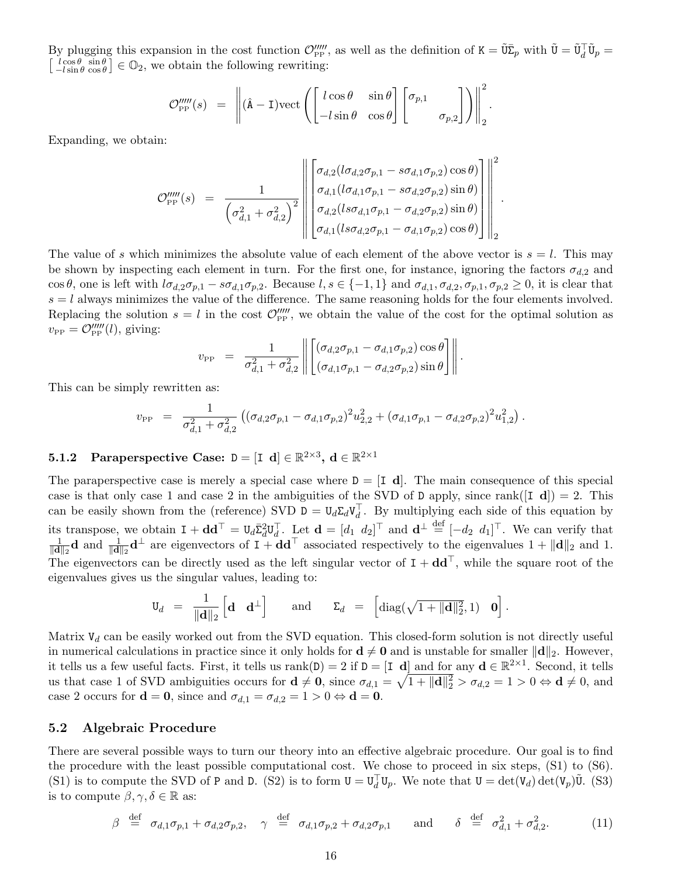By plugging this expansion in the cost function  $\mathcal{O}_{\text{PP}}^{\prime\prime\prime\prime}$ , as well as the definition of  $K = \tilde{\nu}\bar{\Sigma}_p$  with  $\tilde{\nu} = \tilde{\nu}_d^{\top}\tilde{\nu}_p =$  $\left[\begin{smallmatrix} l\cos\theta & \sin\theta \\ -l\sin\theta & \cos\theta \end{smallmatrix}\right] \in \mathbb{Q}_2$ , we obtain the following rewriting:

$$
\mathcal{O}_{\rm PP}''''(s) = \left\| (\hat{\mathbf{A}} - \mathbf{I}) \text{vect} \left( \begin{bmatrix} l \cos \theta & \sin \theta \\ -l \sin \theta & \cos \theta \end{bmatrix} \begin{bmatrix} \sigma_{p,1} \\ \sigma_{p,2} \end{bmatrix} \right) \right\|_2^2.
$$

Expanding, we obtain:

$$
\mathcal{O}_{\rm PP}^{\prime \prime \prime \prime}(s) = \frac{1}{\left(\sigma_{d,1}^2 + \sigma_{d,2}^2\right)^2} \left\| \begin{bmatrix} \sigma_{d,2}(l\sigma_{d,2}\sigma_{p,1} - s\sigma_{d,1}\sigma_{p,2})\cos\theta\\ \sigma_{d,1}(l\sigma_{d,1}\sigma_{p,1} - s\sigma_{d,2}\sigma_{p,2})\sin\theta\\ \sigma_{d,2}(l s\sigma_{d,1}\sigma_{p,1} - \sigma_{d,2}\sigma_{p,2})\sin\theta\\ \sigma_{d,1}(l s\sigma_{d,2}\sigma_{p,1} - \sigma_{d,1}\sigma_{p,2})\cos\theta \end{bmatrix} \right\|^2_{2}
$$

.

The value of s which minimizes the absolute value of each element of the above vector is  $s = l$ . This may be shown by inspecting each element in turn. For the first one, for instance, ignoring the factors  $\sigma_{d,2}$  and cos θ, one is left with  $l\sigma_{d,2}\sigma_{p,1} - s\sigma_{d,1}\sigma_{p,2}$ . Because  $l, s \in \{-1,1\}$  and  $\sigma_{d,1}, \sigma_{d,2}, \sigma_{p,1}, \sigma_{p,2} \geq 0$ , it is clear that  $s = l$  always minimizes the value of the difference. The same reasoning holds for the four elements involved. Replacing the solution  $s = l$  in the cost  $\mathcal{O}_{\text{PP}}''''$ , we obtain the value of the cost for the optimal solution as  $v_{\rm PP} = \mathcal{O}_{\rm PP}^{\prime\prime\prime\prime\prime}(l)$ , giving:

$$
v_{\rm PP} = \frac{1}{\sigma_{d,1}^2 + \sigma_{d,2}^2} \left\| \begin{bmatrix} (\sigma_{d,2}\sigma_{p,1} - \sigma_{d,1}\sigma_{p,2})\cos\theta \\ (\sigma_{d,1}\sigma_{p,1} - \sigma_{d,2}\sigma_{p,2})\sin\theta \end{bmatrix} \right\|.
$$

This can be simply rewritten as:

$$
v_{\rm PP} = \frac{1}{\sigma_{d,1}^2 + \sigma_{d,2}^2} \left( (\sigma_{d,2} \sigma_{p,1} - \sigma_{d,1} \sigma_{p,2})^2 u_{2,2}^2 + (\sigma_{d,1} \sigma_{p,1} - \sigma_{d,2} \sigma_{p,2})^2 u_{1,2}^2 \right).
$$

# **5.1.2** Paraperspective Case:  $D = [I \ d] \in \mathbb{R}^{2 \times 3}$ ,  $d \in \mathbb{R}^{2 \times 1}$

The paraperspective case is merely a special case where  $D = [I \, d]$ . The main consequence of this special case is that only case 1 and case 2 in the ambiguities of the SVD of D apply, since rank( $[I d]$ ) = 2. This can be easily shown from the (reference) SVD  $D = U_d \Sigma_d V_d^T$ . By multiplying each side of this equation by its transpose, we obtain  $I + dd^{\top} = U_d \bar{\Sigma}_d^2 U_d^{\top}$ . Let  $\mathbf{d} = [d_1 \ d_2]^{\top}$  and  $\mathbf{d}^{\perp} \stackrel{\text{def}}{=} [-d_2 \ d_1]^{\top}$ . We can verify that 1  $\frac{1}{\|\mathbf{d}\|_2}\mathbf{d}$  and  $\frac{1}{\|\mathbf{d}\|_2}\mathbf{d}^{\perp}$  are eigenvectors of  $\mathbf{I} + \mathbf{d}\mathbf{d}^{\top}$  associated respectively to the eigenvalues  $1 + \|\mathbf{d}\|_2$  and 1. The eigenvectors can be directly used as the left singular vector of  $I + dd^T$ , while the square root of the eigenvalues gives us the singular values, leading to:

$$
\mathtt{U}_d \;\; = \;\; \frac{1}{\|\mathbf{d}\|_2} \left[\mathbf{d} \quad \mathbf{d}^\perp\right] \qquad \text{and} \qquad \mathtt{\Sigma}_d \;\; = \;\; \left[\text{diag}(\sqrt{1+\|\mathbf{d}\|_2^2},1) \quad \mathbf{0}\right].
$$

Matrix  $V_d$  can be easily worked out from the SVD equation. This closed-form solution is not directly useful in numerical calculations in practice since it only holds for  $\mathbf{d} \neq \mathbf{0}$  and is unstable for smaller  $\|\mathbf{d}\|_2$ . However, it tells us a few useful facts. First, it tells us  $rank(D) = 2$  if  $D = [I \ d]$  and for any  $d \in \mathbb{R}^{2 \times 1}$ . Second, it tells us that case 1 of SVD ambiguities occurs for  $\mathbf{d} \neq \mathbf{0}$ , since  $\sigma_{d,1} = \sqrt{1 + ||\mathbf{d}||_2^2} > \sigma_{d,2} = 1 > 0 \Leftrightarrow \mathbf{d} \neq 0$ , and case 2 occurs for  $\mathbf{d} = \mathbf{0}$ , since and  $\sigma_{d,1} = \sigma_{d,2} = 1 > 0 \Leftrightarrow \mathbf{d} = \mathbf{0}$ .

#### 5.2 Algebraic Procedure

There are several possible ways to turn our theory into an effective algebraic procedure. Our goal is to find the procedure with the least possible computational cost. We chose to proceed in six steps, (S1) to (S6). (S1) is to compute the SVD of P and D. (S2) is to form  $U = U_d^{\top}U_p$ . We note that  $U = det(V_d) det(V_p)\tilde{U}$ . (S3) is to compute  $\beta, \gamma, \delta \in \mathbb{R}$  as:

$$
\beta \stackrel{\text{def}}{=} \sigma_{d,1}\sigma_{p,1} + \sigma_{d,2}\sigma_{p,2}, \quad \gamma \stackrel{\text{def}}{=} \sigma_{d,1}\sigma_{p,2} + \sigma_{d,2}\sigma_{p,1} \quad \text{and} \quad \delta \stackrel{\text{def}}{=} \sigma_{d,1}^2 + \sigma_{d,2}^2. \tag{11}
$$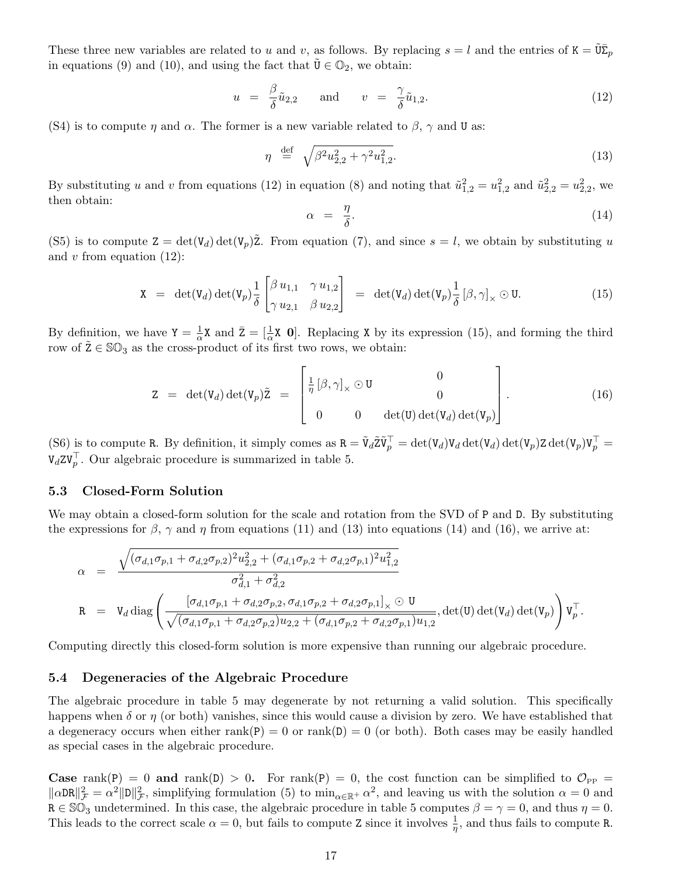These three new variables are related to u and v, as follows. By replacing  $s = l$  and the entries of  $K = \tilde{U}\bar{\Sigma}_p$ in equations (9) and (10), and using the fact that  $\tilde{\mathbf{U}} \in \mathbb{O}_2$ , we obtain:

$$
u = \frac{\beta}{\delta} \tilde{u}_{2,2} \quad \text{and} \quad v = \frac{\gamma}{\delta} \tilde{u}_{1,2}. \tag{12}
$$

(S4) is to compute  $\eta$  and  $\alpha$ . The former is a new variable related to  $\beta$ ,  $\gamma$  and U as:

$$
\eta \stackrel{\text{def}}{=} \sqrt{\beta^2 u_{2,2}^2 + \gamma^2 u_{1,2}^2}.\tag{13}
$$

By substituting u and v from equations (12) in equation (8) and noting that  $\tilde{u}_{1,2}^2 = u_{1,2}^2$  and  $\tilde{u}_{2,2}^2 = u_{2,2}^2$ , we then obtain:

$$
\alpha = \frac{\eta}{\delta}.\tag{14}
$$

(S5) is to compute  $Z = det(V_d) det(V_p)Z$ . From equation (7), and since  $s = l$ , we obtain by substituting u and  $v$  from equation  $(12)$ :

$$
\mathbf{X} = \det(\mathbf{V}_d) \det(\mathbf{V}_p) \frac{1}{\delta} \begin{bmatrix} \beta u_{1,1} & \gamma u_{1,2} \\ \gamma u_{2,1} & \beta u_{2,2} \end{bmatrix} = \det(\mathbf{V}_d) \det(\mathbf{V}_p) \frac{1}{\delta} [\beta, \gamma]_{\times} \odot \mathbf{U}.
$$
 (15)

By definition, we have  $Y = \frac{1}{\alpha}$  $\frac{1}{\alpha}$ X and  $\bar{Z} = \left[\frac{1}{\alpha}X \mathbf{0}\right]$ . Replacing X by its expression (15), and forming the third row of  $\tilde{Z} \in \mathbb{SO}_3$  as the cross-product of its first two rows, we obtain:

$$
Z = det(V_d) det(V_p) \tilde{Z} = \begin{bmatrix} \frac{1}{\eta} [\beta, \gamma]_{\times} \odot U & 0 \\ 0 & 0 & det(U) det(V_d) det(V_p) \end{bmatrix}.
$$
 (16)

(S6) is to compute R. By definition, it simply comes as  $R = \tilde{V}_d \tilde{Z} \tilde{V}_p^\top = \det(V_d) V_d \det(V_d) \det(V_p) Z \det(V_p) V_p^\top =$  $V_d Z V_p^{\top}$ . Our algebraic procedure is summarized in table 5.

#### 5.3 Closed-Form Solution

We may obtain a closed-form solution for the scale and rotation from the SVD of P and D. By substituting the expressions for  $\beta$ ,  $\gamma$  and  $\eta$  from equations (11) and (13) into equations (14) and (16), we arrive at:

$$
\alpha = \frac{\sqrt{(\sigma_{d,1}\sigma_{p,1} + \sigma_{d,2}\sigma_{p,2})^2 u_{2,2}^2 + (\sigma_{d,1}\sigma_{p,2} + \sigma_{d,2}\sigma_{p,1})^2 u_{1,2}^2}}{\sigma_{d,1}^2 + \sigma_{d,2}^2}
$$
\n
$$
R = V_d \text{ diag}\left(\frac{[\sigma_{d,1}\sigma_{p,1} + \sigma_{d,2}\sigma_{p,2}, \sigma_{d,1}\sigma_{p,2} + \sigma_{d,2}\sigma_{p,1}]_{\times} \odot U}{\sqrt{(\sigma_{d,1}\sigma_{p,1} + \sigma_{d,2}\sigma_{p,2}) u_{2,2} + (\sigma_{d,1}\sigma_{p,2} + \sigma_{d,2}\sigma_{p,1}) u_{1,2}}}, \text{det}(U) \text{ det}(V_d) \text{ det}(V_p)\right) V_p^{\top}.
$$

Computing directly this closed-form solution is more expensive than running our algebraic procedure.

#### 5.4 Degeneracies of the Algebraic Procedure

The algebraic procedure in table 5 may degenerate by not returning a valid solution. This specifically happens when  $\delta$  or  $\eta$  (or both) vanishes, since this would cause a division by zero. We have established that a degeneracy occurs when either rank(P) = 0 or rank(D) = 0 (or both). Both cases may be easily handled as special cases in the algebraic procedure.

**Case** rank(P) = 0 and rank(D) > 0. For rank(P) = 0, the cost function can be simplified to  $\mathcal{O}_{PP}$  =  $\|\alpha\text{DR}\|_{\mathcal{F}}^2 = \alpha^2 \|\text{D}\|_{\mathcal{F}}^2$ , simplifying formulation (5) to  $\min_{\alpha \in \mathbb{R}^+} \alpha^2$ , and leaving us with the solution  $\alpha = 0$  and  $R \in \mathbb{SO}_3$  undetermined. In this case, the algebraic procedure in table 5 computes  $\beta = \gamma = 0$ , and thus  $\eta = 0$ . This leads to the correct scale  $\alpha = 0$ , but fails to compute Z since it involves  $\frac{1}{\eta}$ , and thus fails to compute R.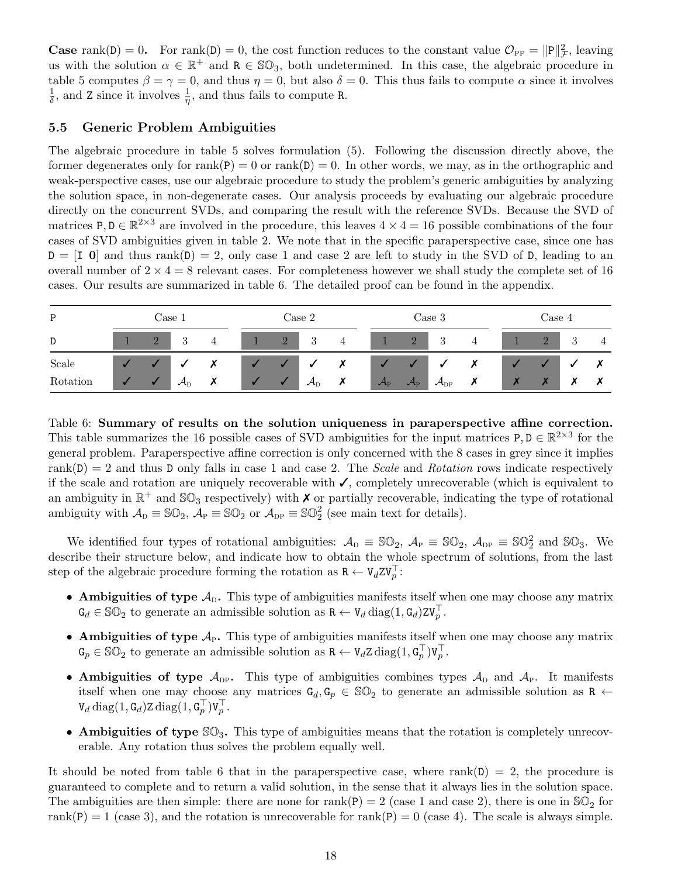**Case** rank(D) = 0. For rank(D) = 0, the cost function reduces to the constant value  $\mathcal{O}_{PP} = ||P||^2_{\mathcal{F}}$ , leaving us with the solution  $\alpha \in \mathbb{R}^+$  and  $R \in \mathbb{SO}_3$ , both undetermined. In this case, the algebraic procedure in table 5 computes  $\beta = \gamma = 0$ , and thus  $\eta = 0$ , but also  $\delta = 0$ . This thus fails to compute  $\alpha$  since it involves 1  $\frac{1}{\delta}$ , and Z since it involves  $\frac{1}{\eta}$ , and thus fails to compute R.

## 5.5 Generic Problem Ambiguities

The algebraic procedure in table 5 solves formulation (5). Following the discussion directly above, the former degenerates only for rank(P) = 0 or rank(D) = 0. In other words, we may, as in the orthographic and weak-perspective cases, use our algebraic procedure to study the problem's generic ambiguities by analyzing the solution space, in non-degenerate cases. Our analysis proceeds by evaluating our algebraic procedure directly on the concurrent SVDs, and comparing the result with the reference SVDs. Because the SVD of matrices  $P, D \in \mathbb{R}^{2 \times 3}$  are involved in the procedure, this leaves  $4 \times 4 = 16$  possible combinations of the four cases of SVD ambiguities given in table 2. We note that in the specific paraperspective case, since one has  $D = [I \ 0]$  and thus rank(D) = 2, only case 1 and case 2 are left to study in the SVD of D, leading to an overall number of  $2 \times 4 = 8$  relevant cases. For completeness however we shall study the complete set of 16 cases. Our results are summarized in table 6. The detailed proof can be found in the appendix.

| P        |          | $\rm Case~1$               |  |                | Case 2                           |   |                       |                                      | Case 3                          |   |  | Case 4                   |               |   |
|----------|----------|----------------------------|--|----------------|----------------------------------|---|-----------------------|--------------------------------------|---------------------------------|---|--|--------------------------|---------------|---|
| D        | $\Delta$ | $\cdot$                    |  | $\overline{2}$ | 3                                | 4 |                       | $\Omega$<br>$\overline{\phantom{a}}$ | -3                              | 4 |  | $\overline{\phantom{0}}$ | $\Omega$<br>◡ | 4 |
| Scale    |          |                            |  |                |                                  |   |                       |                                      | v                               |   |  |                          |               |   |
| Rotation |          | $\mathcal{A}_{\mathrm{D}}$ |  |                | $\mathcal{A}_{\textrm{\tiny D}}$ |   | $\mathcal{A}_{\rm P}$ | $\mathcal{A}_{\mathrm{P}}$           | $\mathcal{A}_{\textnormal{DP}}$ | ╭ |  |                          |               |   |

Table 6: Summary of results on the solution uniqueness in paraperspective affine correction. This table summarizes the 16 possible cases of SVD ambiguities for the input matrices  $P, D \in \mathbb{R}^{2 \times 3}$  for the general problem. Paraperspective affine correction is only concerned with the 8 cases in grey since it implies rank $(D) = 2$  and thus D only falls in case 1 and case 2. The Scale and Rotation rows indicate respectively if the scale and rotation are uniquely recoverable with ✓, completely unrecoverable (which is equivalent to an ambiguity in  $\mathbb{R}^+$  and  $\mathbb{SO}_3$  respectively) with  $\times$  or partially recoverable, indicating the type of rotational ambiguity with  $\mathcal{A}_{D} \equiv \mathbb{SO}_{2}$ ,  $\mathcal{A}_{P} \equiv \mathbb{SO}_{2}$  or  $\mathcal{A}_{DP} \equiv \mathbb{SO}_{2}^{2}$  (see main text for details).

We identified four types of rotational ambiguities:  $\mathcal{A}_{\text{D}} \equiv \mathbb{SO}_2$ ,  $\mathcal{A}_{\text{P}} \equiv \mathbb{SO}_2$ ,  $\mathcal{A}_{\text{DP}} \equiv \mathbb{SO}_2^2$  and  $\mathbb{SO}_3$ . We describe their structure below, and indicate how to obtain the whole spectrum of solutions, from the last step of the algebraic procedure forming the rotation as  $\mathbb{R} \leftarrow \mathbb{V}_d Z \mathbb{V}_p^{\top}$ :

- Ambiguities of type  $A_{D}$ . This type of ambiguities manifests itself when one may choose any matrix  $\mathbf{G}_d \in \mathbb{SO}_2$  to generate an admissible solution as  $\mathbf{R} \leftarrow \mathbf{V}_d \operatorname{diag}(1, \mathbf{G}_d) \mathbf{Z} \mathbf{V}_p^{\top}$ .
- Ambiguities of type  $A_P$ . This type of ambiguities manifests itself when one may choose any matrix  $\mathsf{G}_p \in \mathbb{SO}_2$  to generate an admissible solution as  $\mathsf{R} \leftarrow \mathsf{V}_d \mathsf{Z} \operatorname{diag}(1, \mathsf{G}_p^{\top}) \mathsf{V}_p^{\top}$ .
- Ambiguities of type  $\mathcal{A}_{DP}$ . This type of ambiguities combines types  $\mathcal{A}_D$  and  $\mathcal{A}_P$ . It manifests itself when one may choose any matrices  $G_d, G_p \in \mathbb{SO}_2$  to generate an admissible solution as R  $\leftarrow$  $\mathtt{V}_d \operatorname{diag}(1,\mathtt{G}_d)$ Z  $\operatorname{diag}(1,\mathtt{G}_p^\top) \mathtt{V}_p^\top.$
- Ambiguities of type  $\mathcal{SO}_3$ . This type of ambiguities means that the rotation is completely unrecoverable. Any rotation thus solves the problem equally well.

It should be noted from table 6 that in the paraperspective case, where  $rank(D) = 2$ , the procedure is guaranteed to complete and to return a valid solution, in the sense that it always lies in the solution space. The ambiguities are then simple: there are none for rank(P) = 2 (case 1 and case 2), there is one in  $\mathbb{SO}_2$  for rank(P) = 1 (case 3), and the rotation is unrecoverable for rank(P) = 0 (case 4). The scale is always simple.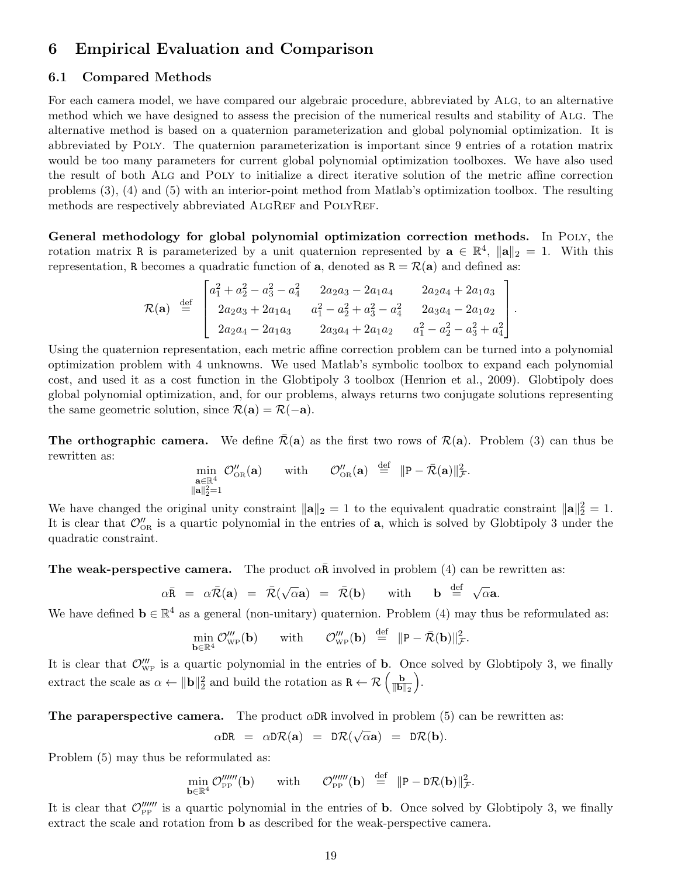# 6 Empirical Evaluation and Comparison

#### 6.1 Compared Methods

For each camera model, we have compared our algebraic procedure, abbreviated by Alg, to an alternative method which we have designed to assess the precision of the numerical results and stability of Alg. The alternative method is based on a quaternion parameterization and global polynomial optimization. It is abbreviated by Poly. The quaternion parameterization is important since 9 entries of a rotation matrix would be too many parameters for current global polynomial optimization toolboxes. We have also used the result of both Alg and Poly to initialize a direct iterative solution of the metric affine correction problems (3), (4) and (5) with an interior-point method from Matlab's optimization toolbox. The resulting methods are respectively abbreviated ALGREF and POLYREF.

General methodology for global polynomial optimization correction methods. In Poly, the rotation matrix R is parameterized by a unit quaternion represented by  $\mathbf{a} \in \mathbb{R}^4$ ,  $\|\mathbf{a}\|_2 = 1$ . With this representation, R becomes a quadratic function of  $\mathbf{a}$ , denoted as  $\mathbf{R} = \mathcal{R}(\mathbf{a})$  and defined as:

$$
\mathcal{R}(\mathbf{a}) \stackrel{\text{def}}{=} \begin{bmatrix} a_1^2 + a_2^2 - a_3^2 - a_4^2 & 2a_2a_3 - 2a_1a_4 & 2a_2a_4 + 2a_1a_3 \\ 2a_2a_3 + 2a_1a_4 & a_1^2 - a_2^2 + a_3^2 - a_4^2 & 2a_3a_4 - 2a_1a_2 \\ 2a_2a_4 - 2a_1a_3 & 2a_3a_4 + 2a_1a_2 & a_1^2 - a_2^2 - a_3^2 + a_4^2 \end{bmatrix}.
$$

Using the quaternion representation, each metric affine correction problem can be turned into a polynomial optimization problem with 4 unknowns. We used Matlab's symbolic toolbox to expand each polynomial cost, and used it as a cost function in the Globtipoly 3 toolbox (Henrion et al., 2009). Globtipoly does global polynomial optimization, and, for our problems, always returns two conjugate solutions representing the same geometric solution, since  $\mathcal{R}(\mathbf{a}) = \mathcal{R}(-\mathbf{a})$ .

**The orthographic camera.** We define  $\bar{\mathcal{R}}(a)$  as the first two rows of  $\mathcal{R}(a)$ . Problem (3) can thus be rewritten as:

$$
\min_{\substack{\mathbf{a}\in\mathbb{R}^4\\ \|\mathbf{a}\|_2^2=1}}\mathcal{O}''_{\rm OR}(\mathbf{a})\qquad {\rm with}\qquad \mathcal{O}''_{\rm OR}(\mathbf{a})\;\;\stackrel{\rm def}{=}\;\;\|P-\bar{\mathcal{R}}(\mathbf{a})\|_\mathcal{F}^2.
$$

We have changed the original unity constraint  $\|\mathbf{a}\|_2 = 1$  to the equivalent quadratic constraint  $\|\mathbf{a}\|_2^2 = 1$ . It is clear that  $\mathcal{O}_{\text{OR}}''$  is a quartic polynomial in the entries of **a**, which is solved by Globtipoly 3 under the quadratic constraint.

**The weak-perspective camera.** The product  $\alpha \bar{\mathbf{R}}$  involved in problem (4) can be rewritten as:

$$
\alpha \bar{R} = \alpha \bar{\mathcal{R}}(a) = \bar{\mathcal{R}}(\sqrt{\alpha}a) = \bar{\mathcal{R}}(b)
$$
 with **b**  $\stackrel{\text{def}}{=} \sqrt{\alpha}a$ .

We have defined  $\mathbf{b} \in \mathbb{R}^4$  as a general (non-unitary) quaternion. Problem (4) may thus be reformulated as:

$$
\min_{\mathbf{b}\in\mathbb{R}^4}\mathcal{O}'''_{\rm WP}(\mathbf{b})\qquad{\rm with}\qquad \mathcal{O}'''_{\rm WP}(\mathbf{b})\;\;\stackrel{\rm def}{=}\;\;\|P-\bar{\mathcal{R}}(\mathbf{b})\|_\mathcal{F}^2.
$$

It is clear that  $\mathcal{O}'''_{WP}$  is a quartic polynomial in the entries of **b**. Once solved by Globtipoly 3, we finally extract the scale as  $\alpha \leftarrow ||\mathbf{b}||_2^2$  and build the rotation as  $R \leftarrow \mathcal{R}$   $\left(\frac{\mathbf{b}}{||\mathbf{b}||} \right)$  $\|\mathbf{b}\|_2$ .

The paraperspective camera. The product  $\alpha$ DR involved in problem (5) can be rewritten as:

$$
\alpha \texttt{DR} = \alpha \texttt{D} \mathcal{R}(\mathbf{a}) = \texttt{D} \mathcal{R}(\sqrt{\alpha} \mathbf{a}) = \texttt{D} \mathcal{R}(\mathbf{b}).
$$

Problem (5) may thus be reformulated as:

$$
\min_{\mathbf{b}\in\mathbb{R}^4}\mathcal{O}^{\prime\prime\prime\prime\prime\prime}_{\mathrm{PP}}(\mathbf{b})\qquad\text{with}\qquad \mathcal{O}^{\prime\prime\prime\prime\prime\prime}_{\mathrm{PP}}(\mathbf{b})\ \stackrel{\mathrm{def}}{=}\ \|\mathbf{P}-\mathbf{D}\mathcal{R}(\mathbf{b})\|_{\mathcal{F}}^2.
$$

It is clear that  $\mathcal{O}_{\rm PP}^{\prime\prime\prime\prime\prime\prime}$  is a quartic polynomial in the entries of **b**. Once solved by Globtipoly 3, we finally extract the scale and rotation from b as described for the weak-perspective camera.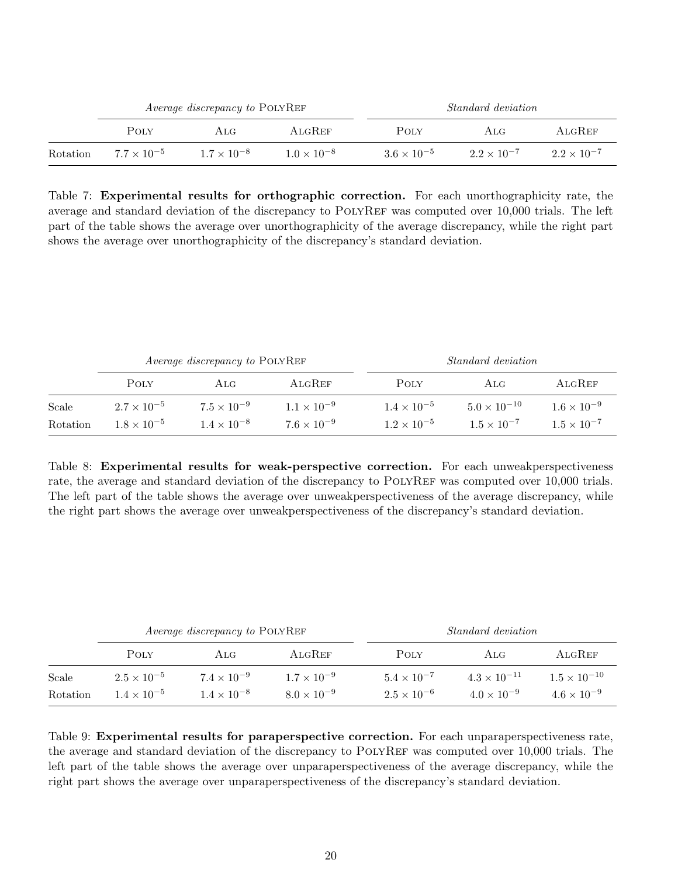|          |                      | <i>Average discrepancy to POLYREF</i> |                      | <i>Standard deviation</i> |                      |                      |  |
|----------|----------------------|---------------------------------------|----------------------|---------------------------|----------------------|----------------------|--|
|          | POLY                 | $\rm ALG$                             | ALGREF               | POLY                      | ALG                  | ALGREF               |  |
| Rotation | $7.7 \times 10^{-5}$ | $1.7 \times 10^{-8}$                  | $1.0 \times 10^{-8}$ | $3.6 \times 10^{-5}$      | $2.2 \times 10^{-7}$ | $2.2 \times 10^{-7}$ |  |

Table 7: Experimental results for orthographic correction. For each unorthographicity rate, the average and standard deviation of the discrepancy to POLYREF was computed over 10,000 trials. The left part of the table shows the average over unorthographicity of the average discrepancy, while the right part shows the average over unorthographicity of the discrepancy's standard deviation.

|          |                      | <i>Average discrepancy to</i> POLYREF |                      | <i>Standard deviation</i> |                       |                      |  |
|----------|----------------------|---------------------------------------|----------------------|---------------------------|-----------------------|----------------------|--|
|          | POLY                 | $\rm ALG$                             | ALGREF               | POLY                      | ALG                   | ALGREF               |  |
| Scale    | $2.7 \times 10^{-5}$ | $7.5 \times 10^{-9}$                  | $1.1 \times 10^{-9}$ | $1.4 \times 10^{-5}$      | $5.0 \times 10^{-10}$ | $1.6 \times 10^{-9}$ |  |
| Rotation | $1.8 \times 10^{-5}$ | $1.4 \times 10^{-8}$                  | $7.6 \times 10^{-9}$ | $1.2 \times 10^{-5}$      | $1.5 \times 10^{-7}$  | $1.5 \times 10^{-7}$ |  |

Table 8: Experimental results for weak-perspective correction. For each unweakperspectiveness rate, the average and standard deviation of the discrepancy to POLYREF was computed over 10,000 trials. The left part of the table shows the average over unweakperspectiveness of the average discrepancy, while the right part shows the average over unweakperspectiveness of the discrepancy's standard deviation.

|          |                      | <i>Average discrepancy to POLYREF</i> |                      | <i>Standard deviation</i> |                       |                       |  |
|----------|----------------------|---------------------------------------|----------------------|---------------------------|-----------------------|-----------------------|--|
|          | POLY                 | ALG.                                  | ALGREF               | POLY                      | ALG                   | ALGREF                |  |
| Scale    | $2.5 \times 10^{-5}$ | $7.4 \times 10^{-9}$                  | $1.7 \times 10^{-9}$ | $5.4 \times 10^{-7}$      | $4.3 \times 10^{-11}$ | $1.5 \times 10^{-10}$ |  |
| Rotation | $1.4 \times 10^{-5}$ | $1.4 \times 10^{-8}$                  | $8.0 \times 10^{-9}$ | $2.5 \times 10^{-6}$      | $4.0 \times 10^{-9}$  | $4.6 \times 10^{-9}$  |  |

Table 9: Experimental results for paraperspective correction. For each unparaperspectiveness rate, the average and standard deviation of the discrepancy to PolyRef was computed over 10,000 trials. The left part of the table shows the average over unparaperspectiveness of the average discrepancy, while the right part shows the average over unparaperspectiveness of the discrepancy's standard deviation.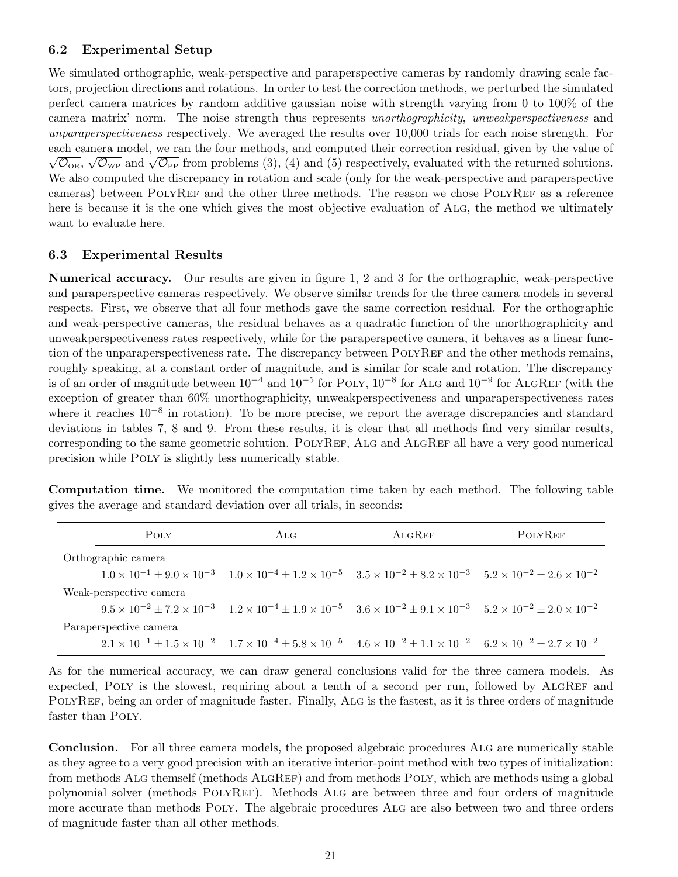## 6.2 Experimental Setup

We simulated orthographic, weak-perspective and paraperspective cameras by randomly drawing scale factors, projection directions and rotations. In order to test the correction methods, we perturbed the simulated perfect camera matrices by random additive gaussian noise with strength varying from 0 to 100% of the camera matrix' norm. The noise strength thus represents unorthographicity, unweakperspectiveness and unparaperspectiveness respectively. We averaged the results over 10,000 trials for each noise strength. For each camera model, we ran the four methods, and computed their correction residual, given by the value of Consequently, we can be four methods, and computed their correction residual, given by the value of  $\overline{\mathcal{O}_{OR}}$ ,  $\sqrt{\mathcal{O}_{WP}}$  and  $\sqrt{\mathcal{O}_{PP}}$  from problems (3), (4) and (5) respectively, evaluated with the returned sol We also computed the discrepancy in rotation and scale (only for the weak-perspective and paraperspective cameras) between POLYREF and the other three methods. The reason we chose POLYREF as a reference here is because it is the one which gives the most objective evaluation of ALG, the method we ultimately want to evaluate here.

### 6.3 Experimental Results

Numerical accuracy. Our results are given in figure 1, 2 and 3 for the orthographic, weak-perspective and paraperspective cameras respectively. We observe similar trends for the three camera models in several respects. First, we observe that all four methods gave the same correction residual. For the orthographic and weak-perspective cameras, the residual behaves as a quadratic function of the unorthographicity and unweakperspectiveness rates respectively, while for the paraperspective camera, it behaves as a linear function of the unparaperspectiveness rate. The discrepancy between POLYREF and the other methods remains, roughly speaking, at a constant order of magnitude, and is similar for scale and rotation. The discrepancy is of an order of magnitude between  $10^{-4}$  and  $10^{-5}$  for POLY,  $10^{-8}$  for ALG and  $10^{-9}$  for ALGREF (with the exception of greater than 60% unorthographicity, unweakperspectiveness and unparaperspectiveness rates where it reaches  $10^{-8}$  in rotation). To be more precise, we report the average discrepancies and standard deviations in tables 7, 8 and 9. From these results, it is clear that all methods find very similar results, corresponding to the same geometric solution. POLYREF, ALG and ALGREF all have a very good numerical precision while Poly is slightly less numerically stable.

Computation time. We monitored the computation time taken by each method. The following table gives the average and standard deviation over all trials, in seconds:

| POLY                    | ALG.                                                                                                                                                                            | ALGREF | <b>POLYREF</b> |
|-------------------------|---------------------------------------------------------------------------------------------------------------------------------------------------------------------------------|--------|----------------|
| Orthographic camera     |                                                                                                                                                                                 |        |                |
|                         | $1.0 \times 10^{-1} \pm 9.0 \times 10^{-3}$ $1.0 \times 10^{-4} \pm 1.2 \times 10^{-5}$ $3.5 \times 10^{-2} \pm 8.2 \times 10^{-3}$ $5.2 \times 10^{-2} \pm 2.6 \times 10^{-2}$ |        |                |
| Weak-perspective camera |                                                                                                                                                                                 |        |                |
|                         | $9.5 \times 10^{-2} \pm 7.2 \times 10^{-3}$ $1.2 \times 10^{-4} \pm 1.9 \times 10^{-5}$ $3.6 \times 10^{-2} \pm 9.1 \times 10^{-3}$ $5.2 \times 10^{-2} \pm 2.0 \times 10^{-2}$ |        |                |
| Paraperspective camera  |                                                                                                                                                                                 |        |                |
|                         | $2.1 \times 10^{-1} \pm 1.5 \times 10^{-2}$ $1.7 \times 10^{-4} \pm 5.8 \times 10^{-5}$ $4.6 \times 10^{-2} \pm 1.1 \times 10^{-2}$ $6.2 \times 10^{-2} \pm 2.7 \times 10^{-2}$ |        |                |

As for the numerical accuracy, we can draw general conclusions valid for the three camera models. As expected, POLY is the slowest, requiring about a tenth of a second per run, followed by ALGREF and PolyRef, being an order of magnitude faster. Finally, Alg is the fastest, as it is three orders of magnitude faster than POLY.

Conclusion. For all three camera models, the proposed algebraic procedures ALG are numerically stable as they agree to a very good precision with an iterative interior-point method with two types of initialization: from methods ALG themself (methods ALGREF) and from methods POLY, which are methods using a global polynomial solver (methods PolyRef). Methods Alg are between three and four orders of magnitude more accurate than methods Poly. The algebraic procedures Alg are also between two and three orders of magnitude faster than all other methods.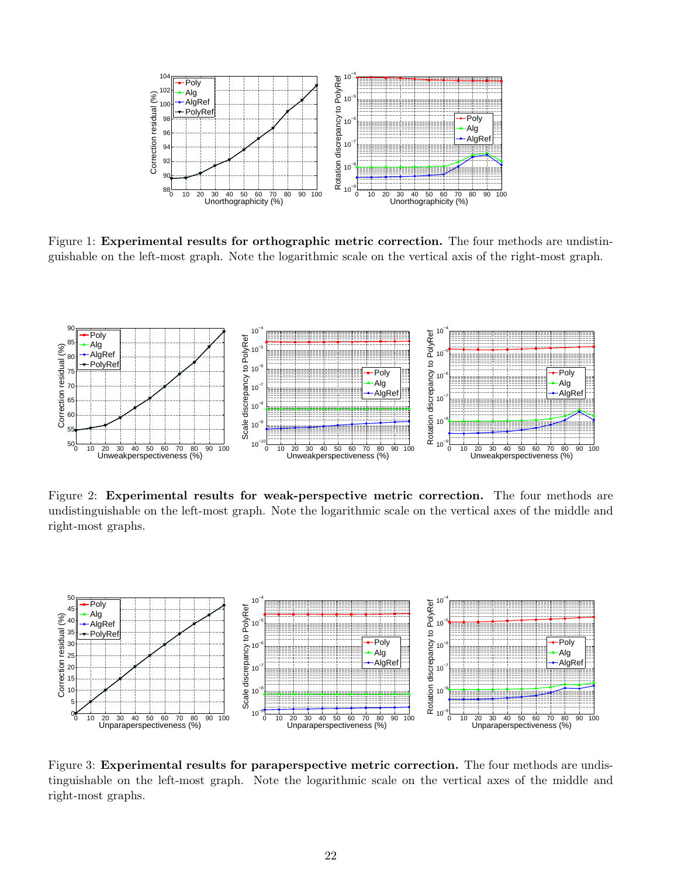

Figure 1: **Experimental results for orthographic metric correction.** The four methods are undistinguishable on the left-most graph. Note the logarithmic scale on the vertical axis of the right-most graph.



Figure 2: Experimental results for weak-perspective metric correction. The four methods are undistinguishable on the left-most graph. Note the logarithmic scale on the vertical axes of the middle and right-most graphs.



Figure 3: Experimental results for paraperspective metric correction. The four methods are undistinguishable on the left-most graph. Note the logarithmic scale on the vertical axes of the middle and right-most graphs.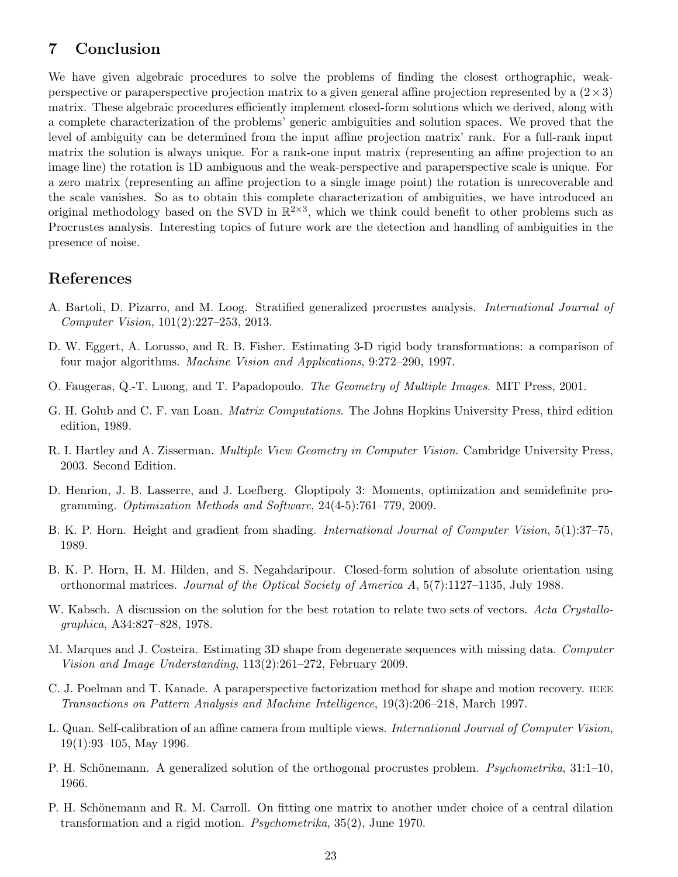# 7 Conclusion

We have given algebraic procedures to solve the problems of finding the closest orthographic, weakperspective or paraperspective projection matrix to a given general affine projection represented by a  $(2 \times 3)$ matrix. These algebraic procedures efficiently implement closed-form solutions which we derived, along with a complete characterization of the problems' generic ambiguities and solution spaces. We proved that the level of ambiguity can be determined from the input affine projection matrix' rank. For a full-rank input matrix the solution is always unique. For a rank-one input matrix (representing an affine projection to an image line) the rotation is 1D ambiguous and the weak-perspective and paraperspective scale is unique. For a zero matrix (representing an affine projection to a single image point) the rotation is unrecoverable and the scale vanishes. So as to obtain this complete characterization of ambiguities, we have introduced an original methodology based on the SVD in  $\mathbb{R}^{2\times3}$ , which we think could benefit to other problems such as Procrustes analysis. Interesting topics of future work are the detection and handling of ambiguities in the presence of noise.

# References

- A. Bartoli, D. Pizarro, and M. Loog. Stratified generalized procrustes analysis. International Journal of Computer Vision, 101(2):227–253, 2013.
- D. W. Eggert, A. Lorusso, and R. B. Fisher. Estimating 3-D rigid body transformations: a comparison of four major algorithms. Machine Vision and Applications, 9:272–290, 1997.
- O. Faugeras, Q.-T. Luong, and T. Papadopoulo. The Geometry of Multiple Images. MIT Press, 2001.
- G. H. Golub and C. F. van Loan. Matrix Computations. The Johns Hopkins University Press, third edition edition, 1989.
- R. I. Hartley and A. Zisserman. Multiple View Geometry in Computer Vision. Cambridge University Press, 2003. Second Edition.
- D. Henrion, J. B. Lasserre, and J. Loefberg. Gloptipoly 3: Moments, optimization and semidefinite programming. Optimization Methods and Software, 24(4-5):761–779, 2009.
- B. K. P. Horn. Height and gradient from shading. International Journal of Computer Vision, 5(1):37–75, 1989.
- B. K. P. Horn, H. M. Hilden, and S. Negahdaripour. Closed-form solution of absolute orientation using orthonormal matrices. Journal of the Optical Society of America  $A$ , 5(7):1127–1135, July 1988.
- W. Kabsch. A discussion on the solution for the best rotation to relate two sets of vectors. Acta Crystallographica, A34:827–828, 1978.
- M. Marques and J. Costeira. Estimating 3D shape from degenerate sequences with missing data. Computer Vision and Image Understanding, 113(2):261–272, February 2009.
- C. J. Poelman and T. Kanade. A paraperspective factorization method for shape and motion recovery. ieee Transactions on Pattern Analysis and Machine Intelligence, 19(3):206–218, March 1997.
- L. Quan. Self-calibration of an affine camera from multiple views. International Journal of Computer Vision, 19(1):93–105, May 1996.
- P. H. Schönemann. A generalized solution of the orthogonal procrustes problem. Psychometrika,  $31:1-10$ , 1966.
- P. H. Schönemann and R. M. Carroll. On fitting one matrix to another under choice of a central dilation transformation and a rigid motion. Psychometrika, 35(2), June 1970.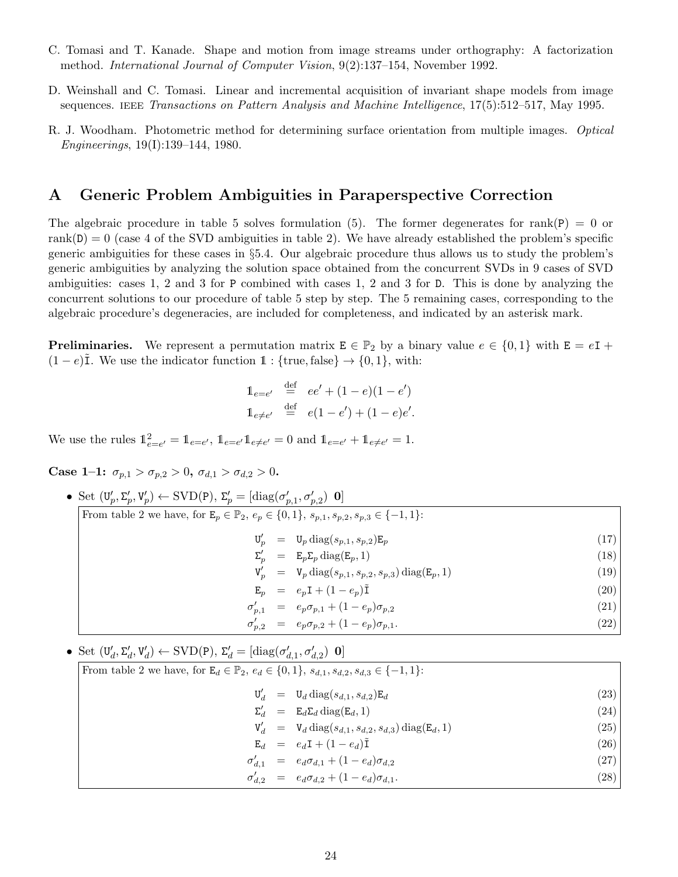- C. Tomasi and T. Kanade. Shape and motion from image streams under orthography: A factorization method. International Journal of Computer Vision, 9(2):137–154, November 1992.
- D. Weinshall and C. Tomasi. Linear and incremental acquisition of invariant shape models from image sequences. IEEE Transactions on Pattern Analysis and Machine Intelligence,  $17(5):512-517$ , May 1995.
- R. J. Woodham. Photometric method for determining surface orientation from multiple images. Optical Engineerings, 19(I):139–144, 1980.

## A Generic Problem Ambiguities in Paraperspective Correction

The algebraic procedure in table 5 solves formulation (5). The former degenerates for rank(P) = 0 or rank $(D) = 0$  (case 4 of the SVD ambiguities in table 2). We have already established the problem's specific generic ambiguities for these cases in §5.4. Our algebraic procedure thus allows us to study the problem's generic ambiguities by analyzing the solution space obtained from the concurrent SVDs in 9 cases of SVD ambiguities: cases 1, 2 and 3 for P combined with cases 1, 2 and 3 for D. This is done by analyzing the concurrent solutions to our procedure of table 5 step by step. The 5 remaining cases, corresponding to the algebraic procedure's degeneracies, are included for completeness, and indicated by an asterisk mark.

**Preliminaries.** We represent a permutation matrix  $E \in \mathbb{P}_2$  by a binary value  $e \in \{0,1\}$  with  $E = eI +$  $(1-e)\tilde{I}$ . We use the indicator function  $\mathbb{1}:$  {true, false}  $\rightarrow$  {0, 1}, with:

$$
1_{e=e'} \stackrel{\text{def}}{=} ee' + (1 - e)(1 - e')
$$
  

$$
1_{e \neq e'} \stackrel{\text{def}}{=} e(1 - e') + (1 - e)e'.
$$

We use the rules  $1_{e=e'}^2 = 1_{e=e'}$ ,  $1_{e=e'} 1_{e\neq e'} = 0$  and  $1_{e=e'} + 1_{e\neq e'} = 1$ .

Case 1–1:  $\sigma_{p,1} > \sigma_{p,2} > 0$ ,  $\sigma_{d,1} > \sigma_{d,2} > 0$ .

• Set  $(\mathbf{U}_p', \Sigma_p', \mathbf{V}_p') \leftarrow \text{SVD}(\mathbf{P}), \Sigma_p' = [\text{diag}(\sigma_{p,1}', \sigma_{p,2}') \mathbf{0}]$ From table 2 we have, for  $\mathbf{E}_p \in \mathbb{P}_2$ ,  $e_p \in \{0, 1\}$ ,  $s_{p,1}, s_{p,2}, s_{p,3} \in \{-1, 1\}$ :  $\mathbf{U}'_p = \mathbf{U}_p \text{diag}(s_{p,1}, s_{p,2}) \mathbf{E}_p$  (17)  $\Sigma'_p = \mathbb{E}_p \Sigma_p \operatorname{diag}(\mathbb{E}_p, 1)$  (18)  $V'_p = V_p \text{diag}(s_{p,1}, s_{p,2}, s_{p,3}) \text{diag}(E_p, 1)$  (19)  $\mathbf{E}_p = e_p \mathbf{I} + (1 - e_p)\tilde{\mathbf{I}}$  (20)  $\sigma'_{p,1} = e_p \sigma_{p,1} + (1 - e_p) \sigma_{p,2}$ (21)  $\sigma'_{p,2} = e_p \sigma_{p,2} + (1 - e_p) \sigma_{p,1}.$ (22)

• Set  $(\mathbf{U}'_d, \Sigma'_d, \mathbf{V}'_d) \leftarrow \text{SVD}(\mathbf{P}), \Sigma'_d = [\text{diag}(\sigma'_{d,1}, \sigma'_{d,2}) \ \mathbf{0}]$ From table 2 we have, for  $\mathbb{E}_d \in \mathbb{P}_2$ ,  $e_d \in \{0, 1\}$ ,  $s_{d,1}$ ,  $s_{d,2}$ ,  $s_{d,3} \in \{-1, 1\}$ :  $\mathbf{U}'_d = \mathbf{U}_d \operatorname{diag}(s_{d,1}, s_{d,2}) \mathbf{E}_d$  (23)  $\Sigma'_d = \mathbf{E}_d \Sigma_d \operatorname{diag}(\mathbf{E}_d, 1)$  (24)  $V'_d = V_d \text{ diag}(s_{d,1}, s_{d,2}, s_{d,3}) \text{ diag}(E_d, 1)$  (25)  $\mathbf{E}_d = e_d \mathbf{I} + (1 - e_d)\tilde{\mathbf{I}}$  (26)  $\sigma'_{d,1} = e_d \sigma_{d,1} + (1 - e_d) \sigma_{d,2}$ (27)  $\sigma'_{d,2} = e_d \sigma_{d,2} + (1 - e_d) \sigma_{d,1}.$ (28)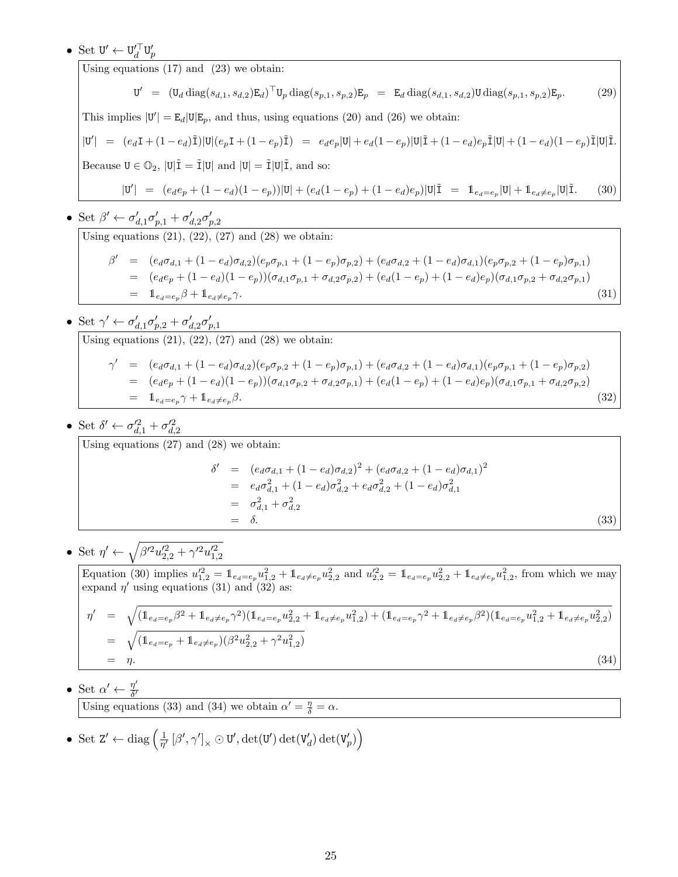# • Set  $\mathbf{U}' \leftarrow \mathbf{U}'_d^\top \mathbf{U}'_p$

Using equations (17) and (23) we obtain:

$$
U' = (U_d \operatorname{diag}(s_{d,1}, s_{d,2}) E_d)^{\top} U_p \operatorname{diag}(s_{p,1}, s_{p,2}) E_p = E_d \operatorname{diag}(s_{d,1}, s_{d,2}) U \operatorname{diag}(s_{p,1}, s_{p,2}) E_p.
$$
 (29)

This implies  $|\mathbf{U}'| = \mathbf{E}_d |\mathbf{U}| \mathbf{E}_p$ , and thus, using equations (20) and (26) we obtain:

$$
|\mathbf{U}'| = (e_d \mathbf{I} + (1 - e_d)\tilde{\mathbf{I}})|\mathbf{U}|(e_p \mathbf{I} + (1 - e_p)\tilde{\mathbf{I}}) = e_d e_p |\mathbf{U}| + e_d (1 - e_p)|\mathbf{U}|\tilde{\mathbf{I}} + (1 - e_d)e_p \tilde{\mathbf{I}}|\mathbf{U}| + (1 - e_d)(1 - e_p)\tilde{\mathbf{I}}|\mathbf{U}|\tilde{\mathbf{I}}.
$$
  
Because  $\mathbf{U} \in \mathbb{O}_2$ ,  $|\mathbf{U}|\tilde{\mathbf{I}} = \tilde{\mathbf{I}}|\mathbf{U}|$  and  $|\mathbf{U}| = \tilde{\mathbf{I}}|\mathbf{U}|\tilde{\mathbf{I}}$ , and so:  

$$
|\mathbf{U}'| = (e_d e_p + (1 - e_d)(1 - e_p))|\mathbf{U}| + (e_d(1 - e_p) + (1 - e_d)e_p)|\mathbf{U}|\tilde{\mathbf{I}} = \mathbf{1}_{e_d = e_p}|\mathbf{U}| + \mathbf{1}_{e_d \neq e_p}|\mathbf{U}|\tilde{\mathbf{I}}.
$$
 (30)

• Set  $\beta' \leftarrow \sigma'_{d,1}\sigma'_{p,1} + \sigma'_{d,2}\sigma'_{p,2}$ 

Using equations  $(21)$ ,  $(22)$ ,  $(27)$  and  $(28)$  we obtain:

$$
\beta' = (e_d \sigma_{d,1} + (1 - e_d) \sigma_{d,2})(e_p \sigma_{p,1} + (1 - e_p) \sigma_{p,2}) + (e_d \sigma_{d,2} + (1 - e_d) \sigma_{d,1})(e_p \sigma_{p,2} + (1 - e_p) \sigma_{p,1})
$$
  
\n
$$
= (e_d e_p + (1 - e_d)(1 - e_p))(\sigma_{d,1} \sigma_{p,1} + \sigma_{d,2} \sigma_{p,2}) + (e_d(1 - e_p) + (1 - e_d)e_p)(\sigma_{d,1} \sigma_{p,2} + \sigma_{d,2} \sigma_{p,1})
$$
  
\n
$$
= 1_{e_d = e_p} \beta + 1_{e_d \neq e_p} \gamma.
$$
\n(31)

- Set  $\gamma' \leftarrow \sigma'_{d,1}\sigma'_{p,2} + \sigma'_{d,2}\sigma'_{p,1}$ Using equations  $(21)$ ,  $(22)$ ,  $(27)$  and  $(28)$  we obtain:  $\gamma' = (e_d \sigma_{d,1} + (1 - e_d) \sigma_{d,2})(e_p \sigma_{p,2} + (1 - e_p) \sigma_{p,1}) + (e_d \sigma_{d,2} + (1 - e_d) \sigma_{d,1})(e_p \sigma_{p,1} + (1 - e_p) \sigma_{p,2})$  $= (e_d e_p + (1 - e_d)(1 - e_p))(\sigma_{d,1}\sigma_{p,2} + \sigma_{d,2}\sigma_{p,1}) + (e_d(1 - e_p) + (1 - e_d)e_p)(\sigma_{d,1}\sigma_{p,1} + \sigma_{d,2}\sigma_{p,2})$  $= 1_{e_d=e_p} \gamma + 1_{e_d \neq e_p} \beta.$  (32)
- Set  $\delta' \leftarrow \sigma_{d,1}^{\prime 2} + \sigma_{d,2}^{\prime 2}$

Using equations (27) and (28) we obtain:

$$
\delta' = (e_d \sigma_{d,1} + (1 - e_d) \sigma_{d,2})^2 + (e_d \sigma_{d,2} + (1 - e_d) \sigma_{d,1})^2
$$
  
=  $e_d \sigma_{d,1}^2 + (1 - e_d) \sigma_{d,2}^2 + e_d \sigma_{d,2}^2 + (1 - e_d) \sigma_{d,1}^2$   
=  $\sigma_{d,1}^2 + \sigma_{d,2}^2$   
=  $\delta$ . (33)

• Set  $\eta' \leftarrow \sqrt{\beta'^2 u'^2_{2,2} + \gamma'^2 u'^2_{1,2}}$ 

Equation (30) implies  $u_{1,2}^{\prime 2} = \mathbb{1}_{e_d=e_p} u_{1,2}^2 + \mathbb{1}_{e_d\neq e_p} u_{2,2}^2$  and  $u_{2,2}^{\prime 2} = \mathbb{1}_{e_d=e_p} u_{2,2}^2 + \mathbb{1}_{e_d\neq e_p} u_{1,2}^2$ , from which we may expand  $\eta'$  using equations (31) and (32) as:

$$
\eta' = \sqrt{(\mathbf{1}_{e_d = e_p} \beta^2 + \mathbf{1}_{e_d \neq e_p} \gamma^2)(\mathbf{1}_{e_d = e_p} u_{2,2}^2 + \mathbf{1}_{e_d \neq e_p} u_{1,2}^2) + (\mathbf{1}_{e_d = e_p} \gamma^2 + \mathbf{1}_{e_d \neq e_p} \beta^2)(\mathbf{1}_{e_d = e_p} u_{1,2}^2 + \mathbf{1}_{e_d \neq e_p} u_{2,2}^2)}
$$
\n
$$
= \sqrt{(\mathbf{1}_{e_d = e_p} + \mathbf{1}_{e_d \neq e_p})(\beta^2 u_{2,2}^2 + \gamma^2 u_{1,2}^2)}
$$
\n
$$
= \eta.
$$
\n(34)

• Set  $\alpha' \leftarrow \frac{\eta'}{\delta'}$  $\delta'$ 

Using equations (33) and (34) we obtain  $\alpha' = \frac{\eta}{\delta} = \alpha$ .

• Set  $Z' \leftarrow diag\left(\frac{1}{n'}\right)$  $\frac{1}{\eta'}\left[\beta',\gamma'\right]_{\times} \odot \texttt{U}',\det(\texttt{U}')\det(\texttt{V}'_d) \det(\texttt{V}'_p)\right)$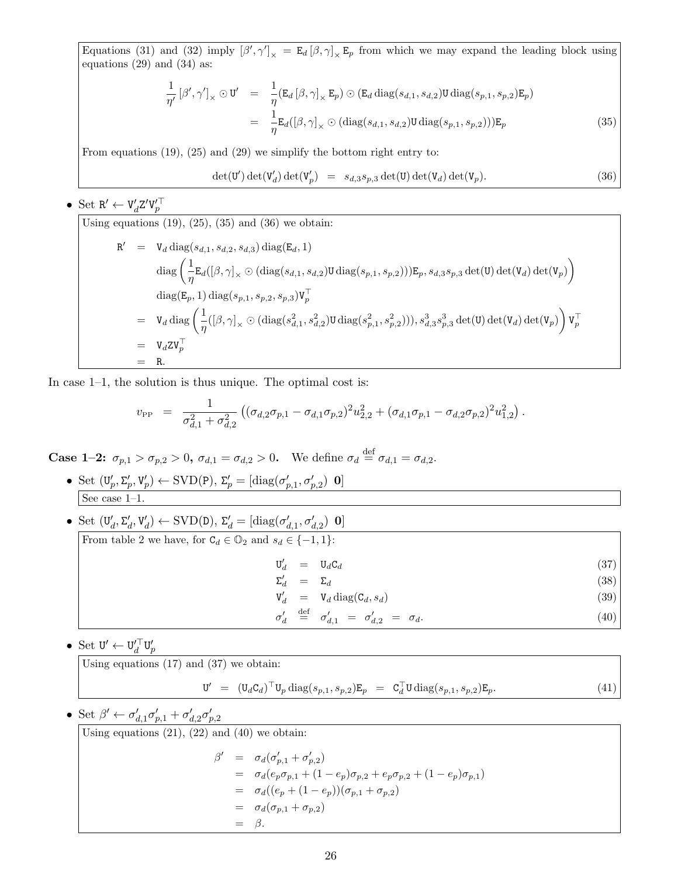Equations (31) and (32) imply  $[\beta', \gamma']_{\times} = \mathbb{E}_d [\beta, \gamma]_{\times} \mathbb{E}_p$  from which we may expand the leading block using equations (29) and (34) as:

$$
\frac{1}{\eta'}\left[\beta',\gamma'\right]_{\times}\odot\mathbf{U}' = \frac{1}{\eta}(\mathbf{E}_d\left[\beta,\gamma\right]_{\times}\mathbf{E}_p)\odot(\mathbf{E}_d\operatorname{diag}(s_{d,1},s_{d,2})\mathbf{U}\operatorname{diag}(s_{p,1},s_{p,2})\mathbf{E}_p)
$$
\n
$$
= \frac{1}{\eta}\mathbf{E}_d(\left[\beta,\gamma\right]_{\times}\odot(\operatorname{diag}(s_{d,1},s_{d,2})\mathbf{U}\operatorname{diag}(s_{p,1},s_{p,2})))\mathbf{E}_p
$$
\n(35)

From equations (19), (25) and (29) we simplify the bottom right entry to:

$$
\det(\mathbf{U}') \det(\mathbf{V}'_d) \det(\mathbf{V}'_p) = s_{d,3} s_{p,3} \det(\mathbf{U}) \det(\mathbf{V}_d) \det(\mathbf{V}_p). \tag{36}
$$

• Set  $R' \leftarrow V_d' Z' V_p'^\top$ 

Using equations (19), (25), (35) and (36) we obtain:  
\n
$$
\begin{array}{rcl}\n\mathbf{R}' & = & \mathbf{V}_d \operatorname{diag}(s_{d,1}, s_{d,2}, s_{d,3}) \operatorname{diag}(\mathbf{E}_d, 1) \\
& \operatorname{diag}\left(\frac{1}{\eta} \mathbf{E}_d([\beta, \gamma]_\times \odot (\operatorname{diag}(s_{d,1}, s_{d,2}) \mathbf{U} \operatorname{diag}(s_{p,1}, s_{p,2}))) \mathbf{E}_p, s_{d,3} s_{p,3} \operatorname{det}(\mathbf{U}) \operatorname{det}(\mathbf{V}_d) \operatorname{det}(\mathbf{V}_p)\right) \\
& \operatorname{diag}(\mathbf{E}_p, 1) \operatorname{diag}(s_{p,1}, s_{p,2}, s_{p,3}) \mathbf{V}_p^\top \\
& = & \mathbf{V}_d \operatorname{diag}\left(\frac{1}{\eta}([\beta, \gamma]_\times \odot (\operatorname{diag}(s_{d,1}^2, s_{d,2}^2) \mathbf{U} \operatorname{diag}(s_{p,1}^2, s_{p,2}^2))), s_{d,3}^3 s_{p,3}^3 \operatorname{det}(\mathbf{U}) \operatorname{det}(\mathbf{V}_d) \operatorname{det}(\mathbf{V}_p)\right) \mathbf{V}_p^\top \\
& = & \mathbf{V}_d \mathbf{Z} \mathbf{V}_p^\top \\
& = & \mathbf{R}.\n\end{array}
$$

In case 1–1, the solution is thus unique. The optimal cost is:

$$
v_{\rm PP} = \frac{1}{\sigma_{d,1}^2 + \sigma_{d,2}^2} \left( (\sigma_{d,2} \sigma_{p,1} - \sigma_{d,1} \sigma_{p,2})^2 u_{2,2}^2 + (\sigma_{d,1} \sigma_{p,1} - \sigma_{d,2} \sigma_{p,2})^2 u_{1,2}^2 \right).
$$

**Case 1–2:**  $\sigma_{p,1} > \sigma_{p,2} > 0$ ,  $\sigma_{d,1} = \sigma_{d,2} > 0$ . We define  $\sigma_d \stackrel{\text{def}}{=} \sigma_{d,1} = \sigma_{d,2}$ .

• Set  $(\mathbf{U}_p', \Sigma_p', \mathbf{V}_p') \leftarrow \text{SVD}(\mathbf{P}), \Sigma_p' = [\text{diag}(\sigma_{p,1}', \sigma_{p,2}') \ \mathbf{0}]$ See case 1–1.

| • Set $(\mathbf{U}_d', \Sigma_d', \mathbf{V}_d') \leftarrow \text{SVD}(\mathbf{D}), \Sigma_d' = [\text{diag}(\sigma_{d,1}', \sigma_{d,2}') \; \mathbf{0}]$ |      |
|------------------------------------------------------------------------------------------------------------------------------------------------------------|------|
| From table 2 we have, for $C_d \in \mathbb{O}_2$ and $s_d \in \{-1,1\}$ :                                                                                  |      |
| $U'_d = U_d C_d$                                                                                                                                           | (37) |
| $\Sigma_d'$<br>$= \Sigma_d$                                                                                                                                | (38) |
| $V'_d = V_d \text{ diag}(C_d, s_d)$                                                                                                                        | (39) |
| $\sigma'_d \stackrel{\text{def}}{=} \sigma'_{d,1} = \sigma'_{d,2} = \sigma_d.$                                                                             | (40) |

 $\bullet\,$  Set  $\mathrm{U}'\leftarrow\mathrm{U}'^{\top}_d\mathrm{U}'_p$ 

Using equations (17) and (37) we obtain:

$$
\mathbf{U}' = (\mathbf{U}_d \mathbf{C}_d)^\top \mathbf{U}_p \operatorname{diag}(s_{p,1}, s_{p,2}) \mathbf{E}_p = \mathbf{C}_d^\top \mathbf{U} \operatorname{diag}(s_{p,1}, s_{p,2}) \mathbf{E}_p.
$$
\n(41)

• Set  $\beta' \leftarrow \sigma'_{d,1}\sigma'_{p,1} + \sigma'_{d,2}\sigma'_{p,2}$ 

Using equations  $(21)$ ,  $(22)$  and  $(40)$  we obtain:

$$
\beta' = \sigma_d(\sigma'_{p,1} + \sigma'_{p,2})
$$
  
=  $\sigma_d(e_p \sigma_{p,1} + (1 - e_p)\sigma_{p,2} + e_p \sigma_{p,2} + (1 - e_p)\sigma_{p,1})$   
=  $\sigma_d((e_p + (1 - e_p))(\sigma_{p,1} + \sigma_{p,2})$   
=  $\sigma_d(\sigma_{p,1} + \sigma_{p,2})$   
=  $\beta$ .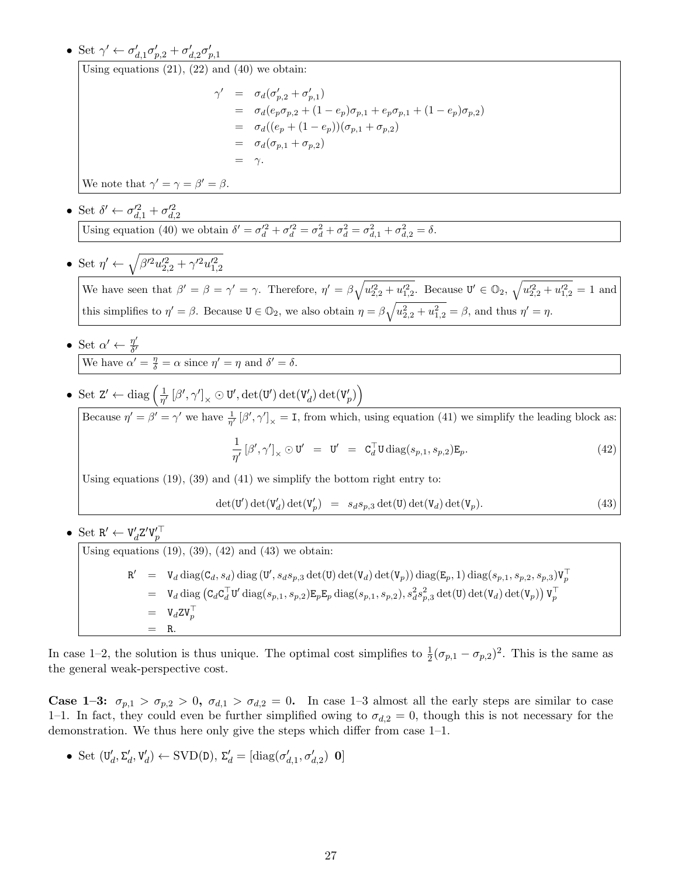• Set  $\gamma' \leftarrow \sigma'_{d,1}\sigma'_{p,2} + \sigma'_{d,2}\sigma'_{p,1}$ 

Using equations  $(21)$ ,  $(22)$  and  $(40)$  we obtain:

$$
\gamma' = \sigma_d(\sigma'_{p,2} + \sigma'_{p,1})
$$
  
=  $\sigma_d(e_p \sigma_{p,2} + (1 - e_p)\sigma_{p,1} + e_p \sigma_{p,1} + (1 - e_p)\sigma_{p,2})$   
=  $\sigma_d((e_p + (1 - e_p))(\sigma_{p,1} + \sigma_{p,2})$   
=  $\sigma_d(\sigma_{p,1} + \sigma_{p,2})$   
=  $\gamma$ .

We note that  $\gamma' = \gamma = \beta' = \beta$ .

- Set  $\delta' \leftarrow \sigma_{d,1}^{\prime 2} + \sigma_{d,2}^{\prime 2}$ Using equation (40) we obtain  $\delta' = \sigma_d'^2 + \sigma_d'^2 = \sigma_d^2 + \sigma_d^2 = \sigma_{d,1}^2 + \sigma_{d,2}^2 = \delta$ .
- Set  $\eta' \leftarrow \sqrt{\beta'^2 u'^2_{2,2} + \gamma'^2 u'^2_{1,2}}$

We have seen that  $\beta' = \beta = \gamma' = \gamma$ . Therefore,  $\eta' = \beta \sqrt{u_{2,2}^{\prime 2} + u_{1,2}^{\prime 2}}$ . Because  $\mathbf{U}' \in \mathbb{O}_2$ ,  $\sqrt{u_{2,2}^{\prime 2} + u_{1,2}^{\prime 2}} = 1$  and this simplifies to  $\eta' = \beta$ . Because  $\mathbf{U} \in \mathbb{O}_2$ , we also obtain  $\eta = \beta \sqrt{u_{2,2}^2 + u_{1,2}^2} = \beta$ , and thus  $\eta' = \eta$ .

• Set  $\alpha' \leftarrow \frac{\eta'}{\delta'}$  $\overline{\delta'}$ We have  $\alpha' = \frac{\eta}{\delta} = \alpha$  since  $\eta' = \eta$  and  $\delta' = \delta$ .

• Set 
$$
Z' \leftarrow \text{diag}\left(\frac{1}{\eta'}\left[\beta', \gamma'\right]_{\times} \odot U', \det(U') \det(V_d') \det(V_p')\right)
$$

Because  $\eta' = \beta' = \gamma'$  we have  $\frac{1}{\eta'} [\beta', \gamma']_{\times} = I$ , from which, using equation (41) we simplify the leading block as: 1

$$
\frac{1}{\eta'}\left[\beta',\gamma'\right]_{\times}\odot\mathbf{U}'\ =\ \mathbf{U}'\ =\ \mathbf{C}_{d}^{\top}\mathbf{U}\operatorname{diag}(s_{p,1},s_{p,2})\mathbf{E}_{p}.\tag{42}
$$

Using equations (19), (39) and (41) we simplify the bottom right entry to:

$$
\det(\mathbf{U}') \det(\mathbf{V}'_d) \det(\mathbf{V}'_p) = s_d s_{p,3} \det(\mathbf{U}) \det(\mathbf{V}_d) \det(\mathbf{V}_p). \tag{43}
$$

• Set  $R' \leftarrow V_d' Z' V_p'^\top$ 

Using equations (19), (39), (42) and (43) we obtain:  
\n
$$
\begin{aligned}\n\mathbf{R}' &= \mathbf{V}_d \operatorname{diag}(\mathbf{C}_d, s_d) \operatorname{diag}(\mathbf{U}', s_d s_{p,3} \operatorname{det}(\mathbf{U}) \operatorname{det}(\mathbf{V}_d) \operatorname{det}(\mathbf{V}_p)) \operatorname{diag}(\mathbf{E}_p, 1) \operatorname{diag}(s_{p,1}, s_{p,2}, s_{p,3}) \mathbf{V}_p^\top \\
&= \mathbf{V}_d \operatorname{diag}(\mathbf{C}_d \mathbf{C}_d^\top \mathbf{U}' \operatorname{diag}(s_{p,1}, s_{p,2}) \mathbf{E}_p \mathbf{E}_p \operatorname{diag}(s_{p,1}, s_{p,2}), s_d^2 s_{p,3}^2 \operatorname{det}(\mathbf{U}) \operatorname{det}(\mathbf{V}_d) \operatorname{det}(\mathbf{V}_p)) \mathbf{V}_p^\top \\
&= \mathbf{V}_d \mathbf{Z} \mathbf{V}_p^\top \\
&= \mathbf{R}.\n\end{aligned}
$$

In case 1–2, the solution is thus unique. The optimal cost simplifies to  $\frac{1}{2}(\sigma_{p,1}-\sigma_{p,2})^2$ . This is the same as the general weak-perspective cost.

**Case 1–3:**  $\sigma_{p,1} > \sigma_{p,2} > 0$ ,  $\sigma_{d,1} > \sigma_{d,2} = 0$ . In case 1–3 almost all the early steps are similar to case 1–1. In fact, they could even be further simplified owing to  $\sigma_{d,2} = 0$ , though this is not necessary for the demonstration. We thus here only give the steps which differ from case 1–1.

• Set  $(\mathbf{U}'_d, \Sigma'_d, \mathbf{V}'_d) \leftarrow \text{SVD}(\mathbf{D}), \ \Sigma'_d = [\text{diag}(\sigma'_{d,1}, \sigma'_{d,2}) \ \mathbf{0}]$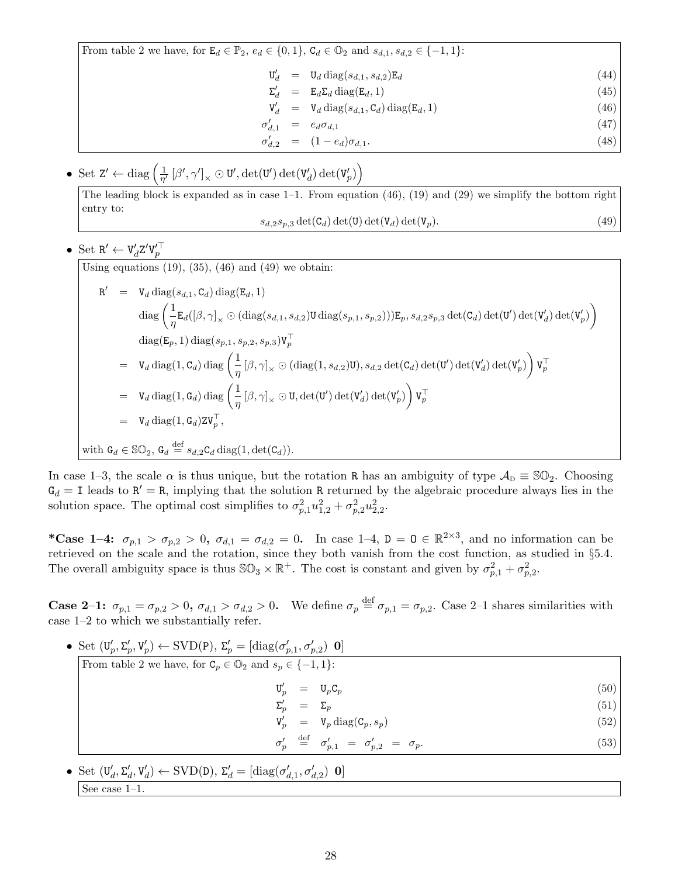From table 2 we have, for  $\mathbf{E}_d \in \mathbb{P}_2$ ,  $e_d \in \{0, 1\}$ ,  $\mathbf{C}_d \in \mathbb{O}_2$  and  $s_{d,1}$ ,  $s_{d,2} \in \{-1, 1\}$ :

$$
\mathbf{U}'_d = \mathbf{U}_d \operatorname{diag}(s_{d,1}, s_{d,2}) \mathbf{E}_d \tag{44}
$$

- $\Sigma'_d = \mathbb{E}_d \Sigma_d \operatorname{diag}(\mathbb{E}_d, 1)$  (45)
- $V'_d = V_d \text{ diag}(s_{d,1}, \mathbf{C}_d) \text{ diag}(\mathbf{E}_d, 1)$  (46)
- $\sigma'_{d,1} = e_d \sigma_{d,1}$ (47)
- $\sigma'_{d,2} = (1 e_d)\sigma_{d,1}.$ (48)
- Set  $Z' \leftarrow diag\left(\frac{1}{n'}\right)$  $\frac{1}{\eta^\prime}\left[\beta^\prime,\gamma^\prime\right]_\times \odot \texttt{U}^\prime,\det(\texttt{U}^\prime)\det(\texttt{V}^\prime_d)\det(\texttt{V}^\prime_p)\right)$

The leading block is expanded as in case 1–1. From equation (46), (19) and (29) we simplify the bottom right entry to:

$$
s_{d,2}s_{p,3}\det(\mathbf{C}_d)\det(\mathbf{U})\det(\mathbf{V}_d)\det(\mathbf{V}_p). \tag{49}
$$

• Set 
$$
\mathbf{R}' \leftarrow \mathbf{V}_d' \mathbf{Z}' \mathbf{V}_p'^\top
$$

Using equations  $(19)$ ,  $(35)$ ,  $(46)$  and  $(49)$  we obtain:

$$
R' = V_d \operatorname{diag}(s_{d,1}, C_d) \operatorname{diag}(E_d, 1)
$$
  
\n
$$
\operatorname{diag} \left( \frac{1}{\eta} E_d([\beta, \gamma]_x \odot (\operatorname{diag}(s_{d,1}, s_{d,2}) \mathbf{U} \operatorname{diag}(s_{p,1}, s_{p,2}))) E_p, s_{d,2} s_{p,3} \operatorname{det}(C_d) \operatorname{det}(V') \operatorname{det}(V'_d) \operatorname{det}(V'_p) \right)
$$
  
\n
$$
\operatorname{diag}(E_p, 1) \operatorname{diag}(s_{p,1}, s_{p,2}, s_{p,3}) V_p^{\top}
$$
  
\n
$$
= V_d \operatorname{diag}(1, C_d) \operatorname{diag} \left( \frac{1}{\eta} [\beta, \gamma]_x \odot (\operatorname{diag}(1, s_{d,2}) \mathbf{U}), s_{d,2} \operatorname{det}(C_d) \operatorname{det}(V') \operatorname{det}(V'_d) \operatorname{det}(V'_p) \right) V_p^{\top}
$$
  
\n
$$
= V_d \operatorname{diag}(1, G_d) \operatorname{diag} \left( \frac{1}{\eta} [\beta, \gamma]_x \odot \mathbf{U}, \operatorname{det}(V') \operatorname{det}(V'_d) \operatorname{det}(V'_p) \right) V_p^{\top}
$$
  
\n
$$
= V_d \operatorname{diag}(1, G_d) Z V_p^{\top},
$$
  
\nwith  $G_d \in \mathbb{SO}_2$ ,  $G_d \stackrel{\text{def}}{=} s_{d,2} C_d \operatorname{diag}(1, \operatorname{det}(C_d)).$ 

In case 1–3, the scale  $\alpha$  is thus unique, but the rotation R has an ambiguity of type  $\mathcal{A}_D \equiv \mathbb{SO}_2$ . Choosing  $G_d = I$  leads to  $R' = R$ , implying that the solution R returned by the algebraic procedure always lies in the solution space. The optimal cost simplifies to  $\sigma_{p,1}^2 u_{1,2}^2 + \sigma_{p,2}^2 u_{2,2}^2$ .

\*Case 1-4:  $\sigma_{p,1} > \sigma_{p,2} > 0$ ,  $\sigma_{d,1} = \sigma_{d,2} = 0$ . In case 1-4,  $D = D \in \mathbb{R}^{2 \times 3}$ , and no information can be retrieved on the scale and the rotation, since they both vanish from the cost function, as studied in §5.4. The overall ambiguity space is thus  $\mathbb{SO}_3 \times \mathbb{R}^+$ . The cost is constant and given by  $\sigma_{p,1}^2 + \sigma_{p,2}^2$ .

**Case 2–1:**  $\sigma_{p,1} = \sigma_{p,2} > 0$ ,  $\sigma_{d,1} > \sigma_{d,2} > 0$ . We define  $\sigma_p \stackrel{\text{def}}{=} \sigma_{p,1} = \sigma_{p,2}$ . Case 2–1 shares similarities with case 1–2 to which we substantially refer.

• Set  $(\mathbf{U}_p', \Sigma_p', \mathbf{V}_p') \leftarrow \text{SVD}(\mathbf{P}), \Sigma_p' = [\text{diag}(\sigma_{p,1}', \sigma_{p,2}') \ \mathbf{0}]$ From table 2 we have, for  $C_p \in \mathbb{O}_2$  and  $s_p \in \{-1, 1\}$ :  $\mathtt{U}'_p = \mathtt{U}_p \mathtt{C}_p \tag{50}$  $\Sigma'_p = \Sigma_p$  (51)  $V'_p = V_p \text{diag}(\mathcal{C}_p, s_p)$  (52)  $\sigma'_{p} \stackrel{\text{def}}{=} \sigma'_{p,1} = \sigma'_{p,2} = \sigma_{p}.$ (53)

\n- Set 
$$
(\mathbf{U}_d', \Sigma_d', \mathbf{V}_d') \leftarrow \text{SVD}(\mathbf{D}), \Sigma_d' = [\text{diag}(\sigma_{d,1}', \sigma_{d,2}') \mathbf{0}]
$$
 [See case 1–1.
\n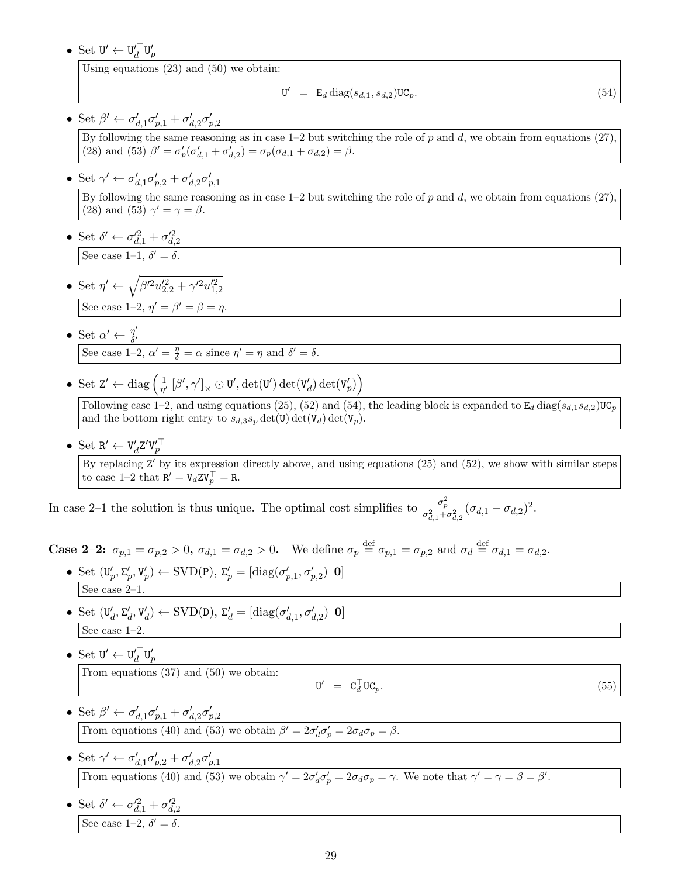• Set  $\mathbf{U}' \leftarrow \mathbf{U}'_d^\top \mathbf{U}'_p$ 

Using equations (23) and (50) we obtain:

$$
\mathbf{U}' = \mathbf{E}_d \operatorname{diag}(s_{d,1}, s_{d,2}) \mathbf{U} \mathbf{C}_p. \tag{54}
$$

- Set  $\beta' \leftarrow \sigma'_{d,1}\sigma'_{p,1} + \sigma'_{d,2}\sigma'_{p,2}$ By following the same reasoning as in case  $1-2$  but switching the role of p and d, we obtain from equations (27), (28) and (53)  $\beta' = \sigma'_p(\sigma'_{d,1} + \sigma'_{d,2}) = \sigma_p(\sigma_{d,1} + \sigma_{d,2}) = \beta.$
- Set  $\gamma' \leftarrow \sigma'_{d,1}\sigma'_{p,2} + \sigma'_{d,2}\sigma'_{p,1}$ By following the same reasoning as in case  $1-2$  but switching the role of p and d, we obtain from equations  $(27)$ , (28) and (53)  $\gamma' = \gamma = \beta$ .
- Set  $\delta' \leftarrow \sigma_{d,1}^{\prime 2} + \sigma_{d,2}^{\prime 2}$ See case 1–1,  $\delta' = \delta$ .
- Set  $\eta' \leftarrow \sqrt{\beta'^2 u'^2_{2,2} + \gamma'^2 u'^2_{1,2}}$ See case 1-2,  $\eta' = \beta' = \beta = \eta$ .
- Set  $\alpha' \leftarrow \frac{\eta'}{\delta'}$  $\overline{\delta'}$ See case 1-2,  $\alpha' = \frac{\eta}{\delta} = \alpha$  since  $\eta' = \eta$  and  $\delta' = \delta$ .
- Set  $Z' \leftarrow diag\left(\frac{1}{n'}\right)$  $\frac{1}{\eta'}\left[\beta',\gamma'\right]_{\times} \odot \texttt{U}',\det(\texttt{U}')\det(\texttt{V}'_d) \det(\texttt{V}'_p)\right)$

Following case 1–2, and using equations (25), (52) and (54), the leading block is expanded to  $E_d \text{ diag}(s_{d,1}s_{d,2})\text{UC}_p$ and the bottom right entry to  $s_{d,3}s_p \det(\mathbf{U}) \det(\mathbf{V}_d) \det(\mathbf{V}_p)$ .

• Set  $R' \leftarrow V_d' Z' V_p'^\top$ By replacing Z' by its expression directly above, and using equations (25) and (52), we show with similar steps to case 1–2 that  $R' = V_d Z V_p^{\top} = R$ .

In case 2–1 the solution is thus unique. The optimal cost simplifies to  $\frac{\sigma_p^2}{\sigma_{d,1}^2+\sigma_{d,2}^2}(\sigma_{d,1}-\sigma_{d,2})^2$ .

**Case 2-2:**  $\sigma_{p,1} = \sigma_{p,2} > 0$ ,  $\sigma_{d,1} = \sigma_{d,2} > 0$ . We define  $\sigma_p \stackrel{\text{def}}{=} \sigma_{p,1} = \sigma_{p,2}$  and  $\sigma_d \stackrel{\text{def}}{=} \sigma_{d,1} = \sigma_{d,2}$ .

- Set  $(\mathbf{U}_p', \Sigma_p', \mathbf{V}_p') \leftarrow \text{SVD}(\mathbf{P}), \Sigma_p' = [\text{diag}(\sigma_{p,1}', \sigma_{p,2}') \mathbf{0}]$ See case 2–1.
- Set  $(\mathbf{U}'_d, \Sigma'_d, \mathbf{V}'_d) \leftarrow \text{SVD}(\mathbf{D}), \ \Sigma'_d = [\text{diag}(\sigma'_{d,1}, \sigma'_{d,2}) \ \mathbf{0}]$ See case 1–2.
- Set  $\mathbf{U}' \leftarrow \mathbf{U}'_d^\top \mathbf{U}'_p$ From equations (37) and (50) we obtain:

$$
\mathbf{U}' = \mathbf{C}_d^\top \mathbf{U} \mathbf{C}_p. \tag{55}
$$

- Set  $\beta' \leftarrow \sigma'_{d,1}\sigma'_{p,1} + \sigma'_{d,2}\sigma'_{p,2}$ From equations (40) and (53) we obtain  $\beta' = 2\sigma_d' \sigma_p' = 2\sigma_d \sigma_p = \beta$ .
- Set  $\gamma' \leftarrow \sigma'_{d,1}\sigma'_{p,2} + \sigma'_{d,2}\sigma'_{p,1}$ From equations (40) and (53) we obtain  $\gamma' = 2\sigma_d' \sigma_p' = 2\sigma_d \sigma_p = \gamma$ . We note that  $\gamma' = \gamma = \beta = \beta'$ .
- Set  $\delta' \leftarrow \sigma_{d,1}^{\prime 2} + \sigma_{d,2}^{\prime 2}$ See case 1-2,  $\delta' = \delta$ .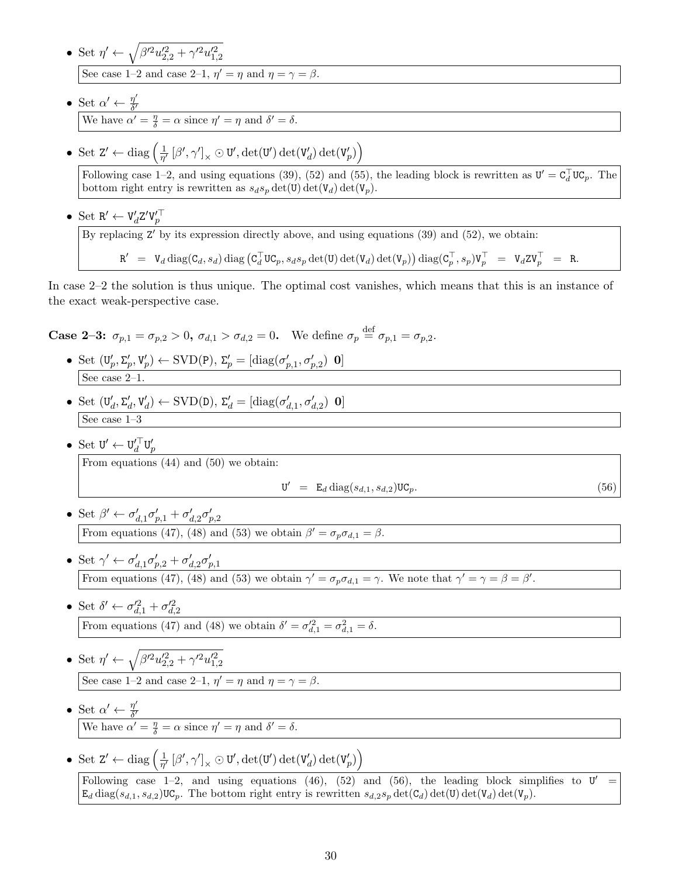- Set  $\eta' \leftarrow \sqrt{\beta'^2 u'^2_{2,2} + \gamma'^2 u'^2_{1,2}}$ See case 1–2 and case 2–1,  $\eta' = \eta$  and  $\eta = \gamma = \beta$ .
- Set  $\alpha' \leftarrow \frac{\eta'}{\delta'}$  $\delta'$ We have  $\alpha' = \frac{\eta}{\delta} = \alpha$  since  $\eta' = \eta$  and  $\delta' = \delta$ .
- Set  $Z' \leftarrow diag\left(\frac{1}{n'}\right)$  $\frac{1}{\eta'}\left[\beta',\gamma'\right]_{\times} \odot \texttt{U}',\text{det}(\texttt{U}')\,\text{det}(\texttt{V}'_d) \,\text{det}(\texttt{V}'_p)\right)$

Following case 1–2, and using equations (39), (52) and (55), the leading block is rewritten as  $\mathbf{U}' = \mathbf{C}_d^{\top} \mathbf{U} \mathbf{C}_p$ . The bottom right entry is rewritten as  $s_d s_p \det(\mathbf{U}) \det(\mathbf{V}_d) \det(\mathbf{V}_p)$ .

• Set  $R' \leftarrow V_d' Z' V_p'^\top$ 

By replacing Z' by its expression directly above, and using equations (39) and (52), we obtain:

 $\begin{array}{rcl} {\tt R}^\prime &=& {\tt V}_d\, {\rm diag}({\tt C}_d,{\it s}_d)\, {\rm diag}\left({\tt C}_d^\top {\tt U}{\tt C}_p,{\it s}_d{\it s}_p\, {\rm det}({\tt U})\, {\rm det}({\tt V}_d)\, {\rm det}({\tt V}_p)\right) {\rm diag}({\tt C}_p^\top,{\it s}_p){\tt V}_p^\top &=& {\tt V}_d{\tt Z}{\tt V}_p^\top \end{array}$  $=$  R.

In case 2–2 the solution is thus unique. The optimal cost vanishes, which means that this is an instance of the exact weak-perspective case.

**Case 2-3:**  $\sigma_{p,1} = \sigma_{p,2} > 0$ ,  $\sigma_{d,1} > \sigma_{d,2} = 0$ . We define  $\sigma_p \stackrel{\text{def}}{=} \sigma_{p,1} = \sigma_{p,2}$ .

- Set  $(\mathbf{U}_p', \Sigma_p', \mathbf{V}_p') \leftarrow \text{SVD}(\mathbf{P}), \Sigma_p' = [\text{diag}(\sigma_{p,1}', \sigma_{p,2}') \mathbf{0}]$ See case 2–1.
- Set  $(\mathbf{U}'_d, \Sigma'_d, \mathbf{V}'_d) \leftarrow \text{SVD}(\mathbf{D}), \ \Sigma'_d = [\text{diag}(\sigma'_{d,1}, \sigma'_{d,2}) \ \mathbf{0}]$ See case 1–3
- Set  $\mathbf{U}' \leftarrow \mathbf{U}'_d^\top \mathbf{U}'_p$

From equations (44) and (50) we obtain:

$$
\mathbf{U}' = \mathbf{E}_d \operatorname{diag}(s_{d,1}, s_{d,2}) \mathbf{U} \mathbf{C}_p. \tag{56}
$$

- Set  $\beta' \leftarrow \sigma'_{d,1}\sigma'_{p,1} + \sigma'_{d,2}\sigma'_{p,2}$ From equations (47), (48) and (53) we obtain  $\beta' = \sigma_p \sigma_{d,1} = \beta$ .
- Set  $\gamma' \leftarrow \sigma'_{d,1}\sigma'_{p,2} + \sigma'_{d,2}\sigma'_{p,1}$ From equations (47), (48) and (53) we obtain  $\gamma' = \sigma_p \sigma_{d,1} = \gamma$ . We note that  $\gamma' = \gamma = \beta = \beta'$ .
- Set  $\delta' \leftarrow \sigma_{d,1}^{\prime 2} + \sigma_{d,2}^{\prime 2}$ From equations (47) and (48) we obtain  $\delta' = \sigma_{d,1}^2 = \sigma_{d,1}^2 = \delta$ .
- Set  $\eta' \leftarrow \sqrt{\beta'^2 u'^2_{2,2} + \gamma'^2 u'^2_{1,2}}$ See case 1–2 and case 2–1,  $\eta' = \eta$  and  $\eta = \gamma = \beta$ .
- Set  $\alpha' \leftarrow \frac{\eta'}{\delta'}$  $\delta'$ We have  $\alpha' = \frac{\eta}{\delta} = \alpha$  since  $\eta' = \eta$  and  $\delta' = \delta$ .
- Set  $Z' \leftarrow diag\left(\frac{1}{n'}\right)$  $\frac{1}{\eta'}\left[\beta',\gamma'\right]_{\times} \odot \texttt{U}',\det(\texttt{U}')\det(\texttt{V}'_d) \det(\texttt{V}'_p)\right)$

Following case  $1-2$ , and using equations (46), (52) and (56), the leading block simplifies to  $U' =$  $E_d$  diag( $s_{d,1}, s_{d,2}$ )UC<sub>p</sub>. The bottom right entry is rewritten  $s_{d,2}s_p$  det(C<sub>d</sub>) det(U<sub>d</sub>) det(V<sub>p</sub>).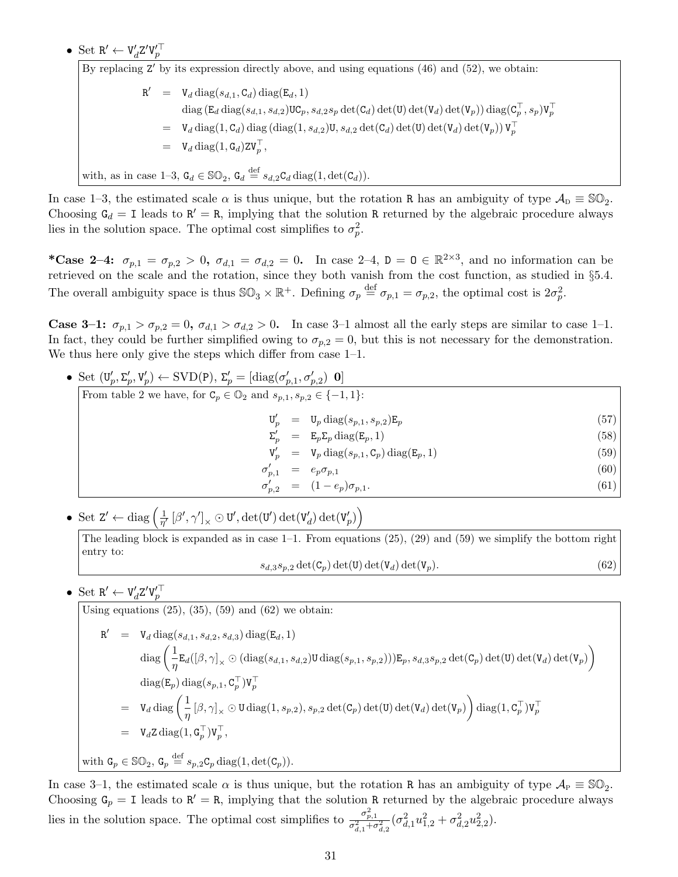• Set  $R' \leftarrow V_d' Z' V_p'^\top$ 

By replacing  $Z'$  by its expression directly above, and using equations  $(46)$  and  $(52)$ , we obtain:  $R' = V_d \text{diag}(s_{d,1}, \mathbf{C}_d) \text{diag}(\mathbf{E}_d, 1)$  $\text{diag}\left(\mathtt{E}_{d}\, \text{diag}(s_{d,1},s_{d,2})\mathtt{UC}_p, s_{d,2}s_p\, \text{det}(\mathtt{C}_{d})\, \text{det}(\mathtt{U})\, \text{det}(\mathtt{V}_{d})\, \text{det}(\mathtt{V}_{p})\right) \text{diag}(\mathtt{C}^{\top}_p,s_p)\mathtt{V}^{\top}_p$  $= \mathbb{V}_d \operatorname{diag}(1, \mathsf{C}_d) \operatorname{diag}(\operatorname{diag}(1, s_{d,2}) \mathsf{U}, s_{d,2} \operatorname{det}(\mathsf{C}_d) \operatorname{det}(\mathsf{U}) \operatorname{det}(\mathsf{V}_d) \operatorname{det}(\mathsf{V}_p)) \mathsf{V}_p^\top$  $= \mathbb{V}_d \operatorname{diag}(1, \mathsf{G}_d) \mathsf{Z} \mathsf{V}_p^{\top},$ with, as in case 1–3,  $G_d \in \mathbb{SO}_2$ ,  $G_d \stackrel{\text{def}}{=} s_{d,2} C_d \operatorname{diag}(1, \det(C_d)).$ 

In case 1–3, the estimated scale  $\alpha$  is thus unique, but the rotation R has an ambiguity of type  $\mathcal{A}_{\text{D}} \equiv \mathbb{SO}_2$ . Choosing  $G_d = I$  leads to  $R' = R$ , implying that the solution R returned by the algebraic procedure always lies in the solution space. The optimal cost simplifies to  $\sigma_p^2$ .

\*Case 2-4:  $\sigma_{p,1} = \sigma_{p,2} > 0$ ,  $\sigma_{d,1} = \sigma_{d,2} = 0$ . In case 2-4,  $D = D \in \mathbb{R}^{2 \times 3}$ , and no information can be retrieved on the scale and the rotation, since they both vanish from the cost function, as studied in §5.4. The overall ambiguity space is thus  $\mathbb{SO}_3 \times \mathbb{R}^+$ . Defining  $\sigma_p \stackrel{\text{def}}{=} \sigma_{p,1} = \sigma_{p,2}$ , the optimal cost is  $2\sigma_p^2$ .

Case 3-1:  $\sigma_{p,1} > \sigma_{p,2} = 0$ ,  $\sigma_{d,1} > \sigma_{d,2} > 0$ . In case 3-1 almost all the early steps are similar to case 1-1. In fact, they could be further simplified owing to  $\sigma_{p,2} = 0$ , but this is not necessary for the demonstration. We thus here only give the steps which differ from case  $1-1$ .

• Set 
$$
(\mathbf{U}'_p, \Sigma'_p, \mathbf{V}'_p) \leftarrow \text{SVD(P)}, \Sigma'_p = [\text{diag}(\sigma'_{p,1}, \sigma'_{p,2}) \mathbf{0}]
$$
  
\nFrom table 2 we have, for  $\mathbf{C}_p \in \mathbb{O}_2$  and  $s_{p,1}, s_{p,2} \in \{-1, 1\}$ :  
\n
$$
\mathbf{U}'_p = \mathbf{U}_p \text{ diag}(s_{p,1}, s_{p,2}) \mathbf{E}_p
$$
\n
$$
\Sigma'_p = \mathbf{E}_p \Sigma_p \text{ diag}(\mathbf{E}_p, 1)
$$
\n
$$
\mathbf{V}'_p = \mathbf{V}_p \text{ diag}(s_{p,1}, \mathbf{C}_p) \text{ diag}(\mathbf{E}_p, 1)
$$
\n
$$
\sigma'_{p,1} = e_p \sigma_{p,1}
$$
\n(59)\n
$$
\sigma'_{p,2} = (1 - e_p) \sigma_{p,1}.
$$
\n(60)

• Set  $Z' \leftarrow diag\left(\frac{1}{n'}\right)$  $\frac{1}{\eta'}\left[\beta',\gamma'\right]_{\times} \odot \texttt{U}',\det(\texttt{U}')\det(\texttt{V}'_d) \det(\texttt{V}'_p)\right)$ 

Using equations  $(25)$ ,  $(35)$ ,  $(59)$  and  $(62)$  we obtain:

The leading block is expanded as in case  $1-1$ . From equations  $(25)$ ,  $(29)$  and  $(59)$  we simplify the bottom right entry to:  $s_{d,3}s_{p,2} \det(\mathbf{C}_p) \det(\mathbf{U}) \det(\mathbf{V}_d) \det(\mathbf{V}_p).$  (62)

• Set  $R' \leftarrow V_d' Z' V_p'^\top$ 

$$
\begin{array}{lcl} \mathbf{R}' & = & \mathbf{V}_d \operatorname{diag}(s_{d,1},s_{d,2},s_{d,3}) \operatorname{diag}(\mathbf{E}_d,1) \\ & \operatorname{diag}\left(\frac{1}{\eta} \mathbf{E}_d([\beta,\gamma]_\times \odot (\operatorname{diag}(s_{d,1},s_{d,2}) \mathbf{U} \operatorname{diag}(s_{p,1},s_{p,2}))) \mathbf{E}_p, s_{d,3} s_{p,2} \operatorname{det}(\mathbf{C}_p) \operatorname{det}(\mathbf{U}_d) \operatorname{det}(\mathbf{V}_p)\right) \\ & \operatorname{diag}(\mathbf{E}_p) \operatorname{diag}(s_{p,1},\mathbf{C}_p^\top) \mathbf{V}_p^\top \\ & = & \mathbf{V}_d \operatorname{diag}\left(\frac{1}{\eta} \left[\beta,\gamma\right]_\times \odot \mathbf{U} \operatorname{diag}(1,s_{p,2}), s_{p,2} \operatorname{det}(\mathbf{C}_p) \operatorname{det}(\mathbf{U}) \operatorname{det}(\mathbf{V}_d) \operatorname{det}(\mathbf{V}_p)\right) \operatorname{diag}(1,\mathbf{C}_p^\top) \mathbf{V}_p^\top \\ & = & \mathbf{V}_d \mathbf{Z} \operatorname{diag}(1,\mathbf{G}_p^\top) \mathbf{V}_p^\top, \\ & \text{with } \mathbf{G}_p \in \mathbb{SO}_2, \mathbf{G}_p \stackrel{\text{def}}{=} s_{p,2} \mathbf{C}_p \operatorname{diag}(1,\operatorname{det}(\mathbf{C}_p)). \end{array}
$$

In case 3–1, the estimated scale  $\alpha$  is thus unique, but the rotation R has an ambiguity of type  $\mathcal{A}_{P} \equiv \mathbb{SO}_{2}$ . Choosing  $G_p = I$  leads to  $R' = R$ , implying that the solution R returned by the algebraic procedure always lies in the solution space. The optimal cost simplifies to  $\frac{\sigma_{p,1}^2}{\sigma_{d,1}^2 + \sigma_{d,2}^2}(\sigma_{d,1}^2 u_{1,2}^2 + \sigma_{d,2}^2 u_{2,2}^2)$ .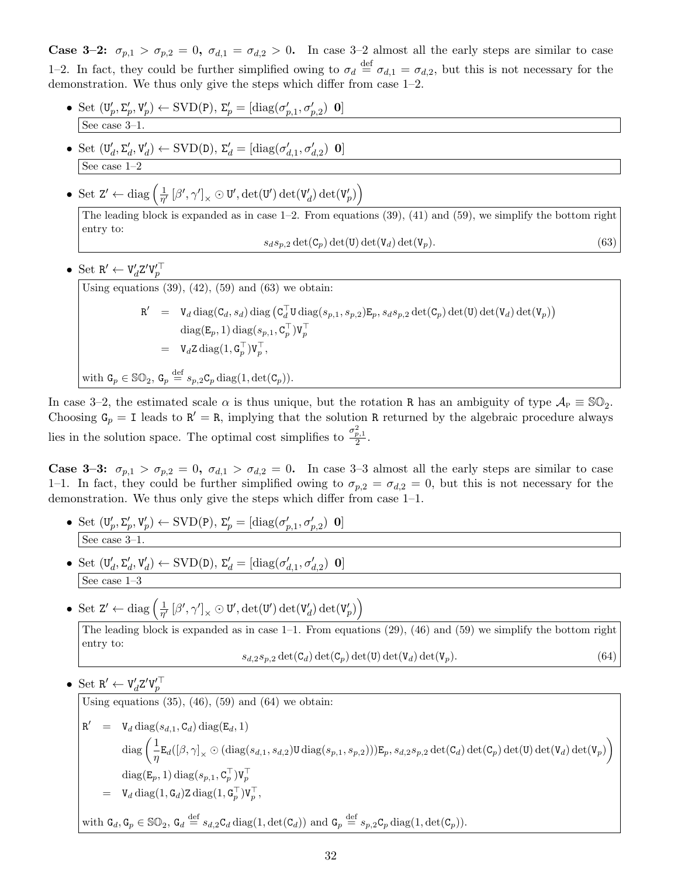**Case 3–2:**  $\sigma_{p,1} > \sigma_{p,2} = 0$ ,  $\sigma_{d,1} = \sigma_{d,2} > 0$ . In case 3–2 almost all the early steps are similar to case 1–2. In fact, they could be further simplified owing to  $\sigma_d \stackrel{\text{def}}{=} \sigma_{d,1} = \sigma_{d,2}$ , but this is not necessary for the demonstration. We thus only give the steps which differ from case 1–2.

- Set  $(\mathbf{U}_p', \Sigma_p', \mathbf{V}_p') \leftarrow \text{SVD}(\mathbf{P}), \Sigma_p' = [\text{diag}(\sigma_{p,1}', \sigma_{p,2}') \mathbf{0}]$ See case  $3-1$ .
- Set  $(\mathbf{U}'_d, \Sigma'_d, \mathbf{V}'_d) \leftarrow \text{SVD}(\mathbf{D}), \ \Sigma'_d = [\text{diag}(\sigma'_{d,1}, \sigma'_{d,2}) \ \mathbf{0}]$ See case 1–2
- Set  $Z' \leftarrow diag\left(\frac{1}{n'}\right)$  $\frac{1}{\eta^\prime}\left[\beta^\prime,\gamma^\prime\right]_\times \odot \texttt{U}^\prime,\det(\texttt{U}^\prime)\det(\texttt{V}_d^\prime)\det(\texttt{V}_p^\prime)\Big)$

The leading block is expanded as in case  $1-2$ . From equations (39), (41) and (59), we simplify the bottom right entry to:

$$
s_d s_{p,2} \det(\mathbf{C}_p) \det(\mathbf{U}) \det(\mathbf{V}_d) \det(\mathbf{V}_p). \tag{63}
$$

• Set  $R' \leftarrow V_d' Z' V_p'^\top$ 

Using equations  $(39)$ ,  $(42)$ ,  $(59)$  and  $(63)$  we obtain:

$$
R' = V_d \operatorname{diag}(C_d, s_d) \operatorname{diag}(C_d^{\top} U \operatorname{diag}(s_{p,1}, s_{p,2}) E_p, s_d s_{p,2} \operatorname{det}(C_p) \operatorname{det}(U) \operatorname{det}(V_d) \operatorname{det}(V_p))
$$
  
\n
$$
\operatorname{diag}(E_p, 1) \operatorname{diag}(s_{p,1}, C_p^{\top}) V_p^{\top}
$$
  
\n
$$
= V_d Z \operatorname{diag}(1, G_p^{\top}) V_p^{\top},
$$

with 
$$
\mathbf{G}_p \in \mathbb{SO}_2
$$
,  $\mathbf{G}_p \stackrel{\text{def}}{=} s_{p,2} \mathbf{C}_p \operatorname{diag}(1, \det(\mathbf{C}_p)).$ 

In case 3–2, the estimated scale  $\alpha$  is thus unique, but the rotation R has an ambiguity of type  $\mathcal{A}_{P} \equiv \mathbb{SO}_{2}$ . Choosing  $G_p = I$  leads to  $R' = R$ , implying that the solution R returned by the algebraic procedure always lies in the solution space. The optimal cost simplifies to  $\frac{\sigma_{p,1}^2}{2}$ .

**Case 3-3:**  $\sigma_{p,1} > \sigma_{p,2} = 0$ ,  $\sigma_{d,1} > \sigma_{d,2} = 0$ . In case 3-3 almost all the early steps are similar to case 1–1. In fact, they could be further simplified owing to  $\sigma_{p,2} = \sigma_{d,2} = 0$ , but this is not necessary for the demonstration. We thus only give the steps which differ from case 1–1.

- Set  $(\mathbf{U}_p', \Sigma_p', \mathbf{V}_p') \leftarrow \text{SVD}(\mathbf{P}), \Sigma_p' = [\text{diag}(\sigma_{p,1}', \sigma_{p,2}') \mathbf{0}]$ See case 3–1.
- Set  $(\mathbf{U}'_d, \Sigma'_d, \mathbf{V}'_d) \leftarrow \text{SVD}(\mathbf{D}), \ \Sigma'_d = [\text{diag}(\sigma'_{d,1}, \sigma'_{d,2}) \ \mathbf{0}]$ See case 1–3
- Set  $Z' \leftarrow diag\left(\frac{1}{n'}\right)$  $\frac{1}{\eta'}\left[\beta',\gamma'\right]_{\times} \odot \texttt{U}',\det(\texttt{U}')\det(\texttt{V}'_d) \det(\texttt{V}'_p)\right)$

The leading block is expanded as in case  $1-1$ . From equations (29), (46) and (59) we simplify the bottom right entry to:  $s_{d,2}s_{p,2} \det(\mathbf{C}_d) \det(\mathbf{C}_p) \det(\mathbf{U}) \det(\mathbf{V}_d) \det(\mathbf{V}_p).$  (64)

• Set  $R' \leftarrow V_d' Z' V_p'^\top$ 

Using equations  $(35)$ ,  $(46)$ ,  $(59)$  and  $(64)$  we obtain:  $R' = V_d \text{diag}(s_{d,1}, \mathbf{C}_d) \text{diag}(\mathbf{E}_d, 1)$  $_{\text{diag}}$   $\left( \frac{1}{1} \right)$  $\frac{1}{\eta} \texttt{E}_d( [\beta,\gamma]_\times \odot (\text{diag}(s_{d,1}, s_{d,2})\texttt{U}\,\text{diag}(s_{p,1}, s_{p,2}) )) \texttt{E}_p, s_{d,2}s_{p,2} \det(\texttt{C}_d) \det(\texttt{C}_p) \det(\texttt{U}_p) \det(\texttt{V}_d) \det(\texttt{V}_p) \bigg)$  $\mathrm{diag}(\mathtt{E}_p,1)\,\mathrm{diag}(s_{p,1},\mathtt{C}_p^\top)\mathtt{V}_p^\top$  $= \mathbb{V}_d \operatorname{diag}(1, \mathsf{G}_d) \mathsf{Z} \operatorname{diag}(1, \mathsf{G}_p^\top) \mathsf{V}_p^\top,$ with  $G_d, G_p \in \mathbb{SO}_2$ ,  $G_d \stackrel{\text{def}}{=} s_{d,2} C_d \operatorname{diag}(1, \det(C_d))$  and  $G_p \stackrel{\text{def}}{=} s_{p,2} C_p \operatorname{diag}(1, \det(C_p)).$